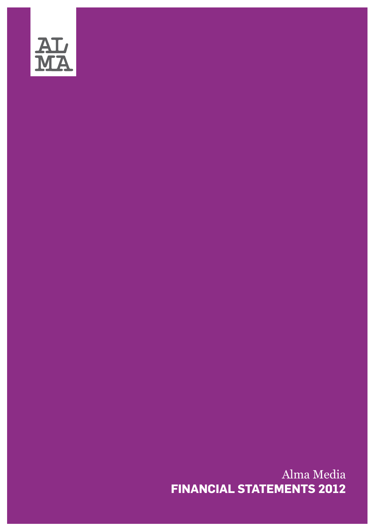

Alma Media **Financial statements 2012**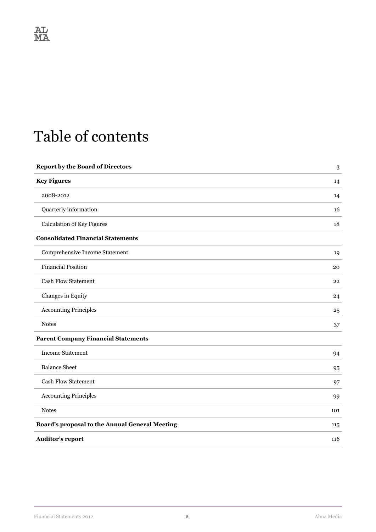## Table of contents

| <b>Report by the Board of Directors</b>        | $\sqrt{3}$ |
|------------------------------------------------|------------|
| <b>Key Figures</b>                             | 14         |
| 2008-2012                                      | 14         |
| Quarterly information                          | 16         |
| <b>Calculation of Key Figures</b>              | 18         |
| <b>Consolidated Financial Statements</b>       |            |
| Comprehensive Income Statement                 | 19         |
| <b>Financial Position</b>                      | 20         |
| <b>Cash Flow Statement</b>                     | 22         |
| Changes in Equity                              | 24         |
| <b>Accounting Principles</b>                   | 25         |
| <b>Notes</b>                                   | 37         |
| <b>Parent Company Financial Statements</b>     |            |
| <b>Income Statement</b>                        | 94         |
| <b>Balance Sheet</b>                           | 95         |
| <b>Cash Flow Statement</b>                     | 97         |
| <b>Accounting Principles</b>                   | 99         |
| <b>Notes</b>                                   | 101        |
| Board's proposal to the Annual General Meeting | 115        |
| Auditor's report                               | 116        |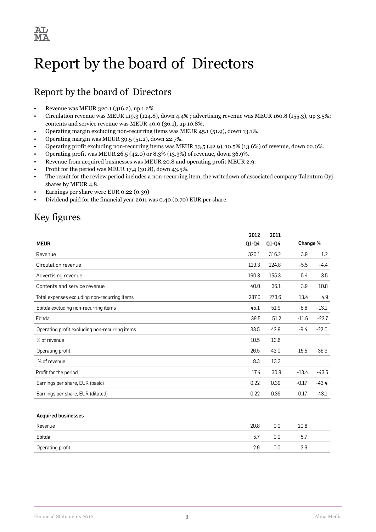## Report by the board of Directors

## Report by the board of Directors

- Revenue was MEUR 320.1 (316.2), up 1.2%.
- Circulation revenue was MEUR 119.3 (124.8), down 4.4% ; advertising revenue was MEUR 160.8 (155.3), up 3.5%; contents and service revenue was MEUR 40.0 (36.1), up 10.8%.
- Operating margin excluding non-recurring items was MEUR 45.1 (51.9), down 13.1%.
- Operating margin was MEUR 39.5 (51.2), down 22.7%.
- Operating profit excluding non-recurring items was MEUR 33.5 (42.9), 10.5% (13.6%) of revenue, down 22.0%.
- Operating profit was MEUR 26.5 (42.0) or 8.3% (13.3%) of revenue, down 36.9%.
- Revenue from acquired businesses was MEUR 20.8 and operating profit MEUR 2.9.
- Profit for the period was MEUR 17,4 (30.8), down 43.5%.
- The result for the review period includes a non-recurring item, the writedown of associated company Talentum Oyj shares by MEUR 4.8.
- Earnings per share were EUR 0.22 (0.39)
- Dividend paid for the financial year 2011 was 0.40 (0.70) EUR per share.

## Key figures

|                                                | 2012    | 2011  |          |         |
|------------------------------------------------|---------|-------|----------|---------|
| <b>MEUR</b>                                    | $Q1-Q4$ | Q1-Q4 | Change % |         |
| Revenue                                        | 320.1   | 316.2 | 3.9      | 1.2     |
| Circulation revenue                            | 119.3   | 124.8 | $-5.5$   | -4.4    |
| Advertising revenue                            | 160.8   | 155.3 | 5.4      | 3.5     |
| Contents and service revenue                   | 40.0    | 36.1  | 3.9      | 10.8    |
| Total expenses excluding non-recurring items   | 287.0   | 273.6 | 13.4     | 4.9     |
| Ebitda excluding non-recurring items           | 45.1    | 51.9  | $-6.8$   | $-13.1$ |
| Ebitda                                         | 39.5    | 51.2  | $-11.6$  | $-22.7$ |
| Operating profit excluding non-recurring items | 33.5    | 42.9  | -9.4     | $-22.0$ |
| % of revenue                                   | 10.5    | 13.6  |          |         |
| Operating profit                               | 26.5    | 42.0  | $-15.5$  | $-36.9$ |
| % of revenue                                   | 8.3     | 13.3  |          |         |
| Profit for the period                          | 17.4    | 30.8  | $-13.4$  | $-43.5$ |
| Earnings per share, EUR (basic)                | 0.22    | 0.39  | $-0.17$  | -43.4   |
| Earnings per share, EUR (diluted)              | 0.22    | 0.39  | $-0.17$  | $-43.1$ |

#### Acquired businesses

| Revenue          | 20.8 | 0.0 | 20.8 |  |
|------------------|------|-----|------|--|
| Ebitda           | 5.7  | 0.0 | 5.7  |  |
| Operating profit | 2.9  | 0.0 | 2.9  |  |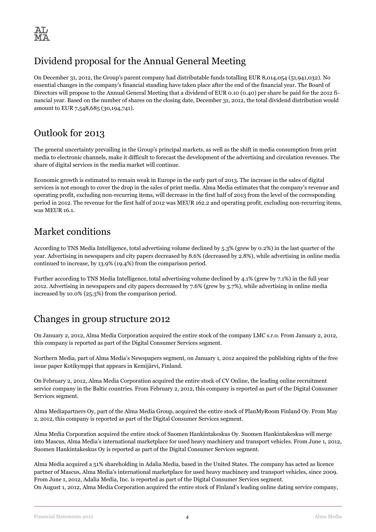## Dividend proposal for the Annual General Meeting

On December 31, 2012, the Group's parent company had distributable funds totalling EUR 8,014,054 (51,941,032). No essential changes in the company's financial standing have taken place after the end of the financial year. The Board of Directors will propose to the Annual General Meeting that a dividend of EUR 0.10 (0.40) per share be paid for the 2012 financial year. Based on the number of shares on the closing date, December 31, 2012, the total dividend distribution would amount to EUR 7,548,685 (30,194,741).

## Outlook for 2013

The general uncertainty prevailing in the Group's principal markets, as well as the shift in media consumption from print media to electronic channels, make it difficult to forecast the development of the advertising and circulation revenues. The share of digital services in the media market will continue.

Economic growth is estimated to remain weak in Europe in the early part of 2013. The increase in the sales of digital services is not enough to cover the drop in the sales of print media. Alma Media estimates that the company's revenue and operating profit, excluding non-recurring items, will decrease in the first half of 2013 from the level of the corresponding period in 2012. The revenue for the first half of 2012 was MEUR 162.2 and operating profit, excluding non-recurring items, was MEUR 16.1.

#### Market conditions

According to TNS Media Intelligence, total advertising volume declined by 5.3% (grew by 0.2%) in the last quarter of the year. Advertising in newspapers and city papers decreased by 8.6% (decreased by 2.8%), while advertising in online media continued to increase, by 13.9% (19.4%) from the comparison period.

Further according to TNS Media Intelligence, total advertising volume declined by 4.1% (grew by 7.1%) in the full year 2012. Advertising in newspapers and city papers decreased by 7.6% (grew by 3.7%), while advertising in online media increased by 10.0% (25.3%) from the comparison period.

### Changes in group structure 2012

On January 2, 2012, Alma Media Corporation acquired the entire stock of the company LMC s.r.o. From January 2, 2012, this company is reported as part of the Digital Consumer Services segment.

Northern Media, part of Alma Media's Newspapers segment, on January 1, 2012 acquired the publishing rights of the free issue paper Kotikymppi that appears in Kemijärvi, Finland.

On February 2, 2012, Alma Media Corporation acquired the entire stock of CV Online, the leading online recruitment service company in the Baltic countries. From February 2, 2012, this company is reported as part of the Digital Consumer Services segment.

Alma Mediapartners Oy, part of the Alma Media Group, acquired the entire stock of PlanMyRoom Finland Oy. From May 2, 2012, this company is reported as part of the Digital Consumer Services segment.

Alma Media Corporation acquired the entire stock of Suomen Hankintakeskus Oy. Suomen Hankintakeskus will merge into Mascus, Alma Media's international marketplace for used heavy machinery and transport vehicles. From June 1, 2012, Suomen Hankintakeskus Oy is reported as part of the Digital Consumer Services segment.

Alma Media acquired a 51% shareholding in Adalia Media, based in the United States. The company has acted as licence partner of Mascus, Alma Media's international marketplace for used heavy machinery and transport vehicles, since 2009. From June 1, 2012, Adalia Media, Inc. is reported as part of the Digital Consumer Services segment. On August 1, 2012, Alma Media Corporation acquired the entire stock of Finland's leading online dating service company,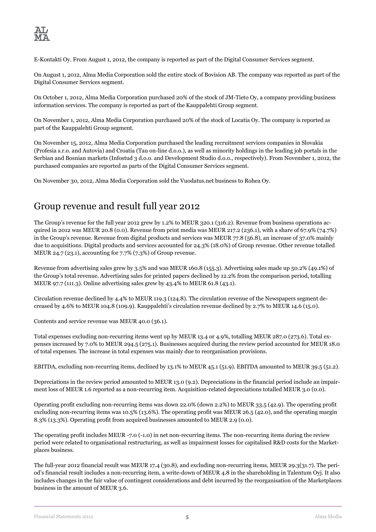E-Kontakti Oy. From August 1, 2012, the company is reported as part of the Digital Consumer Services segment.

On August 1, 2012, Alma Media Corporation sold the entire stock of Bovision AB. The company was reported as part of the Digital Consumer Services segment.

On October 1, 2012, Alma Media Corporation purchased 20% of the stock of JM-Tieto Oy, a company providing business information services. The company is reported as part of the Kauppalehti Group segment.

On November 1, 2012, Alma Media Corporation purchased 20% of the stock of Locatia Oy. The company is reported as part of the Kauppalehti Group segment.

On November 15, 2012, Alma Media Corporation purchased the leading recruitment services companies in Slovakia (Profesia s.r.o. and Autovia) and Croatia (Tau on-line d.o.o.), as well as minority holdings in the leading job portals in the Serbian and Bosnian markets (Infostud 3 d.o.o. and Development Studio d.o.o., respectively). From November 1, 2012, the purchased companies are reported as parts of the Digital Consumer Services segment.

On November 30, 2012, Alma Media Corporation sold the Vuodatus.net business to Rohea Oy.

#### Group revenue and result full year 2012

The Group's revenue for the full year 2012 grew by 1.2% to MEUR 320.1 (316.2). Revenue from business operations acquired in 2012 was MEUR 20.8 (0.0). Revenue from print media was MEUR 217.2 (236.1), with a share of 67.9% (74.7%) in the Group's revenue. Revenue from digital products and services was MEUR 77.8 (56.8), an increase of 37.0% mainly due to acquisitions. Digital products and services accounted for 24.3% (18.0%) of Group revenue. Other revenue totalled MEUR 24.7 (23.1), accounting for 7.7% (7.3%) of Group revenue.

Revenue from advertising sales grew by 3.5% and was MEUR 160.8 (155.3). Advertising sales made up 50.2% (49.1%) of the Group's total revenue. Advertising sales for printed papers declined by 12.2% from the comparison period, totalling MEUR 97.7 (111.3). Online advertising sales grew by 43.4% to MEUR 61.8 (43.1).

Circulation revenue declined by 4.4% to MEUR 119.3 (124.8). The circulation revenue of the Newspapers segment decreased by 4.6% to MEUR 104.8 (109.9). Kauppalehti's circulation revenue declined by 2.7% to MEUR 14.6 (15.0).

Contents and service revenue was MEUR 40.0 (36.1).

Total expenses excluding non-recurring items went up by MEUR 13.4 or 4.9%, totalling MEUR 287.0 (273.6). Total expenses increased by 7.0% to MEUR 294.5 (275.1). Businesses acquired during the review period accounted for MEUR 18.0 of total expenses. The increase in total expenses was mainly due to reorganisation provisions.

EBITDA, excluding non-recurring items, declined by 13.1% to MEUR 45.1 (51.9). EBITDA amounted to MEUR 39.5 (51.2).

Depreciations in the review period amounted to MEUR 13.0 (9.2). Depreciations in the financial period include an impairment loss of MEUR 1.6 reported as a non-recurring item. Acquisition-related depreciations totalled MEUR 3.0 (0.0).

Operating profit excluding non-recurring items was down 22.0% (down 2.2%) to MEUR 33.5 (42.9). The operating profit excluding non-recurring items was 10.5% (13.6%). The operating profit was MEUR 26.5 (42.0), and the operating margin 8.3% (13.3%). Operating profit from acquired businesses amounted to MEUR 2.9 (0.0).

The operating profit includes MEUR -7.0 (-1.0) in net non-recurring items. The non-recurring items during the review period were related to organisational restructuring, as well as impairment losses for capitalised R&D costs for the Marketplaces business.

The full-year 2012 financial result was MEUR 17.4 (30.8), and excluding non-recurring items, MEUR 29.3(31.7). The period's financial result includes a non-recurring item, a write-down of MEUR 4.8 in the shareholding in Talentum Oyj. It also includes changes in the fair value of contingent considerations and debt incurred by the reorganisation of the Marketplaces business in the amount of MEUR 3.6.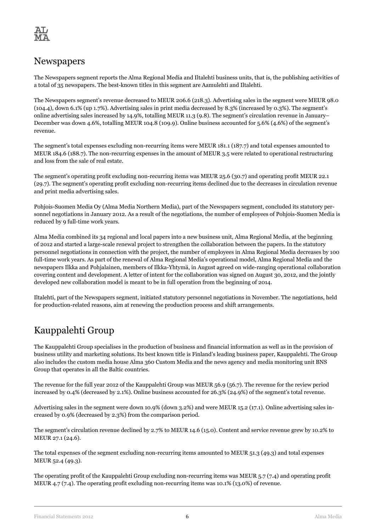#### Newspapers

The Newspapers segment reports the Alma Regional Media and Iltalehti business units, that is, the publishing activities of a total of 35 newspapers. The best-known titles in this segment are Aamulehti and Iltalehti.

The Newspapers segment's revenue decreased to MEUR 206.6 (218.3). Advertising sales in the segment were MEUR 98.0 (104.4), down 6.1% (up 1.7%). Advertising sales in print media decreased by 8.3% (increased by 0.3%). The segment's online advertising sales increased by 14.9%, totalling MEUR 11.3 (9.8). The segment's circulation revenue in January– December was down 4.6%, totalling MEUR 104.8 (109.9). Online business accounted for 5.6% (4.6%) of the segment's revenue.

The segment's total expenses excluding non-recurring items were MEUR 181.1 (187.7) and total expenses amounted to MEUR 184.6 (188.7). The non-recurring expenses in the amount of MEUR 3.5 were related to operational restructuring and loss from the sale of real estate.

The segment's operating profit excluding non-recurring items was MEUR 25.6 (30.7) and operating profit MEUR 22.1 (29.7). The segment's operating profit excluding non-recurring items declined due to the decreases in circulation revenue and print media advertising sales.

Pohjois-Suomen Media Oy (Alma Media Northern Media), part of the Newspapers segment, concluded its statutory personnel negotiations in January 2012. As a result of the negotiations, the number of employees of Pohjois-Suomen Media is reduced by 9 full-time work years.

Alma Media combined its 34 regional and local papers into a new business unit, Alma Regional Media, at the beginning of 2012 and started a large-scale renewal project to strengthen the collaboration between the papers. In the statutory personnel negotiations in connection with the project, the number of employees in Alma Regional Media decreases by 100 full-time work years. As part of the renewal of Alma Regional Media's operational model, Alma Regional Media and the newspapers Ilkka and Pohjalainen, members of Ilkka-Yhtymä, in August agreed on wide-ranging operational collaboration covering content and development. A letter of intent for the collaboration was signed on August 30, 2012, and the jointly developed new collaboration model is meant to be in full operation from the beginning of 2014.

Iltalehti, part of the Newspapers segment, initiated statutory personnel negotiations in November. The negotiations, held for production-related reasons, aim at renewing the production process and shift arrangements.

## Kauppalehti Group

The Kauppalehti Group specialises in the production of business and financial information as well as in the provision of business utility and marketing solutions. Its best known title is Finland's leading business paper, Kauppalehti. The Group also includes the custom media house Alma 360 Custom Media and the news agency and media monitoring unit BNS Group that operates in all the Baltic countries.

The revenue for the full year 2012 of the Kauppalehti Group was MEUR 56.9 (56.7). The revenue for the review period increased by 0.4% (decreased by 2.1%). Online business accounted for 26.3% (24.9%) of the segment's total revenue.

Advertising sales in the segment were down 10.9% (down 3.2%) and were MEUR 15.2 (17.1). Online advertising sales increased by 0.9% (decreased by 2.3%) from the comparison period.

The segment's circulation revenue declined by 2.7% to MEUR 14.6 (15.0). Content and service revenue grew by 10.2% to MEUR 27.1 (24.6).

The total expenses of the segment excluding non-recurring items amounted to MEUR 51.3 (49.3) and total expenses MEUR 52.4 (49.3).

The operating profit of the Kauppalehti Group excluding non-recurring items was MEUR 5.7 (7.4) and operating profit MEUR 4.7 (7.4). The operating profit excluding non-recurring items was 10.1% (13.0%) of revenue.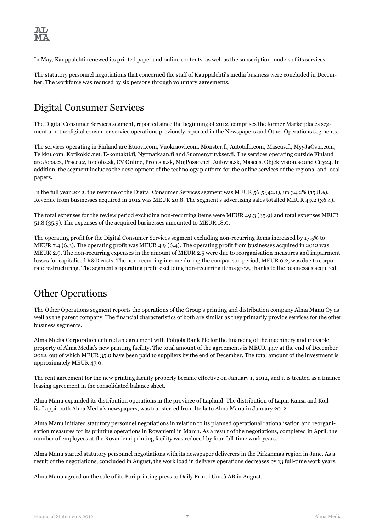In May, Kauppalehti renewed its printed paper and online contents, as well as the subscription models of its services.

The statutory personnel negotiations that concerned the staff of Kauppalehti's media business were concluded in December. The workforce was reduced by six persons through voluntary agreements.

## Digital Consumer Services

The Digital Consumer Services segment, reported since the beginning of 2012, comprises the former Marketplaces segment and the digital consumer service operations previously reported in the Newspapers and Other Operations segments.

The services operating in Finland are Etuovi.com, Vuokraovi.com, Monster.fi, Autotalli.com, Mascus.fi, MyyJaOsta.com, Telkku.com, Kotikokki.net, E-kontakti.fi, Nytmatkaan.fi and Suomenyritykset.fi. The services operating outside Finland are Jobs.cz, Prace.cz, topjobs.sk, CV Online, Profesia.sk, MojPosao.net, Autovia.sk, Mascus, Objektvision.se and City24. In addition, the segment includes the development of the technology platform for the online services of the regional and local papers.

In the full year 2012, the revenue of the Digital Consumer Services segment was MEUR 56.5 (42.1), up 34.2% (15.8%). Revenue from businesses acquired in 2012 was MEUR 20.8. The segment's advertising sales totalled MEUR 49.2 (36.4).

The total expenses for the review period excluding non-recurring items were MEUR 49.3 (35.9) and total expenses MEUR 51.8 (35.9). The expenses of the acquired businesses amounted to MEUR 18.0.

The operating profit for the Digital Consumer Services segment excluding non-recurring items increased by 17.5% to MEUR 7.4 (6.3). The operating profit was MEUR 4.9 (6.4). The operating profit from businesses acquired in 2012 was MEUR 2.9. The non-recurring expenses in the amount of MEUR 2.5 were due to reorganisation measures and impairment losses for capitalised R&D costs. The non-recurring income during the comparison period, MEUR 0.2, was due to corporate restructuring. The segment's operating profit excluding non-recurring items grew, thanks to the businesses acquired.

### Other Operations

The Other Operations segment reports the operations of the Group's printing and distribution company Alma Manu Oy as well as the parent company. The financial characteristics of both are similar as they primarily provide services for the other business segments.

Alma Media Corporation entered an agreement with Pohjola Bank Plc for the financing of the machinery and movable property of Alma Media's new printing facility. The total amount of the agreements is MEUR 44.7 at the end of December 2012, out of which MEUR 35.0 have been paid to suppliers by the end of December. The total amount of the investment is approximately MEUR 47.0.

The rent agreement for the new printing facility property became effective on January 1, 2012, and it is treated as a finance leasing agreement in the consolidated balance sheet.

Alma Manu expanded its distribution operations in the province of Lapland. The distribution of Lapin Kansa and Koillis-Lappi, both Alma Media's newspapers, was transferred from Itella to Alma Manu in January 2012.

Alma Manu initiated statutory personnel negotiations in relation to its planned operational rationalisation and reorganisation measures for its printing operations in Rovaniemi in March. As a result of the negotiations, completed in April, the number of employees at the Rovaniemi printing facility was reduced by four full-time work years.

Alma Manu started statutory personnel negotiations with its newspaper deliverers in the Pirkanmaa region in June. As a result of the negotiations, concluded in August, the work load in delivery operations decreases by 13 full-time work years.

Alma Manu agreed on the sale of its Pori printing press to Daily Print i Umeå AB in August.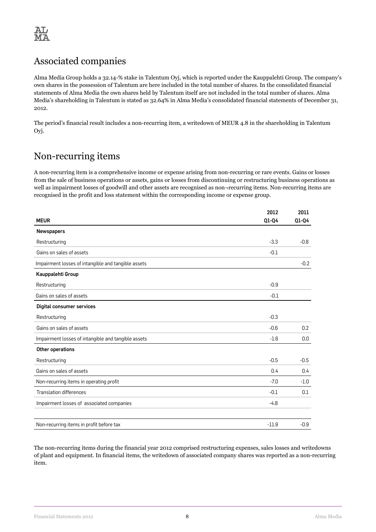### Associated companies

Alma Media Group holds a 32.14-% stake in Talentum Oyj, which is reported under the Kauppalehti Group. The company's own shares in the possession of Talentum are here included in the total number of shares. In the consolidated financial statements of Alma Media the own shares held by Talentum itself are not included in the total number of shares. Alma Media's shareholding in Talentum is stated as 32.64% in Alma Media's consolidated financial statements of December 31, 2012.

The period's financial result includes a non-recurring item, a writedown of MEUR 4.8 in the shareholding in Talentum Oyj.

#### Non-recurring items

A non-recurring item is a comprehensive income or expense arising from non-recurring or rare events. Gains or losses from the sale of business operations or assets, gains or losses from discontinuing or restructuring business operations as well as impairment losses of goodwill and other assets are recognised as non¬recurring items. Non-recurring items are recognised in the profit and loss statement within the corresponding income or expense group.

|                                                     | 2012    | 2011    |
|-----------------------------------------------------|---------|---------|
| <b>MEUR</b>                                         | $Q1-Q4$ | $Q1-Q4$ |
| <b>Newspapers</b>                                   |         |         |
| Restructuring                                       | $-3.3$  | $-0.8$  |
| Gains on sales of assets                            | $-0.1$  |         |
| Impairment losses of intangible and tangible assets |         | $-0.2$  |
| Kauppalehti Group                                   |         |         |
| Restructuring                                       | $-0.9$  |         |
| Gains on sales of assets                            | $-0.1$  |         |
| <b>Digital consumer services</b>                    |         |         |
| Restructuring                                       | $-0.3$  |         |
| Gains on sales of assets                            | $-0.6$  | 0.2     |
| Impairment losses of intangible and tangible assets | $-1.6$  | 0.0     |
| Other operations                                    |         |         |
| Restructuring                                       | $-0.5$  | $-0.5$  |
| Gains on sales of assets                            | 0.4     | 0.4     |
| Non-recurring items in operating profit             | $-7.0$  | $-1.0$  |
| <b>Translation differences</b>                      | $-0.1$  | 0.1     |
| Impairment losses of associated companies           | $-4.8$  |         |
|                                                     |         |         |
| Non-recurring items in profit before tax            | $-11.9$ | $-0.9$  |

The non-recurring items during the financial year 2012 comprised restructuring expenses, sales losses and writedowns of plant and equipment. In financial items, the writedown of associated company shares was reported as a non-recurring item.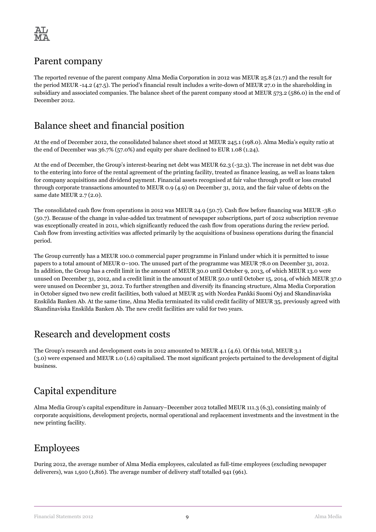#### Parent company

The reported revenue of the parent company Alma Media Corporation in 2012 was MEUR 25.8 (21.7) and the result for the period MEUR -14.2 (47.5). The period's financial result includes a write-down of MEUR 27.0 in the shareholding in subsidiary and associated companies. The balance sheet of the parent company stood at MEUR 573.2 (586.0) in the end of December 2012.

### Balance sheet and financial position

At the end of December 2012, the consolidated balance sheet stood at MEUR 245.1 (198.0). Alma Media's equity ratio at the end of December was 36.7% (57.0%) and equity per share declined to EUR 1.08 (1.24).

At the end of December, the Group's interest-bearing net debt was MEUR 62.3 (-32.3). The increase in net debt was due to the entering into force of the rental agreement of the printing facility, treated as finance leasing, as well as loans taken for company acquisitions and dividend payment. Financial assets recognised at fair value through profit or loss created through corporate transactions amounted to MEUR 0.9 (4.9) on December 31, 2012, and the fair value of debts on the same date MEUR 2.7 (2.0).

The consolidated cash flow from operations in 2012 was MEUR 24.9 (50.7). Cash flow before financing was MEUR -38.0 (50.7). Because of the change in value-added tax treatment of newspaper subscriptions, part of 2012 subscription revenue was exceptionally created in 2011, which significantly reduced the cash flow from operations during the review period. Cash flow from investing activities was affected primarily by the acquisitions of business operations during the financial period.

The Group currently has a MEUR 100.0 commercial paper programme in Finland under which it is permitted to issue papers to a total amount of MEUR 0–100. The unused part of the programme was MEUR 78.0 on December 31, 2012. In addition, the Group has a credit limit in the amount of MEUR 30.0 until October 9, 2013, of which MEUR 13.0 were unused on December 31, 2012, and a credit limit in the amount of MEUR 50.0 until October 15, 2014, of which MEUR 37.0 were unused on December 31, 2012. To further strengthen and diversify its financing structure, Alma Media Corporation in October signed two new credit facilities, both valued at MEUR 25 with Nordea Pankki Suomi Oyj and Skandinaviska Enskilda Banken Ab. At the same time, Alma Media terminated its valid credit facility of MEUR 35, previously agreed with Skandinaviska Enskilda Banken Ab. The new credit facilities are valid for two years.

### Research and development costs

The Group's research and development costs in 2012 amounted to MEUR 4.1 (4.6). Of this total, MEUR 3.1 (3.0) were expensed and MEUR 1.0 (1.6) capitalised. The most significant projects pertained to the development of digital business.

## Capital expenditure

Alma Media Group's capital expenditure in January–December 2012 totalled MEUR 111.3 (6.3), consisting mainly of corporate acquisitions, development projects, normal operational and replacement investments and the investment in the new printing facility.

## Employees

During 2012, the average number of Alma Media employees, calculated as full-time employees (excluding newspaper deliverers), was 1,910 (1,816). The average number of delivery staff totalled 941 (961).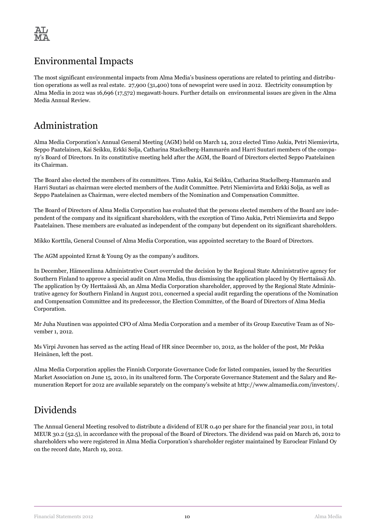#### Environmental Impacts

The most significant environmental impacts from Alma Media's business operations are related to printing and distribution operations as well as real estate. 27,900 (31,400) tons of newsprint were used in 2012. Electricity consumption by Alma Media in 2012 was 16,696 (17,572) megawatt-hours. Further details on environmental issues are given in the Alma Media Annual Review.

#### Administration

Alma Media Corporation's Annual General Meeting (AGM) held on March 14, 2012 elected Timo Aukia, Petri Niemisvirta, Seppo Paatelainen, Kai Seikku, Erkki Solja, Catharina Stackelberg-Hammarén and Harri Suutari members of the company's Board of Directors. In its constitutive meeting held after the AGM, the Board of Directors elected Seppo Paatelainen its Chairman.

The Board also elected the members of its committees. Timo Aukia, Kai Seikku, Catharina Stackelberg-Hammarén and Harri Suutari as chairman were elected members of the Audit Committee. Petri Niemisvirta and Erkki Solja, as well as Seppo Paatelainen as Chairman, were elected members of the Nomination and Compensation Committee.

The Board of Directors of Alma Media Corporation has evaluated that the persons elected members of the Board are independent of the company and its significant shareholders, with the exception of Timo Aukia, Petri Niemisvirta and Seppo Paatelainen. These members are evaluated as independent of the company but dependent on its significant shareholders.

Mikko Korttila, General Counsel of Alma Media Corporation, was appointed secretary to the Board of Directors.

The AGM appointed Ernst & Young Oy as the company's auditors.

In December, Hämeenlinna Administrative Court overruled the decision by the Regional State Administrative agency for Southern Finland to approve a special audit on Alma Media, thus dismissing the application placed by Oy Herttaässä Ab. The application by Oy Herttaässä Ab, an Alma Media Corporation shareholder, approved by the Regional State Administrative agency for Southern Finland in August 2011, concerned a special audit regarding the operations of the Nomination and Compensation Committee and its predecessor, the Election Committee, of the Board of Directors of Alma Media Corporation.

Mr Juha Nuutinen was appointed CFO of Alma Media Corporation and a member of its Group Executive Team as of November 1, 2012.

Ms Virpi Juvonen has served as the acting Head of HR since December 10, 2012, as the holder of the post, Mr Pekka Heinänen, left the post.

Alma Media Corporation applies the Finnish Corporate Governance Code for listed companies, issued by the Securities Market Association on June 15, 2010, in its unaltered form. The Corporate Governance Statement and the Salary and Remuneration Report for 2012 are available separately on the company's website at http://www.almamedia.com/investors/.

## Dividends

The Annual General Meeting resolved to distribute a dividend of EUR 0.40 per share for the financial year 2011, in total MEUR 30.2 (52.5), in accordance with the proposal of the Board of Directors. The dividend was paid on March 26, 2012 to shareholders who were registered in Alma Media Corporation's shareholder register maintained by Euroclear Finland Oy on the record date, March 19, 2012.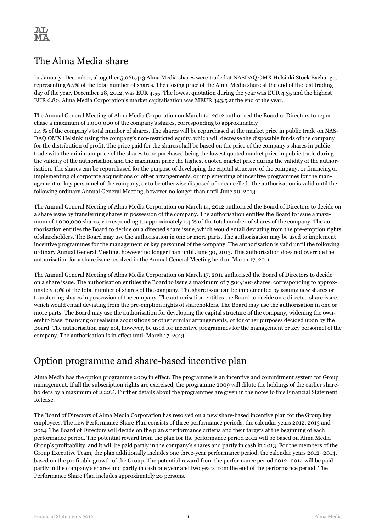### The Alma Media share

In January–December, altogether 5,066,413 Alma Media shares were traded at NASDAQ OMX Helsinki Stock Exchange, representing 6.7% of the total number of shares. The closing price of the Alma Media share at the end of the last trading day of the year, December 28, 2012, was EUR 4.55. The lowest quotation during the year was EUR 4.35 and the highest EUR 6.80. Alma Media Corporation's market capitalisation was MEUR 343.5 at the end of the year.

The Annual General Meeting of Alma Media Corporation on March 14, 2012 authorised the Board of Directors to repurchase a maximum of 1,000,000 of the company's shares, corresponding to approximately 1.4 % of the company's total number of shares. The shares will be repurchased at the market price in public trade on NAS-DAQ OMX Helsinki using the company's non-restricted equity, which will decrease the disposable funds of the company for the distribution of profit. The price paid for the shares shall be based on the price of the company's shares in public trade with the minimum price of the shares to be purchased being the lowest quoted market price in public trade during the validity of the authorisation and the maximum price the highest quoted market price during the validity of the authorisation. The shares can be repurchased for the purpose of developing the capital structure of the company, or financing or implementing of corporate acquisitions or other arrangements, or implementing of incentive programmes for the management or key personnel of the company, or to be otherwise disposed of or cancelled. The authorisation is valid until the following ordinary Annual General Meeting, however no longer than until June 30, 2013.

The Annual General Meeting of Alma Media Corporation on March 14, 2012 authorised the Board of Directors to decide on a share issue by transferring shares in possession of the company. The authorisation entitles the Board to issue a maximum of 1,000,000 shares, corresponding to approximately 1.4 % of the total number of shares of the company. The authorisation entitles the Board to decide on a directed share issue, which would entail deviating from the pre-emption rights of shareholders. The Board may use the authorisation in one or more parts. The authorisation may be used to implement incentive programmes for the management or key personnel of the company. The authorisation is valid until the following ordinary Annual General Meeting, however no longer than until June 30, 2013. This authorisation does not override the authorisation for a share issue resolved in the Annual General Meeting held on March 17, 2011.

The Annual General Meeting of Alma Media Corporation on March 17, 2011 authorised the Board of Directors to decide on a share issue. The authorisation entitles the Board to issue a maximum of 7,500,000 shares, corresponding to approximately 10% of the total number of shares of the company. The share issue can be implemented by issuing new shares or transferring shares in possession of the company. The authorisation entitles the Board to decide on a directed share issue, which would entail deviating from the pre-emption rights of shareholders. The Board may use the authorisation in one or more parts. The Board may use the authorisation for developing the capital structure of the company, widening the ownership base, financing or realising acquisitions or other similar arrangements, or for other purposes decided upon by the Board. The authorisation may not, however, be used for incentive programmes for the management or key personnel of the company. The authorisation is in effect until March 17, 2013.

## Option programme and share-based incentive plan

Alma Media has the option programme 2009 in effect. The programme is an incentive and commitment system for Group management. If all the subscription rights are exercised, the programme 2009 will dilute the holdings of the earlier shareholders by a maximum of 2.22%. Further details about the programmes are given in the notes to this Financial Statement Release.

The Board of Directors of Alma Media Corporation has resolved on a new share-based incentive plan for the Group key employees. The new Performance Share Plan consists of three performance periods, the calendar years 2012, 2013 and 2014. The Board of Directors will decide on the plan's performance criteria and their targets at the beginning of each performance period. The potential reward from the plan for the performance period 2012 will be based on Alma Media Group's profitability, and it will be paid partly in the company's shares and partly in cash in 2013. For the members of the Group Executive Team, the plan additionally includes one three-year performance period, the calendar years 2012–2014, based on the profitable growth of the Group. The potential reward from the performance period 2012–2014 will be paid partly in the company's shares and partly in cash one year and two years from the end of the performance period. The Performance Share Plan includes approximately 20 persons.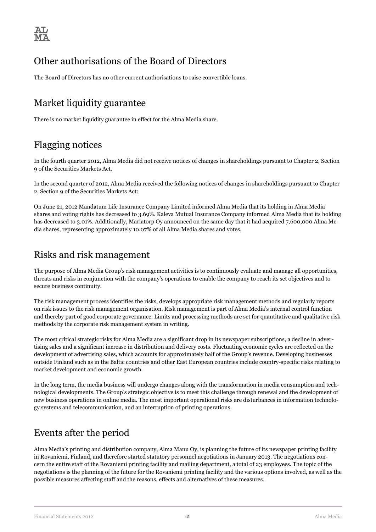### Other authorisations of the Board of Directors

The Board of Directors has no other current authorisations to raise convertible loans.

### Market liquidity guarantee

There is no market liquidity guarantee in effect for the Alma Media share.

## Flagging notices

In the fourth quarter 2012, Alma Media did not receive notices of changes in shareholdings pursuant to Chapter 2, Section 9 of the Securities Markets Act.

In the second quarter of 2012, Alma Media received the following notices of changes in shareholdings pursuant to Chapter 2, Section 9 of the Securities Markets Act:

On June 21, 2012 Mandatum Life Insurance Company Limited informed Alma Media that its holding in Alma Media shares and voting rights has decreased to 3.69%. Kaleva Mutual Insurance Company informed Alma Media that its holding has decreased to 3.01%. Additionally, Mariatorp Oy announced on the same day that it had acquired 7,600,000 Alma Media shares, representing approximately 10.07% of all Alma Media shares and votes.

#### Risks and risk management

The purpose of Alma Media Group's risk management activities is to continuously evaluate and manage all opportunities, threats and risks in conjunction with the company's operations to enable the company to reach its set objectives and to secure business continuity.

The risk management process identifies the risks, develops appropriate risk management methods and regularly reports on risk issues to the risk management organisation. Risk management is part of Alma Media's internal control function and thereby part of good corporate governance. Limits and processing methods are set for quantitative and qualitative risk methods by the corporate risk management system in writing.

The most critical strategic risks for Alma Media are a significant drop in its newspaper subscriptions, a decline in advertising sales and a significant increase in distribution and delivery costs. Fluctuating economic cycles are reflected on the development of advertising sales, which accounts for approximately half of the Group's revenue. Developing businesses outside Finland such as in the Baltic countries and other East European countries include country-specific risks relating to market development and economic growth.

In the long term, the media business will undergo changes along with the transformation in media consumption and technological developments. The Group's strategic objective is to meet this challenge through renewal and the development of new business operations in online media. The most important operational risks are disturbances in information technology systems and telecommunication, and an interruption of printing operations.

### Events after the period

Alma Media's printing and distribution company, Alma Manu Oy, is planning the future of its newspaper printing facility in Rovaniemi, Finland, and therefore started statutory personnel negotiations in January 2013. The negotiations concern the entire staff of the Rovaniemi printing facility and mailing department, a total of 23 employees. The topic of the negotiations is the planning of the future for the Rovaniemi printing facility and the various options involved, as well as the possible measures affecting staff and the reasons, effects and alternatives of these measures.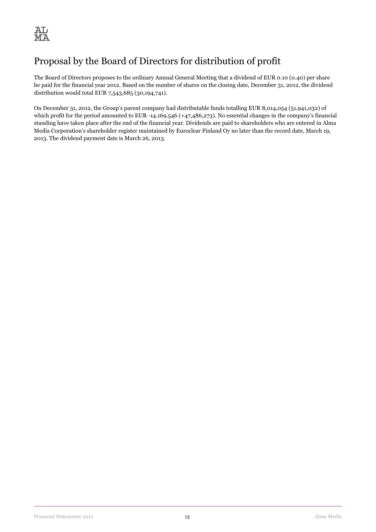## Proposal by the Board of Directors for distribution of profit

The Board of Directors proposes to the ordinary Annual General Meeting that a dividend of EUR 0.10 (0.40) per share be paid for the financial year 2012. Based on the number of shares on the closing date, December 31, 2012, the dividend distribution would total EUR 7,543,685 (30,194,741).

On December 31, 2012, the Group's parent company had distributable funds totalling EUR 8,014,054 (51,941,032) of which profit for the period amounted to EUR -14.169.546 (+47,486,273). No essential changes in the company's financial standing have taken place after the end of the financial year. Dividends are paid to shareholders who are entered in Alma Media Corporation's shareholder register maintained by Euroclear Finland Oy no later than the record date, March 19, 2013. The dividend payment date is March 26, 2013.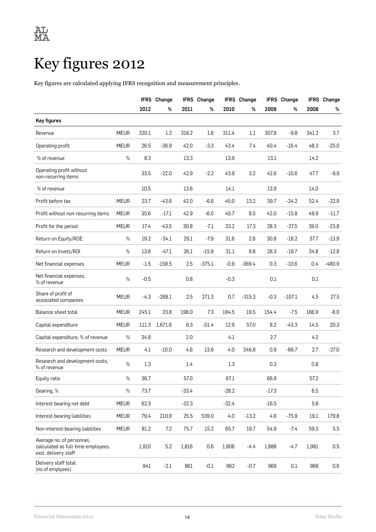## Key figures 2012

Key figures are calculated applying IFRS recognition and measurement principles.

|                                                                                         |             |        | IFRS Change |         | IFRS Change |         | IFRS Change |         | IFRS Change |          | IFRS Change |
|-----------------------------------------------------------------------------------------|-------------|--------|-------------|---------|-------------|---------|-------------|---------|-------------|----------|-------------|
|                                                                                         |             | 2012   | %           | 2011    | %           | 2010    | %           | 2009    | %           | 2008     | %           |
| <b>Key figures</b>                                                                      |             |        |             |         |             |         |             |         |             |          |             |
| Revenue                                                                                 | <b>MEUR</b> | 320.1  | 1.2         | 316.2   | 1.6         | 311.4   | 1.1         | 307.8   | $-9.8$      | 341.2    | 3.7         |
| Operating profit                                                                        | <b>MEUR</b> | 26.5   | $-36.9$     | 42.0    | $-3.3$      | 43.4    | 7.4         | 40.4    | $-16.4$     | 48.3     | $-25.0$     |
| % of revenue                                                                            | %           | 8.3    |             | 13.3    |             | 13.9    |             | 13.1    |             | 14.2     |             |
| Operating profit without<br>non-recurring items                                         |             | 33.5   | $-22.0$     | 42.9    | $-2.2$      | 43.9    | 3.2         | 42.6    | $-10.6$     | 47.7     | $-9.9$      |
| % of revenue                                                                            |             | 10.5   |             | 13.6    |             | 14.1    |             | 13.9    |             | 14.0     |             |
| Profit before tax                                                                       | <b>MEUR</b> | 23.7   | $-43.6$     | 42.0    | $-6.6$      | 45.0    | 13.2        | 39.7    | $-24.2$     | 52.4     | $-22.9$     |
| Profit without non-recurring items                                                      | <b>MEUR</b> | 35.6   | $-17.1$     | 42.9    | $-6.0$      | 45.7    | 8.5         | 42.0    | $-15.8$     | 49.9     | $-11.7$     |
| Profit for the period                                                                   | <b>MEUR</b> | 17.4   | $-43.5$     | 30.8    | $-7.1$      | 33.2    | 17.3        | 28.3    | $-27.5$     | 39.0     | $-23.8$     |
| Return on Equity/ROE                                                                    | $\%$        | 19.2   | $-34.1$     | 29.1    | $-7.9$      | 31.6    | 2.6         | 30.8    | $-18.2$     | 37.7     | $-13.9$     |
| Return on Invets/ROI                                                                    | $\%$        | 13.8   | $-47.1$     | 26.1    | $-15.9$     | 31.1    | 9.8         | 28.3    | $-18.7$     | 34.8     | $-12.8$     |
| Net financial expenses                                                                  | <b>MEUR</b> | $-1.5$ | $-158.5$    | 2.5     | $-375.1$    | $-0.9$  | $-369.4$    | 0.3     | $-10.6$     | 0.4      | $-480.9$    |
| Net financial expenses,<br>% of revenue                                                 | $\%$        | $-0.5$ |             | 0.8     |             | $-0.3$  |             | 0.1     |             | 0.1      |             |
| Share of profit of<br>associated companies                                              | <b>MEUR</b> | $-4.3$ | $-268.1$    | 2.5     | 271.3       | 0.7     | $-315.3$    | $-0.3$  | $-107.1$    | 4.5      | 27.5        |
| Balance sheet total                                                                     | <b>MEUR</b> | 245.1  | 23.8        | 198.0   | 7.3         | 184.5   | 19.5        | 154.4   | $-7.5$      | 166.9    | $-8.0$      |
| Capital expenditure                                                                     | <b>MEUR</b> | 111.3  | 1,671.6     | 6.3     | $-51.4$     | 12.9    | 57.0        | 8.2     | $-43.3$     | 14.5     | 20.3        |
| Capital expenditure, % of revenue                                                       | $\%$        | 34.8   |             | 2.0     |             | 4.1     |             | 2.7     |             | 4.2      |             |
| Research and development costs                                                          | <b>MEUR</b> | 4.1    | $-10.0$     | 4.6     | 13.6        | 4.0     | 346.8       | 0.9     | $-66.7$     | 2.7      | $-27.0$     |
| Research and development costs,<br>% of revenue                                         | $\%$        | 1.3    |             | 1.4     |             | 1.3     |             | 0.3     |             | 0.8      |             |
| Equity ratio                                                                            | $\%$        | 36.7   |             | 57.0    |             | 67.1    |             | 66.9    |             | 57.2     |             |
| Gearing, %                                                                              | $\%$        | 73.7   |             | $-33.4$ |             | $-28.2$ |             | $-17.3$ |             | 6.5      |             |
| Interest-bearing net debt                                                               | <b>MEUR</b> | 62.3   |             | $-32.3$ |             | $-32.4$ |             | $-16.5$ |             | 5.8      |             |
| Interest-bearing liabilities                                                            | <b>MEUR</b> | 79.4   | 210.9       | 25.5    | 539.0       | 4.0     | $-13.2$     | 4.6     | $-75.9$     | $19.1\,$ | 179.8       |
| Non-interest-bearing liabilities                                                        | <b>MEUR</b> | 81.2   | 7.2         | 75.7    | 15.2        | 65.7    | 19.7        | 54.9    | $-7.4$      | 59.3     | 5.5         |
| Average no. of personnel,<br>calculated as full-time employees,<br>excl. delivery staff |             | 1,910  | 5.2         | 1,816   | 0.6         | 1,806   | $-4.4$      | 1,888   | $-4.7$      | 1,981    | 0.5         |
| Delivery staff total<br>(no of emplyees)                                                |             | 941    | $-2.1$      | 961     | $-0.1$      | 962     | $-0.7$      | 969     | 0.1         | 968      | 0.6         |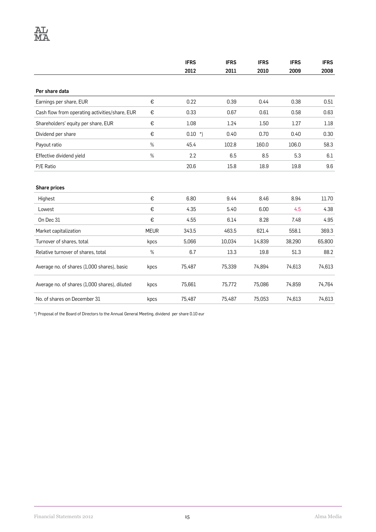|                                                |             | <b>IFRS</b> | <b>IFRS</b> | <b>IFRS</b> | <b>IFRS</b> | <b>IFRS</b> |
|------------------------------------------------|-------------|-------------|-------------|-------------|-------------|-------------|
|                                                |             | 2012        | 2011        | 2010        | 2009        | 2008        |
| Per share data                                 |             |             |             |             |             |             |
| Earnings per share, EUR                        | €           | 0.22        | 0.39        | 0.44        | 0.38        | 0.51        |
| Cash flow from operating activities/share, EUR | €           | 0.33        | 0.67        | 0.61        | 0.58        | 0.63        |
| Shareholders' equity per share, EUR            | €           | 1.08        | 1.24        | 1.50        | 1.27        | 1.18        |
| Dividend per share                             | €           | $0.10 *$    | 0.40        | 0.70        | 0.40        | 0.30        |
| Payout ratio                                   | $\%$        | 45.4        | 102.8       | 160.0       | 106.0       | 58.3        |
| Effective dividend yield                       | $\%$        | 2.2         | 6.5         | 8.5         | 5.3         | 6.1         |
| P/E Ratio                                      |             | 20.6        | 15.8        | 18.9        | 19.8        | 9.6         |
|                                                |             |             |             |             |             |             |
| Share prices                                   |             |             |             |             |             |             |
| Highest                                        | €           | 6.80        | 9.44        | 8.46        | 8.94        | 11.70       |
| Lowest                                         | €           | 4.35        | 5.40        | 6.00        | 4.5         | 4.38        |
| On Dec 31                                      | €           | 4.55        | 6.14        | 8.28        | 7.48        | 4.95        |
| Market capitalization                          | <b>MEUR</b> | 343.5       | 463.5       | 621.4       | 558.1       | 369.3       |
| Turnover of shares, total                      | kpcs        | 5,066       | 10,034      | 14,839      | 38,290      | 65,800      |
| Relative turnover of shares, total             | $\%$        | 6.7         | 13.3        | 19.8        | 51.3        | 88.2        |
| Average no. of shares (1,000 shares), basic    | kpcs        | 75,487      | 75,339      | 74,894      | 74,613      | 74,613      |
| Average no. of shares (1,000 shares), diluted  | kpcs        | 75,661      | 75.772      | 75,086      | 74,859      | 74,764      |
| No. of shares on December 31                   | kpcs        | 75,487      | 75,487      | 75,053      | 74,613      | 74,613      |

\*) Proposal of the Board of Directors to the Annual General Meeting, dividend per share 0.10 eur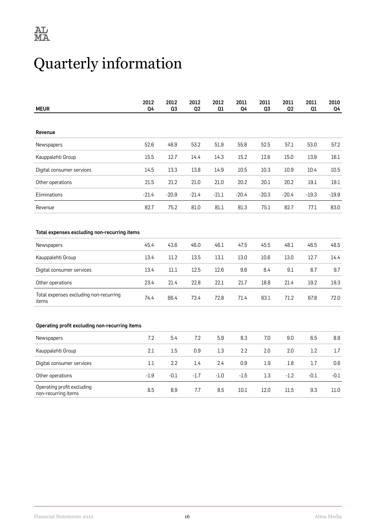# Quarterly information

| <b>MEUR</b>                                       | 2012<br>Q4 | 2012<br>Q3 | 2012<br>Q <sub>2</sub> | 2012<br>Q1 | 2011<br>Q4 | 2011<br>Q3 | 2011<br>Q <sub>2</sub> | 2011<br>Q1 | 2010<br>Q4 |
|---------------------------------------------------|------------|------------|------------------------|------------|------------|------------|------------------------|------------|------------|
|                                                   |            |            |                        |            |            |            |                        |            |            |
| Revenue                                           |            |            |                        |            |            |            |                        |            |            |
| Newspapers                                        | 52.6       | 48.9       | 53.2                   | 51.9       | 55.8       | 52.5       | 57.1                   | 53.0       | 57.2       |
| Kauppalehti Group                                 | 15.5       | 12.7       | 14.4                   | 14.3       | 15.2       | 12.6       | 15.0                   | 13.9       | 16.1       |
| Digital consumer services                         | 14.5       | 13.3       | 13.8                   | 14.9       | 10.5       | 10.3       | 10.9                   | 10.4       | 10.5       |
| Other operations                                  | 21.5       | 21.2       | 21.0                   | 21.0       | 20.2       | 20.1       | 20.2                   | 19.1       | 19.1       |
| Eliminations                                      | $-21.4$    | $-20.9$    | $-21.4$                | $-21.1$    | $-20.4$    | $-20.3$    | $-20.4$                | $-19.3$    | $-19.9$    |
| Revenue                                           | 82.7       | 75.2       | 81.0                   | 81.1       | 81.3       | 75.1       | 82.7                   | 77.1       | 83.0       |
|                                                   |            |            |                        |            |            |            |                        |            |            |
| Total expenses excluding non-recurring items      |            |            |                        |            |            |            |                        |            |            |
| Newspapers                                        | 45.4       | 43.6       | 46.0                   | 46.1       | 47.5       | 45.5       | 48.1                   | 46.5       | 48.5       |
| Kauppalehti Group                                 | 13.4       | 11.2       | 13.5                   | 13.1       | 13.0       | 10.6       | 13.0                   | 12.7       | 14.4       |
| Digital consumer services                         | 13.4       | 11.1       | 12.5                   | 12.6       | 9.6        | 8.4        | 9.1                    | 8.7        | 9.7        |
| Other operations                                  | 23.4       | 21.4       | 22.8                   | 22.1       | 21.7       | 18.8       | 21.4                   | 19.2       | 19.3       |
| Total expenses excluding non-recurring<br>items   | 74.4       | 66.4       | 73.4                   | 72.8       | 71.4       | 63.1       | 71.2                   | 67.8       | 72.0       |
|                                                   |            |            |                        |            |            |            |                        |            |            |
| Operating profit excluding non-recurring items    |            |            |                        |            |            |            |                        |            |            |
| Newspapers                                        | 7.2        | 5.4        | 7.2                    | 5.9        | 8.3        | 7.0        | 9.0                    | 6.5        | 8.8        |
| Kauppalehti Group                                 | 2.1        | 1.5        | 0.9                    | 1.3        | 2.2        | 2.0        | 2.0                    | 1.2        | 1.7        |
| Digital consumer services                         | 1.1        | 2.2        | 1.4                    | 2.4        | $0.9\,$    | 1.9        | 1.8                    | 1.7        | 0.6        |
| Other operations                                  | $-1.9$     | $-0.1$     | $-1.7$                 | $-1.0$     | $-1.5$     | 1.3        | $-1.2$                 | $-0.1$     | $-0.1$     |
| Operating profit excluding<br>non-recurring items | 8.5        | 8.9        | 7.7                    | 8.5        | 10.1       | 12.0       | 11.5                   | 9.3        | $11.0\,$   |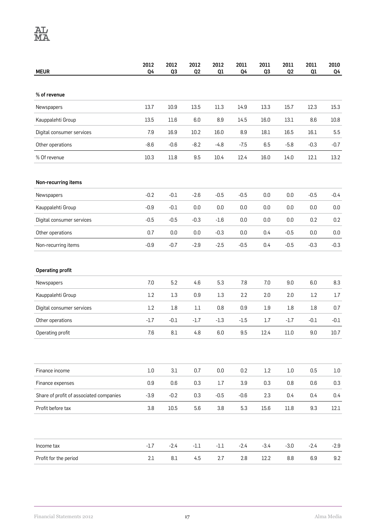| <b>MEUR</b>                             | 2012<br>Q4 | 2012<br>Q3 | 2012<br>Q <sub>2</sub> | 2012<br>Q1 | 2011<br>Q4 | 2011<br>Q3 | 2011<br>Q <sub>2</sub> | 2011<br>Q1 | 2010<br>Q4 |
|-----------------------------------------|------------|------------|------------------------|------------|------------|------------|------------------------|------------|------------|
|                                         |            |            |                        |            |            |            |                        |            |            |
| % of revenue                            |            |            |                        |            |            |            |                        |            |            |
| Newspapers                              | 13.7       | 10.9       | 13.5                   | 11.3       | 14.9       | 13.3       | 15.7                   | 12.3       | 15.3       |
| Kauppalehti Group                       | 13.5       | 11.6       | $6.0\,$                | 8.9        | 14.5       | 16.0       | 13.1                   | 8.6        | 10.8       |
| Digital consumer services               | 7.9        | 16.9       | 10.2                   | 16.0       | 8.9        | 18.1       | 16.5                   | 16.1       | 5.5        |
| Other operations                        | $-8.6$     | $-0.6$     | $-8.2$                 | $-4.8$     | $-7.5$     | 6.5        | $-5.8$                 | $-0.3$     | $-0.7$     |
| % Of revenue                            | 10.3       | $11.8\,$   | 9.5                    | 10.4       | 12.4       | 16.0       | 14.0                   | 12.1       | 13.2       |
| Non-recurring items                     |            |            |                        |            |            |            |                        |            |            |
| Newspapers                              | $-0.2$     | $-0.1$     | $-2.6$                 | $-0.5$     | $-0.5$     | $0.0\,$    | $0.0\,$                | $-0.5$     | $-0.4$     |
| Kauppalehti Group                       | $-0.9$     | $-0.1$     | $0.0\,$                | $0.0\,$    | $0.0\,$    | 0.0        | $0.0\,$                | $0.0\,$    | $0.0\,$    |
| Digital consumer services               | $-0.5$     | $-0.5$     | $-0.3$                 | $-1.6$     | $0.0\,$    | 0.0        | 0.0                    | 0.2        | 0.2        |
| Other operations                        | 0.7        | $0.0\,$    | $0.0\,$                | $-0.3$     | $0.0\,$    | 0.4        | $-0.5$                 | $0.0\,$    | $0.0\,$    |
| Non-recurring items                     | $-0.9$     | $-0.7$     | $-2.9$                 | $-2.5$     | $-0.5$     | 0.4        | $-0.5$                 | $-0.3$     | $-0.3$     |
| <b>Operating profit</b>                 |            |            |                        |            |            |            |                        |            |            |
| Newspapers                              | 7.0        | 5.2        | 4.6                    | 5.3        | 7.8        | 7.0        | 9.0                    | 6.0        | 8.3        |
| Kauppalehti Group                       | 1.2        | $1.3\,$    | 0.9                    | $1.3\,$    | 2.2        | 2.0        | 2.0                    | 1.2        | 1.7        |
| Digital consumer services               | 1.2        | $1.8\,$    | $1.1\,$                | 0.8        | 0.9        | 1.9        | $1.8\,$                | $1.8\,$    | 0.7        |
| Other operations                        | $-1.7$     | $-0.1$     | $-1.7$                 | $-1.3$     | $-1.5$     | 1.7        | $-1.7$                 | $-0.1$     | $-0.1$     |
| Operating profit                        | 7.6        | 8.1        | 4.8                    | 6.0        | 9.5        | 12.4       | $11.0\,$               | 9.0        | 10.7       |
|                                         |            |            |                        |            |            |            |                        |            |            |
| Finance income                          | $1.0\,$    | 3.1        | 0.7                    | $0.0\,$    | 0.2        | $1.2\,$    | $1.0\,$                | 0.5        | $1.0\,$    |
| Finance expenses                        | 0.9        | 0.6        | 0.3                    | 1.7        | 3.9        | 0.3        | 0.8                    | $0.6\,$    | 0.3        |
| Share of profit of associated companies | $-3.9$     | $-0.2$     | 0.3                    | $-0.5$     | $-0.6$     | 2.3        | 0.4                    | 0.4        | 0.4        |
| Profit before tax                       | $3.8\,$    | $10.5\,$   | $5.6\,$                | $3.8\,$    | 5.3        | 15.6       | $11.8\,$               | 9.3        | 12.1       |
|                                         |            |            |                        |            |            |            |                        |            |            |
| Income tax                              | $-1.7$     | $-2.4$     | $\text{-}1.1$          | $-1.1$     | $-2.4$     | $-3.4$     | $-3.0$                 | $-2.4$     | $-2.9$     |
| Profit for the period                   | 2.1        | $\rm 8.1$  | 4.5                    | 2.7        | 2.8        | 12.2       | $8.8\,$                | $6.9\,$    | 9.2        |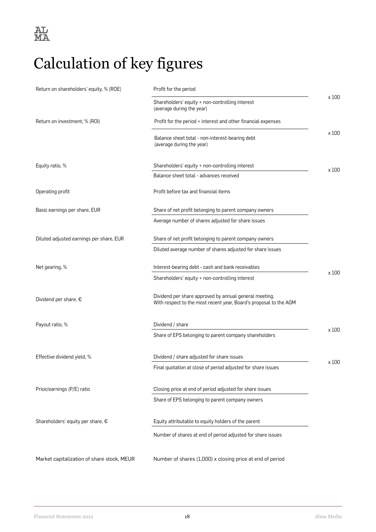

# Calculation of key figures

| Return on shareholders' equity, % (ROE)    | Profit for the period                                                                                                       |       |
|--------------------------------------------|-----------------------------------------------------------------------------------------------------------------------------|-------|
|                                            | Shareholders' equity + non-controlling interest<br>(average during the year)                                                | x 100 |
| Return on investment, % (ROI)              | Profit for the period + interest and other financial expenses                                                               |       |
|                                            | Balance sheet total - non-interest-bearing debt<br>(average during the year)                                                | x 100 |
| Equity ratio, %                            | Shareholders' equity + non-controlling interest                                                                             | x 100 |
|                                            | Balance sheet total - advances received                                                                                     |       |
| Operating profit                           | Profit before tax and financial items                                                                                       |       |
| Basic earnings per share, EUR              | Share of net profit belonging to parent company owners                                                                      |       |
|                                            | Average number of shares adjusted for share issues                                                                          |       |
| Diluted adjusted earnings per share, EUR   | Share of net profit belonging to parent company owners                                                                      |       |
|                                            | Diluted average number of shares adjusted for share issues                                                                  |       |
| Net gearing, %                             | Interest-bearing debt - cash and bank receivables                                                                           |       |
|                                            | Shareholders' equity + non-controlling interest                                                                             | x 100 |
| Dividend per share, $\epsilon$             | Dividend per share approved by annual general meeting.<br>With respect to the most recent year, Board's proposal to the AGM |       |
| Payout ratio, %                            | Dividend / share                                                                                                            | x 100 |
|                                            | Share of EPS belonging to parent company shareholders                                                                       |       |
| Effective dividend yield, %                | Dividend / share adjusted for share issues                                                                                  |       |
|                                            | Final quotation at close of period adjusted for share issues                                                                | x 100 |
| Price/earnings (P/E) ratio                 | Closing price at end of period adjusted for share issues                                                                    |       |
|                                            | Share of EPS belonging to parent company owners                                                                             |       |
| Shareholders' equity per share, €          | Equity attributable to equity holders of the parent                                                                         |       |
|                                            | Number of shares at end of period adjusted for share issues                                                                 |       |
| Market capitalization of share stock, MEUR | Number of shares (1,000) x closing price at end of period                                                                   |       |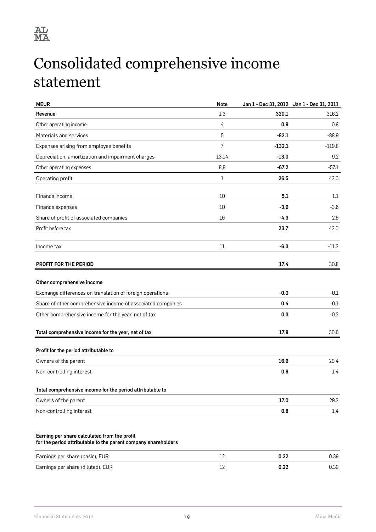

## Consolidated comprehensive income statement

| <b>MEUR</b>                                                 | <b>Note</b>    |          | Jan 1 - Dec 31, 2012 Jan 1 - Dec 31, 2011 |
|-------------------------------------------------------------|----------------|----------|-------------------------------------------|
| Revenue                                                     | 1,3            | 320.1    | 316.2                                     |
| Other operating income                                      | 4              | 0.9      | 0.8                                       |
| Materials and services                                      | 5              | $-82.1$  | $-88.9$                                   |
| Expenses arising from employee benefits                     | $\overline{7}$ | $-132.1$ | $-119.8$                                  |
| Depreciation, amortization and impairment charges           | 13,14          | $-13.0$  | $-9.2$                                    |
| Other operating expenses                                    | 8,9            | $-67.2$  | $-57.1$                                   |
| Operating profit                                            | $1\,$          | 26.5     | 42.0                                      |
| Finance income                                              | 10             | 5.1      | $1.1\,$                                   |
|                                                             | 10             | $-3.6$   | $-3.6$                                    |
| Finance expenses                                            |                |          |                                           |
| Share of profit of associated companies                     | 16             | $-4.3$   | 2.5                                       |
| Profit before tax                                           |                | 23.7     | 42.0                                      |
| Income tax                                                  | 11             | $-6.3$   | $-11.2$                                   |
| PROFIT FOR THE PERIOD                                       |                | 17.4     | 30.8                                      |
| Other comprehensive income                                  |                |          |                                           |
| Exchange differences on translation of foreign operations   |                | $-0.0$   | $-0.1$                                    |
| Share of other comprehensive income of associated companies |                | 0.4      | $-0.1$                                    |
| Other comprehensive income for the year, net of tax         |                | 0.3      | $-0.2$                                    |
| Total comprehensive income for the year, net of tax         |                | 17.8     | 30.6                                      |
| Profit for the period attributable to                       |                |          |                                           |
| Owners of the parent                                        |                | 16.6     | 29.4                                      |
| Non-controlling interest                                    |                | 0.8      | 1.4                                       |
| Total comprehensive income for the period attributable to   |                |          |                                           |
| Owners of the parent                                        |                | 17.0     | 29.2                                      |
| Non-controlling interest                                    |                | 0.8      | 1.4                                       |
| Earning per share calculated from the profit                |                |          |                                           |

for the period attributable to the parent company shareholders

| Earnings per share (basic), EUR   |  | 0.39 |
|-----------------------------------|--|------|
| Earnings per share (diluted), EUR |  | 0.39 |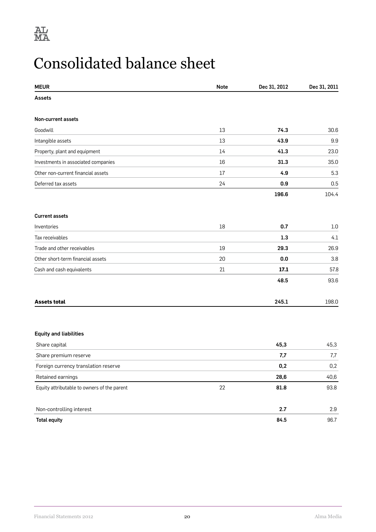## Consolidated balance sheet

| <b>MEUR</b>                                 | <b>Note</b> | Dec 31, 2012 | Dec 31, 2011 |
|---------------------------------------------|-------------|--------------|--------------|
| Assets                                      |             |              |              |
| Non-current assets                          |             |              |              |
| Goodwill                                    | 13          | 74.3         | 30.6         |
| Intangible assets                           | 13          | 43.9         | 9.9          |
| Property, plant and equipment               | 14          | 41.3         | 23.0         |
| Investments in associated companies         | 16          | 31.3         | 35.0         |
| Other non-current financial assets          | 17          | 4.9          | 5.3          |
| Deferred tax assets                         | 24          | 0.9          | 0.5          |
|                                             |             | 196.6        | 104.4        |
| <b>Current assets</b>                       |             |              |              |
| Inventories                                 | 18          | 0.7          | 1.0          |
| Tax receivables                             |             | 1.3          | 4.1          |
| Trade and other receivables                 | 19          | 29.3         | 26.9         |
| Other short-term financial assets           | 20          | 0.0          | 3.8          |
| Cash and cash equivalents                   | 21          | 17.1         | 57.8         |
|                                             |             | 48.5         | 93.6         |
| <b>Assets total</b>                         |             | 245.1        | 198.0        |
| <b>Equity and liabilities</b>               |             |              |              |
| Share capital                               |             | 45,3         | 45,3         |
| Share premium reserve                       |             | 7,7          | 7,7          |
| Foreign currency translation reserve        |             | 0,2          | 0,2          |
| Retained earnings                           |             | 28,6         | 40,6         |
| Equity attributable to owners of the parent | 22          | $\pmb{81.8}$ | 93.8         |
| Non-controlling interest                    |             | 2.7          | 2.9          |
| <b>Total equity</b>                         |             | 84.5         | 96.7         |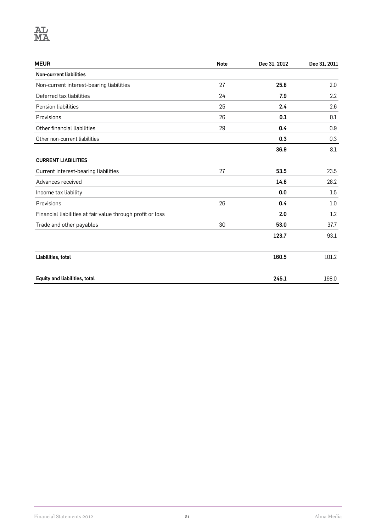## **AL<br>MA**

| <b>MEUR</b>                                                | <b>Note</b> | Dec 31, 2012 | Dec 31, 2011 |
|------------------------------------------------------------|-------------|--------------|--------------|
| <b>Non-current liabilities</b>                             |             |              |              |
| Non-current interest-bearing liabilities                   | 27          | 25.8         | 2.0          |
| Deferred tax liabilities                                   | 24          | 7.9          | 2.2          |
| <b>Pension liabilities</b>                                 | 25          | 2.4          | 2.6          |
| Provisions                                                 | 26          | 0.1          | 0.1          |
| Other financial liabilities                                | 29          | 0.4          | 0.9          |
| Other non-current liabilities                              |             | 0.3          | 0.3          |
|                                                            |             | 36.9         | 8.1          |
| <b>CURRENT LIABILITIES</b>                                 |             |              |              |
| Current interest-bearing liabilities                       | 27          | 53.5         | 23.5         |
| Advances received                                          |             | 14.8         | 28.2         |
| Income tax liability                                       |             | 0.0          | 1.5          |
| Provisions                                                 | 26          | 0.4          | 1.0          |
| Financial liabilities at fair value through profit or loss |             | 2.0          | 1.2          |
| Trade and other payables                                   | 30          | 53.0         | 37.7         |
|                                                            |             | 123.7        | 93.1         |
| Liabilities, total                                         |             | 160.5        | 101.2        |
| <b>Equity and liabilities, total</b>                       |             | 245.1        | 198.0        |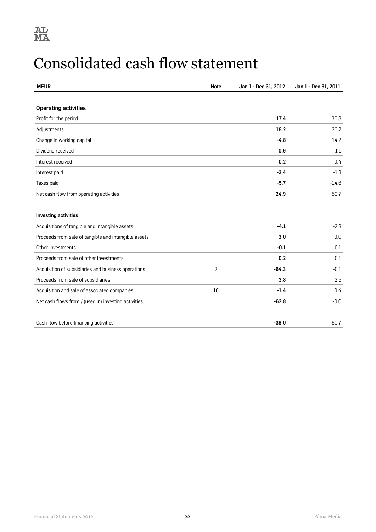## Consolidated cash flow statement

| <b>MEUR</b>                                          | <b>Note</b> | Jan 1 - Dec 31, 2012 | Jan 1 - Dec 31, 2011 |
|------------------------------------------------------|-------------|----------------------|----------------------|
|                                                      |             |                      |                      |
| <b>Operating activities</b>                          |             |                      |                      |
| Profit for the period                                |             | 17.4                 | 30.8                 |
| Adjustments                                          |             | 19.2                 | 20.2                 |
| Change in working capital                            |             | $-4.8$               | 14.2                 |
| Dividend received                                    |             | 0.9                  | 1.1                  |
| Interest received                                    |             | 0.2                  | 0.4                  |
| Interest paid                                        |             | $-2.4$               | $-1.3$               |
| Taxes paid                                           |             | $-5.7$               | $-14.6$              |
| Net cash flow from operating activities              |             | 24.9                 | 50.7                 |
|                                                      |             |                      |                      |
| Investing activities                                 |             |                      |                      |
| Acquisitions of tangible and intangible assets       |             | $-4.1$               | $-2.8$               |
| Proceeds from sale of tangible and intangible assets |             | 3.0                  | 0.0                  |
| Other investments                                    |             | $-0.1$               | $-0.1$               |
| Proceeds from sale of other investments              |             | 0.2                  | 0.1                  |
| Acquisition of subsidiaries and business operations  | 2           | $-64.3$              | $-0.1$               |
| Proceeds from sale of subsidiaries                   |             | 3.8                  | 2.5                  |
| Acquisition and sale of associated companies         | 16          | $-1.4$               | 0.4                  |
| Net cash flows from / (used in) investing activities |             | $-62.8$              | $-0.0$               |
|                                                      |             |                      |                      |
| Cash flow before financing activities                |             | $-38.0$              | 50.7                 |
|                                                      |             |                      |                      |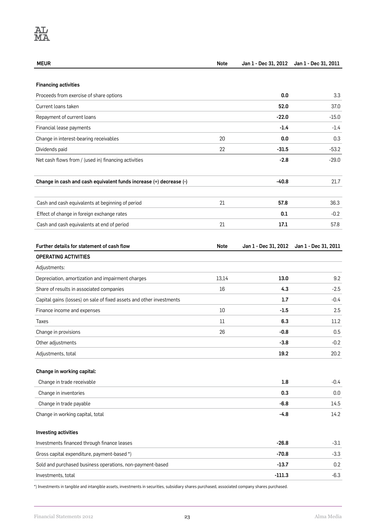| <b>MEUR</b>                                                                                              | <b>Note</b> | Jan 1 - Dec 31, 2012 | Jan 1 - Dec 31, 2011 |
|----------------------------------------------------------------------------------------------------------|-------------|----------------------|----------------------|
|                                                                                                          |             |                      |                      |
| <b>Financing activities</b>                                                                              |             |                      |                      |
| Proceeds from exercise of share options                                                                  |             | 0.0                  | 3.3                  |
| Current loans taken                                                                                      |             | 52.0                 | 37.0                 |
| Repayment of current loans                                                                               |             | $-22.0$              | $-15.0$              |
| Financial lease payments                                                                                 |             | $-1.4$               | -1.4                 |
| Change in interest-bearing receivables                                                                   | 20          | 0.0                  | 0.3                  |
| Dividends paid                                                                                           | 22          | $-31.5$              | $-53.2$              |
| Net cash flows from / (used in) financing activities                                                     |             | $-2.8$               | $-29.0$              |
| Change in cash and cash equivalent funds increase (+) decrease (-)                                       |             | $-40.8$              | 21.7                 |
| Cash and cash equivalents at beginning of period                                                         | 21          | 57.8                 | 36.3                 |
| Effect of change in foreign exchange rates                                                               |             | 0.1                  | $-0.2$               |
| Cash and cash equivalents at end of period                                                               | 21          | 17.1                 | 57.8                 |
|                                                                                                          |             |                      |                      |
| Further details for statement of cash flow                                                               | Note        | Jan 1 - Dec 31, 2012 | Jan 1 - Dec 31, 2011 |
| <b>OPERATING ACTIVITIES</b>                                                                              |             |                      |                      |
| Adjustments:                                                                                             |             |                      |                      |
| Depreciation, amortization and impairment charges                                                        | 13,14       | 13.0                 | 9.2                  |
| Share of results in associated companies                                                                 | 16          | 4.3                  | $-2.5$               |
| Capital gains (losses) on sale of fixed assets and other investments                                     |             | 1.7                  | $-0.4$               |
| Finance income and expenses                                                                              | 10          | $-1.5$               |                      |
| Taxes                                                                                                    |             |                      | 2.5                  |
|                                                                                                          | 11          | 6.3                  | 11.2                 |
| Change in provisions                                                                                     | 26          | $-0.8$               | 0.5                  |
| Other adjustments                                                                                        |             | $-3.8$               | $-0.2$               |
| Adjustments, total                                                                                       |             | 19.2                 | 20.2                 |
| Change in working capital:                                                                               |             |                      |                      |
| Change in trade receivable                                                                               |             | $1.8\,$              | $-0.4$               |
| Change in inventories                                                                                    |             | 0.3                  | 0.0                  |
| Change in trade payable                                                                                  |             | $-6.8$               | 14.5                 |
| Change in working capital, total                                                                         |             | $-4.8$               | 14.2                 |
|                                                                                                          |             |                      |                      |
| Investing activities                                                                                     |             |                      |                      |
| Investments financed through finance leases                                                              |             | $-26.8$              | $-3.1$               |
| Gross capital expenditure, payment-based *)<br>Sold and purchased business operations, non-payment-based |             | $-70.8$<br>$-13.7$   | $-3.3$<br>0.2        |

\*) Investments in tangible and intangible assets, investments in securities, subsidiary shares purchased, associated company shares purchased.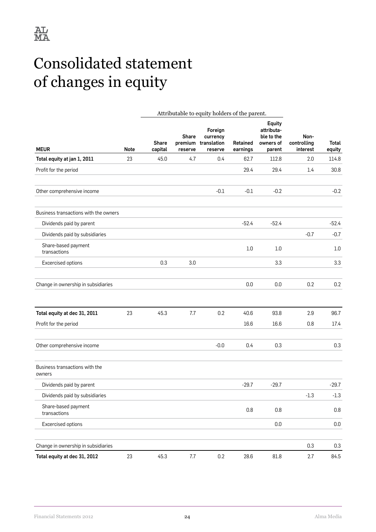## Consolidated statement of changes in equity

|                                          |             | Attributable to equity holders of the parent. |                         |                                                       |                             |                                                           |                                 |                 |
|------------------------------------------|-------------|-----------------------------------------------|-------------------------|-------------------------------------------------------|-----------------------------|-----------------------------------------------------------|---------------------------------|-----------------|
| <b>MEUR</b>                              | <b>Note</b> | <b>Share</b><br>capital                       | <b>Share</b><br>reserve | Foreign<br>currency<br>premium translation<br>reserve | <b>Retained</b><br>earnings | Equity<br>attributa-<br>ble to the<br>owners of<br>parent | Non-<br>controlling<br>interest | Total<br>equity |
| Total equity at jan 1, 2011              | 23          | 45.0                                          | 4.7                     | 0.4                                                   | 62.7                        | 112.8                                                     | 2.0                             | 114.8           |
| Profit for the period                    |             |                                               |                         |                                                       | 29.4                        | 29.4                                                      | 1.4                             | 30.8            |
| Other comprehensive income               |             |                                               |                         | $-0.1$                                                | $-0.1$                      | $-0.2$                                                    |                                 | $-0.2$          |
| Business transactions with the owners    |             |                                               |                         |                                                       |                             |                                                           |                                 |                 |
| Dividends paid by parent                 |             |                                               |                         |                                                       | $-52.4$                     | $-52.4$                                                   |                                 | $-52.4$         |
| Dividends paid by subsidiaries           |             |                                               |                         |                                                       |                             |                                                           | $-0.7$                          | $-0.7$          |
| Share-based payment<br>transactions      |             |                                               |                         |                                                       | $1.0\,$                     | 1.0                                                       |                                 | 1.0             |
| <b>Excercised options</b>                |             | 0.3                                           | 3.0                     |                                                       |                             | 3.3                                                       |                                 | 3.3             |
| Change in ownership in subsidiaries      |             |                                               |                         |                                                       | 0.0                         | 0.0                                                       | 0.2                             | 0.2             |
| Total equity at dec 31, 2011             | 23          | 45.3                                          | 7.7                     | 0.2                                                   | 40.6                        | 93.8                                                      | 2.9                             | 96.7            |
| Profit for the period                    |             |                                               |                         |                                                       | 16.6                        | 16.6                                                      | 0.8                             | 17.4            |
| Other comprehensive income               |             |                                               |                         | $-0.0$                                                | 0.4                         | 0.3                                                       |                                 | 0.3             |
| Business transactions with the<br>owners |             |                                               |                         |                                                       |                             |                                                           |                                 |                 |
| Dividends paid by parent                 |             |                                               |                         |                                                       | $-29.7$                     | $-29.7$                                                   |                                 | $-29.7$         |
| Dividends paid by subsidiaries           |             |                                               |                         |                                                       |                             |                                                           | $-1.3$                          | $-1.3$          |
| Share-based payment<br>transactions      |             |                                               |                         |                                                       | 0.8                         | $0.8\,$                                                   |                                 | $0.8\,$         |
| Excercised options                       |             |                                               |                         |                                                       |                             | $0.0\,$                                                   |                                 | $0.0\,$         |
| Change in ownership in subsidiaries      |             |                                               |                         |                                                       |                             |                                                           | 0.3                             | 0.3             |
| Total equity at dec 31, 2012             | 23          | 45.3                                          | $7.7\,$                 | 0.2                                                   | 28.6                        | $81.8\,$                                                  | 2.7                             | 84.5            |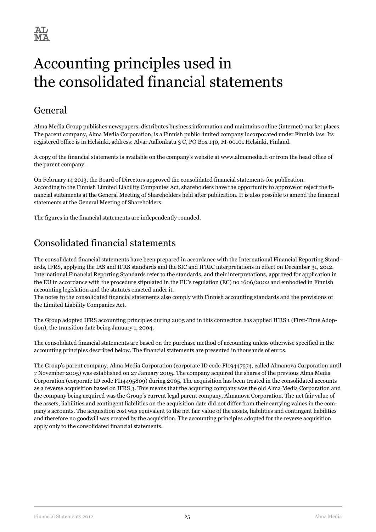## Accounting principles used in the consolidated financial statements

## General

Alma Media Group publishes newspapers, distributes business information and maintains online (internet) market places. The parent company, Alma Media Corporation, is a Finnish public limited company incorporated under Finnish law. Its registered office is in Helsinki, address: Alvar Aallonkatu 3 C, PO Box 140, FI-00101 Helsinki, Finland.

A copy of the financial statements is available on the company's website at www.almamedia.fi or from the head office of the parent company.

On February 14 2013, the Board of Directors approved the consolidated financial statements for publication. According to the Finnish Limited Liability Companies Act, shareholders have the opportunity to approve or reject the financial statements at the General Meeting of Shareholders held after publication. It is also possible to amend the financial statements at the General Meeting of Shareholders.

The figures in the financial statements are independently rounded.

## Consolidated financial statements

The consolidated financial statements have been prepared in accordance with the International Financial Reporting Standards, IFRS, applying the IAS and IFRS standards and the SIC and IFRIC interpretations in effect on December 31, 2012. International Financial Reporting Standards refer to the standards, and their interpretations, approved for application in the EU in accordance with the procedure stipulated in the EU's regulation (EC) no 1606/2002 and embodied in Finnish accounting legislation and the statutes enacted under it.

The notes to the consolidated financial statements also comply with Finnish accounting standards and the provisions of the Limited Liability Companies Act.

The Group adopted IFRS accounting principles during 2005 and in this connection has applied IFRS 1 (First-Time Adoption), the transition date being January 1, 2004.

The consolidated financial statements are based on the purchase method of accounting unless otherwise specified in the accounting principles described below. The financial statements are presented in thousands of euros.

The Group's parent company, Alma Media Corporation (corporate ID code FI19447574, called Almanova Corporation until 7 November 2005) was established on 27 January 2005. The company acquired the shares of the previous Alma Media Corporation (corporate ID code FI14495809) during 2005. The acquisition has been treated in the consolidated accounts as a reverse acquisition based on IFRS 3. This means that the acquiring company was the old Alma Media Corporation and the company being acquired was the Group's current legal parent company, Almanova Corporation. The net fair value of the assets, liabilities and contingent liabilities on the acquisition date did not differ from their carrying values in the company's accounts. The acquisition cost was equivalent to the net fair value of the assets, liabilities and contingent liabilities and therefore no goodwill was created by the acquisition. The accounting principles adopted for the reverse acquisition apply only to the consolidated financial statements.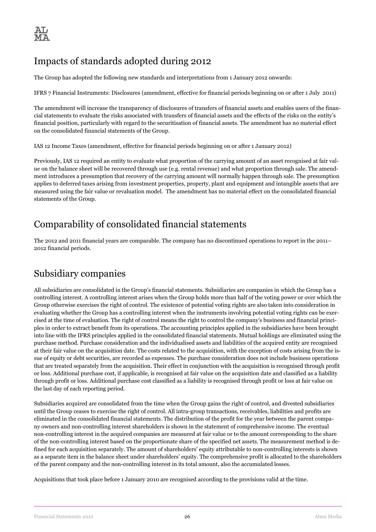## Impacts of standards adopted during 2012

The Group has adopted the following new standards and interpretations from 1 January 2012 onwards:

IFRS 7 Financial Instruments: Disclosures (amendment, effective for financial periods beginning on or after 1 July 2011)

The amendment will increase the transparency of disclosures of transfers of financial assets and enables users of the financial statements to evaluate the risks associated with transfers of financial assets and the effects of the risks on the entity's financial position, particularly with regard to the securitisation of financial assets. The amendment has no material effect on the consolidated financial statements of the Group.

IAS 12 Income Taxes (amendment, effective for financial periods beginning on or after 1 January 2012)

Previously, IAS 12 required an entity to evaluate what proportion of the carrying amount of an asset recognised at fair value on the balance sheet will be recovered through use (e.g. rental revenue) and what proportion through sale. The amendment introduces a presumption that recovery of the carrying amount will normally happen through sale. The presumption applies to deferred taxes arising from investment properties, property, plant and equipment and intangible assets that are measured using the fair value or revaluation model. The amendment has no material effect on the consolidated financial statements of the Group.

## Comparability of consolidated financial statements

The 2012 and 2011 financial years are comparable. The company has no discontinued operations to report in the 2011– 2012 financial periods.

## Subsidiary companies

All subsidiaries are consolidated in the Group's financial statements. Subsidiaries are companies in which the Group has a controlling interest. A controlling interest arises when the Group holds more than half of the voting power or over which the Group otherwise exercises the right of control. The existence of potential voting rights are also taken into consideration in evaluating whether the Group has a controlling interest when the instruments involving potential voting rights can be exercised at the time of evaluation. The right of control means the right to control the company's business and financial principles in order to extract benefit from its operations. The accounting principles applied in the subsidiaries have been brought into line with the IFRS principles applied in the consolidated financial statements. Mutual holdings are eliminated using the purchase method. Purchase consideration and the individualised assets and liabilities of the acquired entity are recognised at their fair value on the acquisition date. The costs related to the acquisition, with the exception of costs arising from the issue of equity or debt securities, are recorded as expenses. The purchase consideration does not include business operations that are treated separately from the acquisition. Their effect in conjunction with the acquisition is recognised through profit or loss. Additional purchase cost, if applicable, is recognised at fair value on the acquisition date and classified as a liability through profit or loss. Additional purchase cost classified as a liability is recognised through profit or loss at fair value on the last day of each reporting period.

Subsidiaries acquired are consolidated from the time when the Group gains the right of control, and divested subsidiaries until the Group ceases to exercise the right of control. All intra-group transactions, receivables, liabilities and profits are eliminated in the consolidated financial statements. The distribution of the profit for the year between the parent company owners and non-controlling interest shareholders is shown in the statement of comprehensive income. The eventual non-controlling interest in the acquired companies are measured at fair value or to the amount corresponding to the share of the non-controlling interest based on the proportionate share of the specified net assets. The measurement method is defined for each acquisition separately. The amount of shareholders' equity attributable to non-controlling interests is shown as a separate item in the balance sheet under shareholders' equity. The comprehensive profit is allocated to the shareholders of the parent company and the non-controlling interest in its total amount, also the accumulated losses.

Acquisitions that took place before 1 January 2010 are recognised according to the provisions valid at the time.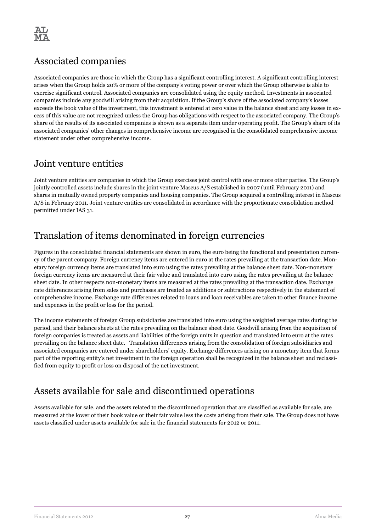### Associated companies

Associated companies are those in which the Group has a significant controlling interest. A significant controlling interest arises when the Group holds 20% or more of the company's voting power or over which the Group otherwise is able to exercise significant control. Associated companies are consolidated using the equity method. Investments in associated companies include any goodwill arising from their acquisition. If the Group's share of the associated company's losses exceeds the book value of the investment, this investment is entered at zero value in the balance sheet and any losses in excess of this value are not recognized unless the Group has obligations with respect to the associated company. The Group's share of the results of its associated companies is shown as a separate item under operating profit. The Group's share of its associated companies' other changes in comprehensive income are recognised in the consolidated comprehensive income statement under other comprehensive income.

### Joint venture entities

Joint venture entities are companies in which the Group exercises joint control with one or more other parties. The Group's jointly controlled assets include shares in the joint venture Mascus A/S established in 2007 (until February 2011) and shares in mutually owned property companies and housing companies. The Group acquired a controlling interest in Mascus A/S in February 2011. Joint venture entities are consolidated in accordance with the proportionate consolidation method permitted under IAS 31.

### Translation of items denominated in foreign currencies

Figures in the consolidated financial statements are shown in euro, the euro being the functional and presentation currency of the parent company. Foreign currency items are entered in euro at the rates prevailing at the transaction date. Monetary foreign currency items are translated into euro using the rates prevailing at the balance sheet date. Non-monetary foreign currency items are measured at their fair value and translated into euro using the rates prevailing at the balance sheet date. In other respects non-monetary items are measured at the rates prevailing at the transaction date. Exchange rate differences arising from sales and purchases are treated as additions or subtractions respectively in the statement of comprehensive income. Exchange rate differences related to loans and loan receivables are taken to other finance income and expenses in the profit or loss for the period.

The income statements of foreign Group subsidiaries are translated into euro using the weighted average rates during the period, and their balance sheets at the rates prevailing on the balance sheet date. Goodwill arising from the acquisition of foreign companies is treated as assets and liabilities of the foreign units in question and translated into euro at the rates prevailing on the balance sheet date. Translation differences arising from the consolidation of foreign subsidiaries and associated companies are entered under shareholders' equity. Exchange differences arising on a monetary item that forms part of the reporting entity's net investment in the foreign operation shall be recognized in the balance sheet and reclassified from equity to profit or loss on disposal of the net investment.

## Assets available for sale and discontinued operations

Assets available for sale, and the assets related to the discontinued operation that are classified as available for sale, are measured at the lower of their book value or their fair value less the costs arising from their sale. The Group does not have assets classified under assets available for sale in the financial statements for 2012 or 2011.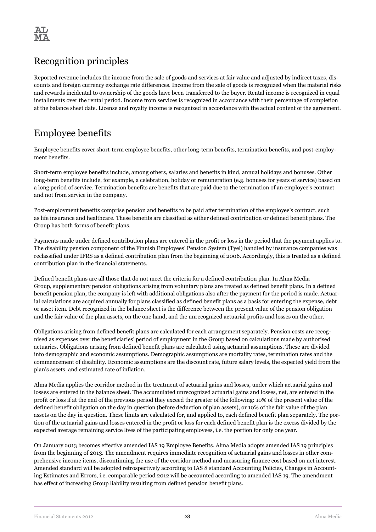### Recognition principles

Reported revenue includes the income from the sale of goods and services at fair value and adjusted by indirect taxes, discounts and foreign currency exchange rate differences. Income from the sale of goods is recognized when the material risks and rewards incidental to ownership of the goods have been transferred to the buyer. Rental income is recognized in equal installments over the rental period. Income from services is recognized in accordance with their percentage of completion at the balance sheet date. License and royalty income is recognized in accordance with the actual content of the agreement.

## Employee benefits

Employee benefits cover short-term employee benefits, other long-term benefits, termination benefits, and post-employment benefits.

Short-term employee benefits include, among others, salaries and benefits in kind, annual holidays and bonuses. Other long-term benefits include, for example, a celebration, holiday or remuneration (e.g. bonuses for years of service) based on a long period of service. Termination benefits are benefits that are paid due to the termination of an employee's contract and not from service in the company.

Post-employment benefits comprise pension and benefits to be paid after termination of the employee's contract, such as life insurance and healthcare. These benefits are classified as either defined contribution or defined benefit plans. The Group has both forms of benefit plans.

Payments made under defined contribution plans are entered in the profit or loss in the period that the payment applies to. The disability pension component of the Finnish Employees' Pension System (Tyel) handled by insurance companies was reclassified under IFRS as a defined contribution plan from the beginning of 2006. Accordingly, this is treated as a defined contribution plan in the financial statements.

Defined benefit plans are all those that do not meet the criteria for a defined contribution plan. In Alma Media Group, supplementary pension obligations arising from voluntary plans are treated as defined benefit plans. In a defined benefit pension plan, the company is left with additional obligations also after the payment for the period is made. Actuarial calculations are acquired annually for plans classified as defined benefit plans as a basis for entering the expense, debt or asset item. Debt recognized in the balance sheet is the difference between the present value of the pension obligation and the fair value of the plan assets, on the one hand, and the unrecognized actuarial profits and losses on the other.

Obligations arising from defined benefit plans are calculated for each arrangement separately. Pension costs are recognised as expenses over the beneficiaries' period of employment in the Group based on calculations made by authorised actuaries. Obligations arising from defined benefit plans are calculated using actuarial assumptions. These are divided into demographic and economic assumptions. Demographic assumptions are mortality rates, termination rates and the commencement of disability. Economic assumptions are the discount rate, future salary levels, the expected yield from the plan's assets, and estimated rate of inflation.

Alma Media applies the corridor method in the treatment of actuarial gains and losses, under which actuarial gains and losses are entered in the balance sheet. The accumulated unrecognized actuarial gains and losses, net, are entered in the profit or loss if at the end of the previous period they exceed the greater of the following: 10% of the present value of the defined benefit obligation on the day in question (before deduction of plan assets), or 10% of the fair value of the plan assets on the day in question. These limits are calculated for, and applied to, each defined benefit plan separately. The portion of the actuarial gains and losses entered in the profit or loss for each defined benefit plan is the excess divided by the expected average remaining service lives of the participating employees, i.e. the portion for only one year.

On January 2013 becomes effective amended IAS 19 Employee Benefits. Alma Media adopts amended IAS 19 principles from the beginning of 2013. The amendment requires immediate recognition of actuarial gains and losses in other comprehensive income items, discontinuing the use of the corridor method and measuring finance cost based on net interest. Amended standard will be adopted retrospectively according to IAS 8 standard Accounting Policies, Changes in Accounting Estimates and Errors, i.e. comparable period 2012 will be accounted according to amended IAS 19. The amendment has effect of increasing Group liability resulting from defined pension benefit plans.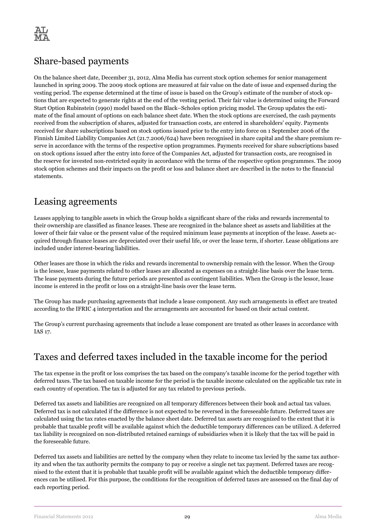### Share-based payments

On the balance sheet date, December 31, 2012, Alma Media has current stock option schemes for senior management launched in spring 2009. The 2009 stock options are measured at fair value on the date of issue and expensed during the vesting period. The expense determined at the time of issue is based on the Group's estimate of the number of stock options that are expected to generate rights at the end of the vesting period. Their fair value is determined using the Forward Start Option Rubinstein (1990) model based on the Black–Scholes option pricing model. The Group updates the estimate of the final amount of options on each balance sheet date. When the stock options are exercised, the cash payments received from the subscription of shares, adjusted for transaction costs, are entered in shareholders' equity. Payments received for share subscriptions based on stock options issued prior to the entry into force on 1 September 2006 of the Finnish Limited Liability Companies Act (21.7.2006/624) have been recognised in share capital and the share premium reserve in accordance with the terms of the respective option programmes. Payments received for share subscriptions based on stock options issued after the entry into force of the Companies Act, adjusted for transaction costs, are recognised in the reserve for invested non-restricted equity in accordance with the terms of the respective option programmes. The 2009 stock option schemes and their impacts on the profit or loss and balance sheet are described in the notes to the financial statements.

#### Leasing agreements

Leases applying to tangible assets in which the Group holds a significant share of the risks and rewards incremental to their ownership are classified as finance leases. These are recognized in the balance sheet as assets and liabilities at the lower of their fair value or the present value of the required minimum lease payments at inception of the lease. Assets acquired through finance leases are depreciated over their useful life, or over the lease term, if shorter. Lease obligations are included under interest-bearing liabilities.

Other leases are those in which the risks and rewards incremental to ownership remain with the lessor. When the Group is the lessee, lease payments related to other leases are allocated as expenses on a straight-line basis over the lease term. The lease payments during the future periods are presented as contingent liabilities. When the Group is the lessor, lease income is entered in the profit or loss on a straight-line basis over the lease term.

The Group has made purchasing agreements that include a lease component. Any such arrangements in effect are treated according to the IFRIC 4 interpretation and the arrangements are accounted for based on their actual content.

The Group's current purchasing agreements that include a lease component are treated as other leases in accordance with IAS 17.

### Taxes and deferred taxes included in the taxable income for the period

The tax expense in the profit or loss comprises the tax based on the company's taxable income for the period together with deferred taxes. The tax based on taxable income for the period is the taxable income calculated on the applicable tax rate in each country of operation. The tax is adjusted for any tax related to previous periods.

Deferred tax assets and liabilities are recognized on all temporary differences between their book and actual tax values. Deferred tax is not calculated if the difference is not expected to be reversed in the foreseeable future. Deferred taxes are calculated using the tax rates enacted by the balance sheet date. Deferred tax assets are recognized to the extent that it is probable that taxable profit will be available against which the deductible temporary differences can be utilized. A deferred tax liability is recognized on non-distributed retained earnings of subsidiaries when it is likely that the tax will be paid in the foreseeable future.

Deferred tax assets and liabilities are netted by the company when they relate to income tax levied by the same tax authority and when the tax authority permits the company to pay or receive a single net tax payment. Deferred taxes are recognised to the extent that it is probable that taxable profit will be available against which the deductible temporary differences can be utilised. For this purpose, the conditions for the recognition of deferred taxes are assessed on the final day of each reporting period.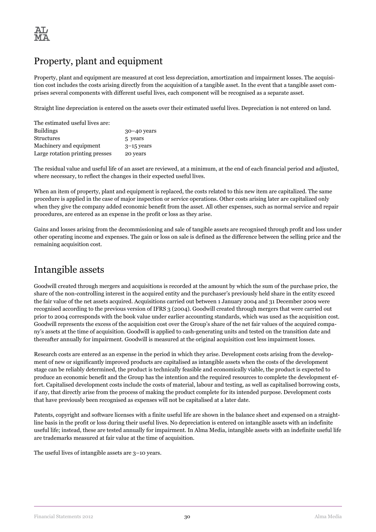### Property, plant and equipment

Property, plant and equipment are measured at cost less depreciation, amortization and impairment losses. The acquisition cost includes the costs arising directly from the acquisition of a tangible asset. In the event that a tangible asset comprises several components with different useful lives, each component will be recognised as a separate asset.

Straight line depreciation is entered on the assets over their estimated useful lives. Depreciation is not entered on land.

| The estimated useful lives are: |                 |
|---------------------------------|-----------------|
| <b>Buildings</b>                | $30 - 40$ years |
| <b>Structures</b>               | 5 years         |
| Machinery and equipment         | $3-15$ years    |
| Large rotation printing presses | 20 years        |

The residual value and useful life of an asset are reviewed, at a minimum, at the end of each financial period and adjusted, where necessary, to reflect the changes in their expected useful lives.

When an item of property, plant and equipment is replaced, the costs related to this new item are capitalized. The same procedure is applied in the case of major inspection or service operations. Other costs arising later are capitalized only when they give the company added economic benefit from the asset. All other expenses, such as normal service and repair procedures, are entered as an expense in the profit or loss as they arise.

Gains and losses arising from the decommissioning and sale of tangible assets are recognised through profit and loss under other operating income and expenses. The gain or loss on sale is defined as the difference between the selling price and the remaining acquisition cost.

### Intangible assets

Goodwill created through mergers and acquisitions is recorded at the amount by which the sum of the purchase price, the share of the non-controlling interest in the acquired entity and the purchaser's previously held share in the entity exceed the fair value of the net assets acquired. Acquisitions carried out between 1 January 2004 and 31 December 2009 were recognised according to the previous version of IFRS 3 (2004). Goodwill created through mergers that were carried out prior to 2004 corresponds with the book value under earlier accounting standards, which was used as the acquisition cost. Goodwill represents the excess of the acquisition cost over the Group's share of the net fair values of the acquired company's assets at the time of acquisition. Goodwill is applied to cash-generating units and tested on the transition date and thereafter annually for impairment. Goodwill is measured at the original acquisition cost less impairment losses.

Research costs are entered as an expense in the period in which they arise. Development costs arising from the development of new or significantly improved products are capitalised as intangible assets when the costs of the development stage can be reliably determined, the product is technically feasible and economically viable, the product is expected to produce an economic benefit and the Group has the intention and the required resources to complete the development effort. Capitalised development costs include the costs of material, labour and testing, as well as capitalised borrowing costs, if any, that directly arise from the process of making the product complete for its intended purpose. Development costs that have previously been recognised as expenses will not be capitalised at a later date.

Patents, copyright and software licenses with a finite useful life are shown in the balance sheet and expensed on a straightline basis in the profit or loss during their useful lives. No depreciation is entered on intangible assets with an indefinite useful life; instead, these are tested annually for impairment. In Alma Media, intangible assets with an indefinite useful life are trademarks measured at fair value at the time of acquisition.

The useful lives of intangible assets are 3–10 years.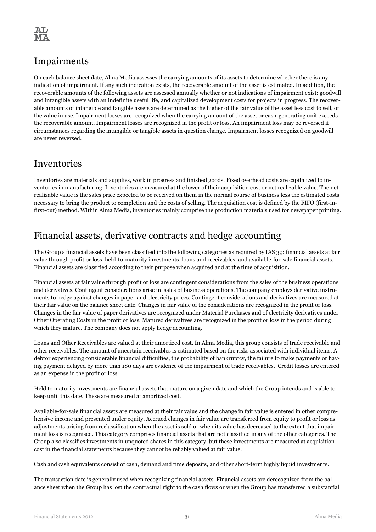## Impairments

On each balance sheet date, Alma Media assesses the carrying amounts of its assets to determine whether there is any indication of impairment. If any such indication exists, the recoverable amount of the asset is estimated. In addition, the recoverable amounts of the following assets are assessed annually whether or not indications of impairment exist: goodwill and intangible assets with an indefinite useful life, and capitalized development costs for projects in progress. The recoverable amounts of intangible and tangible assets are determined as the higher of the fair value of the asset less cost to sell, or the value in use. Impairment losses are recognized when the carrying amount of the asset or cash-generating unit exceeds the recoverable amount. Impairment losses are recognized in the profit or loss. An impairment loss may be reversed if circumstances regarding the intangible or tangible assets in question change. Impairment losses recognized on goodwill are never reversed.

### Inventories

Inventories are materials and supplies, work in progress and finished goods. Fixed overhead costs are capitalized to inventories in manufacturing. Inventories are measured at the lower of their acquisition cost or net realizable value. The net realizable value is the sales price expected to be received on them in the normal course of business less the estimated costs necessary to bring the product to completion and the costs of selling. The acquisition cost is defined by the FIFO (first-infirst-out) method. Within Alma Media, inventories mainly comprise the production materials used for newspaper printing.

## Financial assets, derivative contracts and hedge accounting

The Group's financial assets have been classified into the following categories as required by IAS 39: financial assets at fair value through profit or loss, held-to-maturity investments, loans and receivables, and available-for-sale financial assets. Financial assets are classified according to their purpose when acquired and at the time of acquisition.

Financial assets at fair value through profit or loss are contingent considerations from the sales of the business operations and derivatives. Contingent considerations arise in sales of business operations. The company employs derivative instruments to hedge against changes in paper and electricity prices. Contingent considerations and derivatives are measured at their fair value on the balance sheet date. Changes in fair value of the considerations are recognized in the profit or loss. Changes in the fair value of paper derivatives are recognized under Material Purchases and of electricity derivatives under Other Operating Costs in the profit or loss. Matured derivatives are recognized in the profit or loss in the period during which they mature. The company does not apply hedge accounting.

Loans and Other Receivables are valued at their amortized cost. In Alma Media, this group consists of trade receivable and other receivables. The amount of uncertain receivables is estimated based on the risks associated with individual items. A debtor experiencing considerable financial difficulties, the probability of bankruptcy, the failure to make payments or having payment delayed by more than 180 days are evidence of the impairment of trade receivables. Credit losses are entered as an expense in the profit or loss.

Held to maturity investments are financial assets that mature on a given date and which the Group intends and is able to keep until this date. These are measured at amortized cost.

Available-for-sale financial assets are measured at their fair value and the change in fair value is entered in other comprehensive income and presented under equity. Accrued changes in fair value are transferred from equity to profit or loss as adjustments arising from reclassification when the asset is sold or when its value has decreased to the extent that impairment loss is recognised. This category comprises financial assets that are not classified in any of the other categories. The Group also classifies investments in unquoted shares in this category, but these investments are measured at acquisition cost in the financial statements because they cannot be reliably valued at fair value.

Cash and cash equivalents consist of cash, demand and time deposits, and other short-term highly liquid investments.

The transaction date is generally used when recognizing financial assets. Financial assets are derecognized from the balance sheet when the Group has lost the contractual right to the cash flows or when the Group has transferred a substantial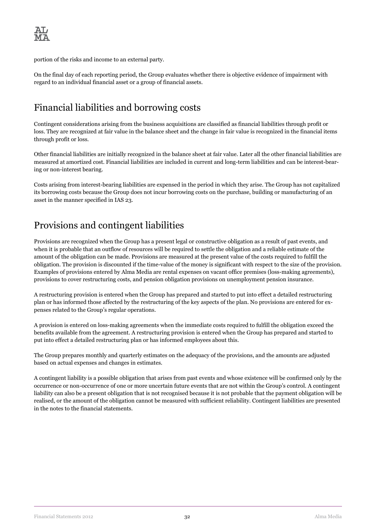portion of the risks and income to an external party.

On the final day of each reporting period, the Group evaluates whether there is objective evidence of impairment with regard to an individual financial asset or a group of financial assets.

### Financial liabilities and borrowing costs

Contingent considerations arising from the business acquisitions are classified as financial liabilities through profit or loss. They are recognized at fair value in the balance sheet and the change in fair value is recognized in the financial items through profit or loss.

Other financial liabilities are initially recognized in the balance sheet at fair value. Later all the other financial liabilities are measured at amortized cost. Financial liabilities are included in current and long-term liabilities and can be interest-bearing or non-interest bearing.

Costs arising from interest-bearing liabilities are expensed in the period in which they arise. The Group has not capitalized its borrowing costs because the Group does not incur borrowing costs on the purchase, building or manufacturing of an asset in the manner specified in IAS 23.

## Provisions and contingent liabilities

Provisions are recognized when the Group has a present legal or constructive obligation as a result of past events, and when it is probable that an outflow of resources will be required to settle the obligation and a reliable estimate of the amount of the obligation can be made. Provisions are measured at the present value of the costs required to fulfill the obligation. The provision is discounted if the time-value of the money is significant with respect to the size of the provision. Examples of provisions entered by Alma Media are rental expenses on vacant office premises (loss-making agreements), provisions to cover restructuring costs, and pension obligation provisions on unemployment pension insurance.

A restructuring provision is entered when the Group has prepared and started to put into effect a detailed restructuring plan or has informed those affected by the restructuring of the key aspects of the plan. No provisions are entered for expenses related to the Group's regular operations.

A provision is entered on loss-making agreements when the immediate costs required to fulfill the obligation exceed the benefits available from the agreement. A restructuring provision is entered when the Group has prepared and started to put into effect a detailed restructuring plan or has informed employees about this.

The Group prepares monthly and quarterly estimates on the adequacy of the provisions, and the amounts are adjusted based on actual expenses and changes in estimates.

A contingent liability is a possible obligation that arises from past events and whose existence will be confirmed only by the occurrence or non-occurrence of one or more uncertain future events that are not within the Group's control. A contingent liability can also be a present obligation that is not recognised because it is not probable that the payment obligation will be realised, or the amount of the obligation cannot be measured with sufficient reliability. Contingent liabilities are presented in the notes to the financial statements.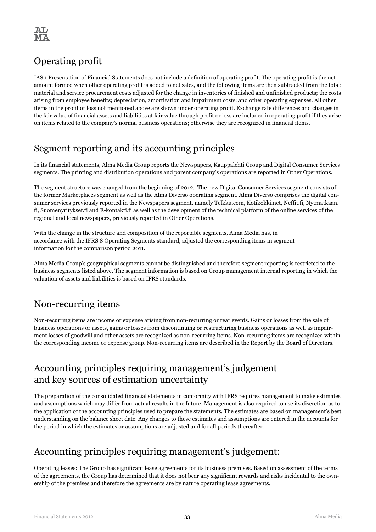## Operating profit

IAS 1 Presentation of Financial Statements does not include a definition of operating profit. The operating profit is the net amount formed when other operating profit is added to net sales, and the following items are then subtracted from the total: material and service procurement costs adjusted for the change in inventories of finished and unfinished products; the costs arising from employee benefits; depreciation, amortization and impairment costs; and other operating expenses. All other items in the profit or loss not mentioned above are shown under operating profit. Exchange rate differences and changes in the fair value of financial assets and liabilities at fair value through profit or loss are included in operating profit if they arise on items related to the company's normal business operations; otherwise they are recognized in financial items.

### Segment reporting and its accounting principles

In its financial statements, Alma Media Group reports the Newspapers, Kauppalehti Group and Digital Consumer Services segments. The printing and distribution operations and parent company's operations are reported in Other Operations.

The segment structure was changed from the beginning of 2012. The new Digital Consumer Services segment consists of the former Marketplaces segment as well as the Alma Diverso operating segment. Alma Diverso comprises the digital consumer services previously reported in the Newspapers segment, namely Telkku.com, Kotikokki.net, Neffit.fi, Nytmatkaan. fi, Suomenyritykset.fi and E-kontakti.fi as well as the development of the technical platform of the online services of the regional and local newspapers, previously reported in Other Operations.

With the change in the structure and composition of the reportable segments, Alma Media has, in accordance with the IFRS 8 Operating Segments standard, adjusted the corresponding items in segment information for the comparison period 2011.

Alma Media Group's geographical segments cannot be distinguished and therefore segment reporting is restricted to the business segments listed above. The segment information is based on Group management internal reporting in which the valuation of assets and liabilities is based on IFRS standards.

## Non-recurring items

Non-recurring items are income or expense arising from non-recurring or rear events. Gains or losses from the sale of business operations or assets, gains or losses from discontinuing or restructuring business operations as well as impairment losses of goodwill and other assets are recognized as non-recurring items. Non-recurring items are recognized within the corresponding income or expense group. Non-recurring items are described in the Report by the Board of Directors.

### Accounting principles requiring management's judgement and key sources of estimation uncertainty

The preparation of the consolidated financial statements in conformity with IFRS requires management to make estimates and assumptions which may differ from actual results in the future. Management is also required to use its discretion as to the application of the accounting principles used to prepare the statements. The estimates are based on management's best understanding on the balance sheet date. Any changes to these estimates and assumptions are entered in the accounts for the period in which the estimates or assumptions are adjusted and for all periods thereafter.

## Accounting principles requiring management's judgement:

Operating leases: The Group has significant lease agreements for its business premises. Based on assessment of the terms of the agreements, the Group has determined that it does not bear any significant rewards and risks incidental to the ownership of the premises and therefore the agreements are by nature operating lease agreements.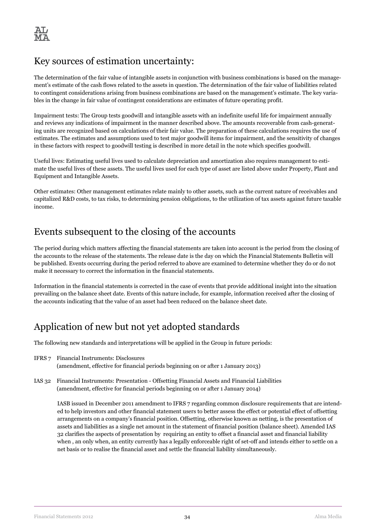### Key sources of estimation uncertainty:

The determination of the fair value of intangible assets in conjunction with business combinations is based on the management's estimate of the cash flows related to the assets in question. The determination of the fair value of liabilities related to contingent considerations arising from business combinations are based on the management's estimate. The key variables in the change in fair value of contingent considerations are estimates of future operating profit.

Impairment tests: The Group tests goodwill and intangible assets with an indefinite useful life for impairment annually and reviews any indications of impairment in the manner described above. The amounts recoverable from cash-generating units are recognized based on calculations of their fair value. The preparation of these calculations requires the use of estimates. The estimates and assumptions used to test major goodwill items for impairment, and the sensitivity of changes in these factors with respect to goodwill testing is described in more detail in the note which specifies goodwill.

Useful lives: Estimating useful lives used to calculate depreciation and amortization also requires management to estimate the useful lives of these assets. The useful lives used for each type of asset are listed above under Property, Plant and Equipment and Intangible Assets.

Other estimates: Other management estimates relate mainly to other assets, such as the current nature of receivables and capitalized R&D costs, to tax risks, to determining pension obligations, to the utilization of tax assets against future taxable income.

### Events subsequent to the closing of the accounts

The period during which matters affecting the financial statements are taken into account is the period from the closing of the accounts to the release of the statements. The release date is the day on which the Financial Statements Bulletin will be published. Events occurring during the period referred to above are examined to determine whether they do or do not make it necessary to correct the information in the financial statements.

Information in the financial statements is corrected in the case of events that provide additional insight into the situation prevailing on the balance sheet date. Events of this nature include, for example, information received after the closing of the accounts indicating that the value of an asset had been reduced on the balance sheet date.

## Application of new but not yet adopted standards

The following new standards and interpretations will be applied in the Group in future periods:

- IFRS 7 Financial Instruments: Disclosures (amendment, effective for financial periods beginning on or after 1 January 2013)
- IAS 32 Financial Instruments: Presentation Offsetting Financial Assets and Financial Liabilities (amendment, effective for financial periods beginning on or after 1 January 2014)

IASB issued in December 2011 amendment to IFRS 7 regarding common disclosure requirements that are intended to help investors and other financial statement users to better assess the effect or potential effect of offsetting arrangements on a company's financial position. Offsetting, otherwise known as netting, is the presentation of assets and liabilities as a single net amount in the statement of financial position (balance sheet). Amended IAS 32 clarifies the aspects of presentation by requiring an entity to offset a financial asset and financial liability when , an only when, an entity currently has a legally enforceable right of set-off and intends either to settle on a net basis or to realise the financial asset and settle the financial liability simultaneously.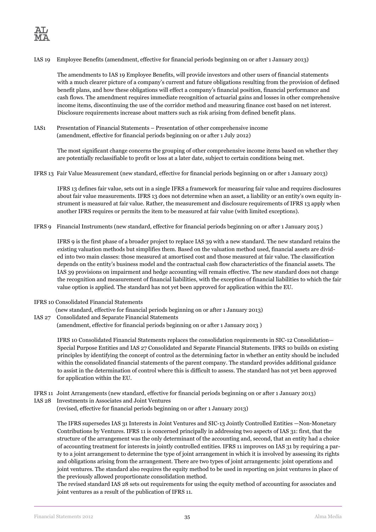IAS 19 Employee Benefits (amendment, effective for financial periods beginning on or after 1 January 2013)

The amendments to IAS 19 Employee Benefits, will provide investors and other users of financial statements with a much clearer picture of a company's current and future obligations resulting from the provision of defined benefit plans, and how these obligations will effect a company's financial position, financial performance and cash flows. The amendment requires immediate recognition of actuarial gains and losses in other comprehensive income items, discontinuing the use of the corridor method and measuring finance cost based on net interest. Disclosure requirements increase about matters such as risk arising from defined benefit plans.

IAS1 Presentation of Financial Statements – Presentation of other comprehensive income (amendment, effective for financial periods beginning on or after 1 July 2012)

The most significant change concerns the grouping of other comprehensive income items based on whether they are potentially reclassifiable to profit or loss at a later date, subject to certain conditions being met.

IFRS 13 Fair Value Measurement (new standard, effective for financial periods beginning on or after 1 January 2013)

IFRS 13 defines fair value, sets out in a single IFRS a framework for measuring fair value and requires disclosures about fair value measurements. IFRS 13 does not determine when an asset, a liability or an entity's own equity instrument is measured at fair value. Rather, the measurement and disclosure requirements of IFRS 13 apply when another IFRS requires or permits the item to be measured at fair value (with limited exceptions).

IFRS 9 Financial Instruments (new standard, effective for financial periods beginning on or after 1 January 2015 )

IFRS 9 is the first phase of a broader project to replace IAS 39 with a new standard. The new standard retains the existing valuation methods but simplifies them. Based on the valuation method used, financial assets are divided into two main classes: those measured at amortised cost and those measured at fair value. The classification depends on the entity's business model and the contractual cash flow characteristics of the financial assets. The IAS 39 provisions on impairment and hedge accounting will remain effective. The new standard does not change the recognition and measurement of financial liabilities, with the exception of financial liabilities to which the fair value option is applied. The standard has not yet been approved for application within the EU.

- IFRS 10 Consolidated Financial Statements
- (new standard, effective for financial periods beginning on or after 1 January 2013)
- IAS 27 Consolidated and Separate Financial Statements (amendment, effective for financial periods beginning on or after 1 January 2013 )

IFRS 10 Consolidated Financial Statements replaces the consolidation requirements in SIC-12 Consolidation— Special Purpose Entities and IAS 27 Consolidated and Separate Financial Statements. IFRS 10 builds on existing principles by identifying the concept of control as the determining factor in whether an entity should be included within the consolidated financial statements of the parent company. The standard provides additional guidance to assist in the determination of control where this is difficult to assess. The standard has not yet been approved for application within the EU.

- IFRS 11 Joint Arrangements (new standard, effective for financial periods beginning on or after 1 January 2013)
- IAS 28 Investments in Associates and Joint Ventures

(revised, effective for financial periods beginning on or after 1 January 2013)

The IFRS supersedes IAS 31 Interests in Joint Ventures and SIC-13 Jointly Controlled Entities —Non-Monetary Contributions by Ventures. IFRS 11 is concerned principally in addressing two aspects of IAS 31: first, that the structure of the arrangement was the only determinant of the accounting and, second, that an entity had a choice of accounting treatment for interests in jointly controlled entities. IFRS 11 improves on IAS 31 by requiring a party to a joint arrangement to determine the type of joint arrangement in which it is involved by assessing its rights and obligations arising from the arrangement. There are two types of joint arrangements: joint operations and joint ventures. The standard also requires the equity method to be used in reporting on joint ventures in place of the previously allowed proportionate consolidation method.

The revised standard IAS 28 sets out requirements for using the equity method of accounting for associates and joint ventures as a result of the publication of IFRS 11.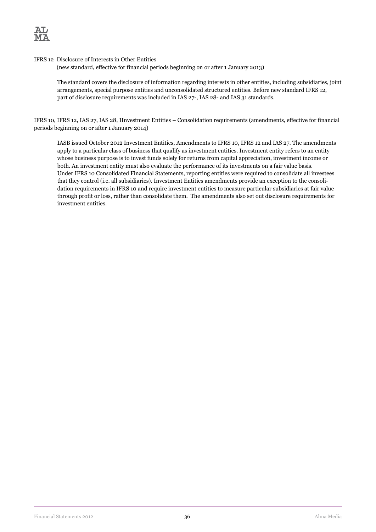#### IFRS 12 Disclosure of Interests in Other Entities

(new standard, effective for financial periods beginning on or after 1 January 2013)

The standard covers the disclosure of information regarding interests in other entities, including subsidiaries, joint arrangements, special purpose entities and unconsolidated structured entities. Before new standard IFRS 12, part of disclosure requirements was included in IAS 27-, IAS 28- and IAS 31 standards.

IFRS 10, IFRS 12, IAS 27, IAS 28, IInvestment Entities – Consolidation requirements (amendments, effective for financial periods beginning on or after 1 January 2014)

IASB issued October 2012 Investment Entities, Amendments to IFRS 10, IFRS 12 and IAS 27. The amendments apply to a particular class of business that qualify as investment entities. Investment entity refers to an entity whose business purpose is to invest funds solely for returns from capital appreciation, investment income or both. An investment entity must also evaluate the performance of its investments on a fair value basis. Under IFRS 10 Consolidated Financial Statements, reporting entities were required to consolidate all investees that they control (i.e. all subsidiaries). Investment Entities amendments provide an exception to the consolidation requirements in IFRS 10 and require investment entities to measure particular subsidiaries at fair value through profit or loss, rather than consolidate them. The amendments also set out disclosure requirements for investment entities.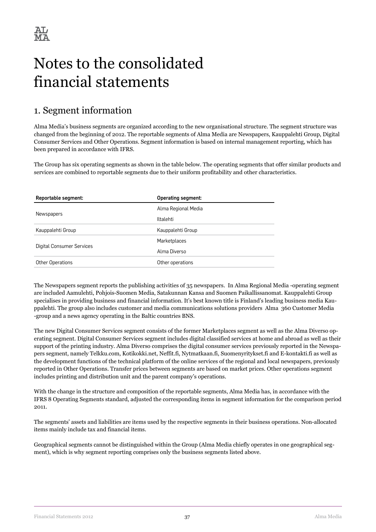# Notes to the consolidated financial statements

### 1. Segment information

Alma Media's business segments are organized according to the new organisational structure. The segment structure was changed from the beginning of 2012. The reportable segments of Alma Media are Newspapers, Kauppalehti Group, Digital Consumer Services and Other Operations. Segment information is based on internal management reporting, which has been prepared in accordance with IFRS.

The Group has six operating segments as shown in the table below. The operating segments that offer similar products and services are combined to reportable segments due to their uniform profitability and other characteristics.

| Reportable segment:       | <b>Operating segment:</b> |
|---------------------------|---------------------------|
|                           | Alma Regional Media       |
| <b>Newspapers</b>         | Iltalehti                 |
| Kauppalehti Group         | Kauppalehti Group         |
|                           | Marketplaces              |
|                           | Alma Diverso              |
| Other Operations          | Other operations          |
| Digital Consumer Services |                           |

The Newspapers segment reports the publishing activities of 35 newspapers. In Alma Regional Media -operating segment are included Aamulehti, Pohjois-Suomen Media, Satakunnan Kansa and Suomen Paikallissanomat. Kauppalehti Group specialises in providing business and financial information. It's best known title is Finland's leading business media Kauppalehti. The group also includes customer and media communications solutions providers Alma 360 Customer Media -group and a news agency operating in the Baltic countries BNS.

The new Digital Consumer Services segment consists of the former Marketplaces segment as well as the Alma Diverso operating segment. Digital Consumer Services segment includes digital classified services at home and abroad as well as their support of the printing industry. Alma Diverso comprises the digital consumer services previously reported in the Newspapers segment, namely Telkku.com, Kotikokki.net, Neffit.fi, Nytmatkaan.fi, Suomenyritykset.fi and E-kontakti.fi as well as the development functions of the technical platform of the online services of the regional and local newspapers, previously reported in Other Operations. Transfer príces between segments are based on market prices. Other operations segment includes printing and distribution unit and the parent company's operations.

With the change in the structure and composition of the reportable segments, Alma Media has, in accordance with the IFRS 8 Operating Segments standard, adjusted the corresponding items in segment information for the comparison period 2011.

The segments' assets and liabilities are items used by the respective segments in their business operations. Non-allocated items mainly include tax and financial items.

Geographical segments cannot be distinguished within the Group (Alma Media chiefly operates in one geographical segment), which is why segment reporting comprises only the business segments listed above.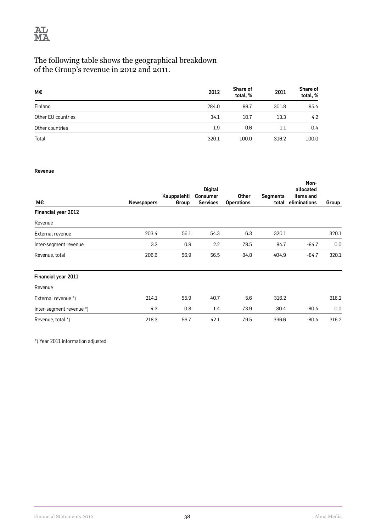### The following table shows the geographical breakdown of the Group's revenue in 2012 and 2011.

| М€                 | 2012  | Share of<br>total, % | 2011    | Share of<br>total, % |
|--------------------|-------|----------------------|---------|----------------------|
| Finland            | 284.0 | 88.7                 | 301.8   | 95.4                 |
| Other EU countries | 34.1  | 10.7                 | 13.3    | 4.2                  |
| Other countries    | 1.9   | 0.6                  | $1.1\,$ | 0.4                  |
| Total              | 320.1 | 100.0                | 316.2   | 100.0                |

#### Revenue

| М€                       | <b>Newspapers</b> | Kauppalehti<br>Group | <b>Digital</b><br><b>Consumer</b><br><b>Services</b> | Other<br><b>Operations</b> | <b>Segments</b><br>total | allocated<br>items and<br>eliminations | Group |
|--------------------------|-------------------|----------------------|------------------------------------------------------|----------------------------|--------------------------|----------------------------------------|-------|
| Financial year 2012      |                   |                      |                                                      |                            |                          |                                        |       |
| Revenue                  |                   |                      |                                                      |                            |                          |                                        |       |
| External revenue         | 203.4             | 56.1                 | 54.3                                                 | 6.3                        | 320.1                    |                                        | 320.1 |
| Inter-segment revenue    | 3.2               | 0.8                  | 2.2                                                  | 78.5                       | 84.7                     | $-84.7$                                | 0.0   |
| Revenue, total           | 206.6             | 56.9                 | 56.5                                                 | 84.8                       | 404.9                    | $-84.7$                                | 320.1 |
| Financial year 2011      |                   |                      |                                                      |                            |                          |                                        |       |
| Revenue                  |                   |                      |                                                      |                            |                          |                                        |       |
| External revenue *)      | 214.1             | 55.9                 | 40.7                                                 | 5.6                        | 316.2                    |                                        | 316.2 |
| Inter-segment revenue *) | 4.3               | 0.8                  | 1.4                                                  | 73.9                       | 80.4                     | $-80.4$                                | 0.0   |
| Revenue, total *)        | 218.3             | 56.7                 | 42.1                                                 | 79.5                       | 396.6                    | $-80.4$                                | 316.2 |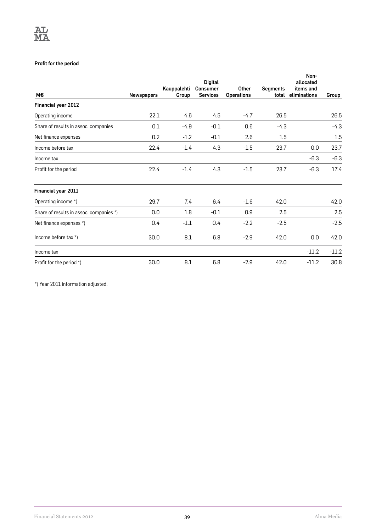#### Profit for the period

| М€                                      | <b>Newspapers</b> | Kauppalehti<br>Group | <b>Digital</b><br><b>Consumer</b><br><b>Services</b> | Other<br><b>Operations</b> | <b>Segments</b><br>total | Non-<br>allocated<br>items and<br>eliminations | Group   |
|-----------------------------------------|-------------------|----------------------|------------------------------------------------------|----------------------------|--------------------------|------------------------------------------------|---------|
| Financial year 2012                     |                   |                      |                                                      |                            |                          |                                                |         |
| Operating income                        | 22.1              | 4.6                  | 4.5                                                  | $-4.7$                     | 26.5                     |                                                | 26.5    |
| Share of results in assoc. companies    | 0.1               | $-4.9$               | $-0.1$                                               | 0.6                        | $-4.3$                   |                                                | $-4.3$  |
| Net finance expenses                    | 0.2               | $-1.2$               | $-0.1$                                               | 2.6                        | 1.5                      |                                                | 1.5     |
| Income before tax                       | 22.4              | $-1.4$               | 4.3                                                  | $-1.5$                     | 23.7                     | 0.0                                            | 23.7    |
| Income tax                              |                   |                      |                                                      |                            |                          | $-6.3$                                         | $-6.3$  |
| Profit for the period                   | 22.4              | $-1.4$               | 4.3                                                  | $-1.5$                     | 23.7                     | $-6.3$                                         | 17.4    |
| Financial year 2011                     |                   |                      |                                                      |                            |                          |                                                |         |
| Operating income *)                     | 29.7              | 7.4                  | 6.4                                                  | $-1.6$                     | 42.0                     |                                                | 42.0    |
| Share of results in assoc. companies *) | 0.0               | 1.8                  | $-0.1$                                               | 0.9                        | 2.5                      |                                                | 2.5     |
| Net finance expenses *)                 | 0.4               | $-1.1$               | 0.4                                                  | $-2.2$                     | $-2.5$                   |                                                | $-2.5$  |
| Income before tax *)                    | 30.0              | 8.1                  | 6.8                                                  | $-2.9$                     | 42.0                     | 0.0                                            | 42.0    |
| Income tax                              |                   |                      |                                                      |                            |                          | $-11.2$                                        | $-11.2$ |
| Profit for the period *)                | 30.0              | 8.1                  | 6.8                                                  | $-2.9$                     | 42.0                     | $-11.2$                                        | 30.8    |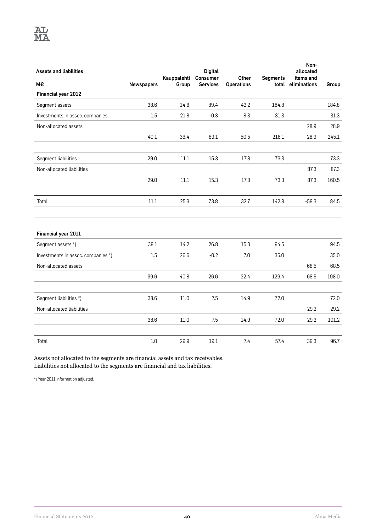| <b>Assets and liabilities</b>      |                   | Kauppalehti | Digital<br>Consumer | Other             | <b>Segments</b> | Non-<br>allocated<br>items and |       |
|------------------------------------|-------------------|-------------|---------------------|-------------------|-----------------|--------------------------------|-------|
| M€                                 | <b>Newspapers</b> | Group       | <b>Services</b>     | <b>Operations</b> |                 | total eliminations             | Group |
| Financial year 2012                |                   |             |                     |                   |                 |                                |       |
| Segment assets                     | 38.6              | 14.6        | 89.4                | 42.2              | 184.8           |                                | 184.8 |
| Investments in assoc. companies    | 1.5               | 21.8        | $-0.3$              | 8.3               | 31.3            |                                | 31.3  |
| Non-allocated assets               |                   |             |                     |                   |                 | 28.9                           | 28.9  |
|                                    | 40.1              | 36.4        | 89.1                | 50.5              | 216.1           | 28.9                           | 245.1 |
| Segment liabilities                | 29.0              | 11.1        | 15.3                | 17.8              | 73.3            |                                | 73.3  |
| Non-allocated liabilities          |                   |             |                     |                   |                 | 87.3                           | 87.3  |
|                                    | 29.0              | 11.1        | 15.3                | 17.8              | 73.3            | 87.3                           | 160.5 |
| Total                              | 11.1              | 25.3        | 73.8                | 32.7              | 142.8           | $-58.3$                        | 84.5  |
| Financial year 2011                |                   |             |                     |                   |                 |                                |       |
| Segment assets *)                  | 38.1              | 14.2        | 26.8                | 15.3              | 94.5            |                                | 94.5  |
| Investments in assoc. companies *) | 1.5               | 26.6        | $-0.2$              | 7.0               | 35.0            |                                | 35.0  |
| Non-allocated assets               |                   |             |                     |                   |                 | 68.5                           | 68.5  |
|                                    | 39.6              | 40.8        | 26.6                | 22.4              | 129.4           | 68.5                           | 198.0 |
| Segment liabilities *)             | 38.6              | 11.0        | 7.5                 | 14.9              | 72.0            |                                | 72.0  |
| Non-allocated liabilities          |                   |             |                     |                   |                 | 29.2                           | 29.2  |
|                                    | 38.6              | $11.0\,$    | 7.5                 | 14.9              | 72.0            | 29.2                           | 101.2 |
| Total                              | 1.0               | 29.9        | 19.1                | 7.4               | 57.4            | 39.3                           | 96.7  |

Assets not allocated to the segments are financial assets and tax receivables. Liabilities not allocated to the segments are financial and tax liabilities.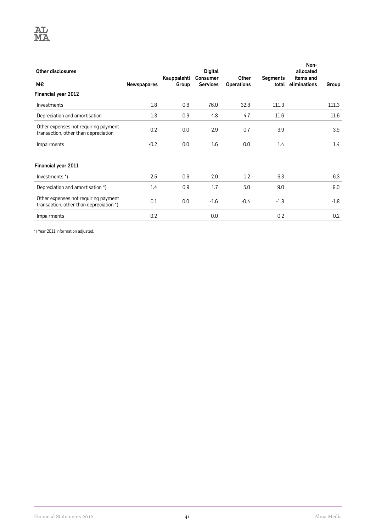| Other disclosures                                                               |                    |                      | <b>Digital</b>                     |                            |                          | Non-<br>allocated         |                  |
|---------------------------------------------------------------------------------|--------------------|----------------------|------------------------------------|----------------------------|--------------------------|---------------------------|------------------|
| М€                                                                              | <b>Newspapares</b> | Kauppalehti<br>Group | <b>Consumer</b><br><b>Services</b> | Other<br><b>Operations</b> | <b>Segments</b><br>total | items and<br>eliminations | Group            |
| Financial year 2012                                                             |                    |                      |                                    |                            |                          |                           |                  |
| Investments                                                                     | 1.8                | 0.6                  | 76.0                               | 32.8                       | 111.3                    |                           | 111.3            |
| Depreciation and amortisation                                                   | 1.3                | 0.9                  | 4.8                                | 4.7                        | 11.6                     |                           | 11.6             |
| Other expenses not requiring payment<br>transaction, other than depreciation    | 0.2                | 0.0                  | 2.9                                | 0.7                        | 3.9                      |                           | 3.9              |
| Impairments                                                                     | $-0.2$             | 0.0                  | 1.6                                | 0.0                        | 1.4                      |                           | $1.4\phantom{0}$ |
| Financial year 2011                                                             |                    |                      |                                    |                            |                          |                           |                  |
| Investments *)                                                                  | 2.5                | 0.6                  | 2.0                                | 1.2                        | 6.3                      |                           | 6.3              |
| Depreciation and amortisation *)                                                | 1.4                | 0.9                  | 1.7                                | 5.0                        | 9.0                      |                           | 9.0              |
| Other expenses not requiring payment<br>transaction, other than depreciation *) | 0.1                | 0.0                  | $-1.6$                             | $-0.4$                     | $-1.8$                   |                           | $-1.8$           |
| Impairments                                                                     | 0.2                |                      | 0.0                                |                            | 0.2                      |                           | 0.2              |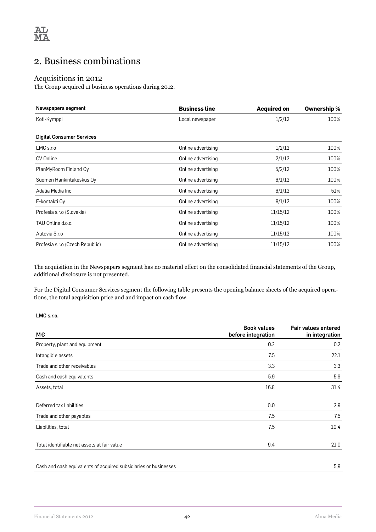### 2. Business combinations

### Acquisitions in 2012

The Group acquired 11 business operations during 2012.

| Newspapers segment               | <b>Business line</b> | <b>Acquired on</b> | Ownership % |
|----------------------------------|----------------------|--------------------|-------------|
| Koti-Kymppi                      | Local newspaper      | 1/2/12             | 100%        |
| <b>Digital Consumer Services</b> |                      |                    |             |
| LMC s.r.o                        | Online advertising   | 1/2/12             | 100%        |
| CV Online                        | Online advertising   | 2/1/12             | 100%        |
| PlanMyRoom Finland Oy            | Online advertising   | 5/2/12             | 100%        |
| Suomen Hankintakeskus Oy         | Online advertising   | 6/1/12             | 100%        |
| Adalia Media Inc                 | Online advertising   | 6/1/12             | 51%         |
| E-kontakti Oy                    | Online advertising   | 8/1/12             | 100%        |
| Profesia s.r.o (Slovakia)        | Online advertising   | 11/15/12           | 100%        |
| TAU Online d.o.o.                | Online advertising   | 11/15/12           | 100%        |
| Autovia S.r.o                    | Online advertising   | 11/15/12           | 100%        |
| Profesia s.r.o (Czech Republic)  | Online advertising   | 11/15/12           | 100%        |

The acquisition in the Newspapers segment has no material effect on the consolidated financial statements of the Group, additional disclosure is not presented.

For the Digital Consumer Services segment the following table presents the opening balance sheets of the acquired operations, the total acquisition price and and impact on cash flow.

#### LMC s.r.o.

| М€                                                               | <b>Book values</b><br>before integration | <b>Fair values entered</b><br>in integration |
|------------------------------------------------------------------|------------------------------------------|----------------------------------------------|
| Property, plant and equipment                                    | 0.2                                      | 0.2                                          |
| Intangible assets                                                | 7.5                                      | 22.1                                         |
| Trade and other receivables                                      | 3.3                                      | 3.3                                          |
| Cash and cash equivalents                                        | 5.9                                      | 5.9                                          |
| Assets, total                                                    | 16.8                                     | 31.4                                         |
| Deferred tax liabilities                                         | 0.0                                      | 2.9                                          |
| Trade and other payables                                         | 7.5                                      | 7.5                                          |
| Liabilities, total                                               | 7.5                                      | 10.4                                         |
| Total identifiable net assets at fair value                      | 9.4                                      | 21.0                                         |
| Cash and cash equivalents of acquired subsidiaries or businesses |                                          | 5,9                                          |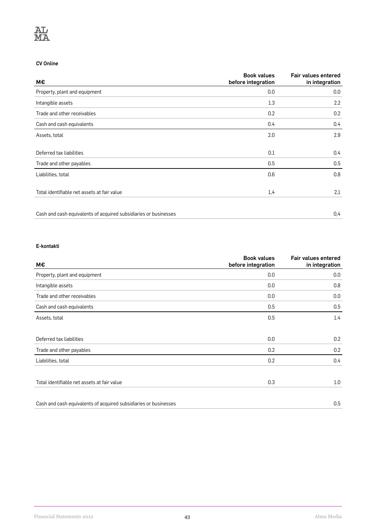#### CV Online

| М€                                                               | <b>Book values</b><br>before integration | <b>Fair values entered</b><br>in integration |
|------------------------------------------------------------------|------------------------------------------|----------------------------------------------|
| Property, plant and equipment                                    | 0.0                                      | 0.0                                          |
| Intangible assets                                                | 1.3                                      | $2.2\phantom{0}$                             |
| Trade and other receivables                                      | 0.2                                      | 0.2                                          |
| Cash and cash equivalents                                        | 0.4                                      | 0.4                                          |
| Assets, total                                                    | 2.0                                      | 2.9                                          |
| Deferred tax liabilities                                         | 0.1                                      | 0.4                                          |
| Trade and other payables                                         | 0.5                                      | 0.5                                          |
| Liabilities, total                                               | 0.6                                      | 0.8                                          |
| Total identifiable net assets at fair value                      | 1,4                                      | 2,1                                          |
| Cash and cash equivalents of acquired subsidiaries or businesses |                                          | 0,4                                          |

### E-kontakti

| М€                                                               | <b>Book values</b><br>before integration | <b>Fair values entered</b><br>in integration |
|------------------------------------------------------------------|------------------------------------------|----------------------------------------------|
| Property, plant and equipment                                    | 0.0                                      | 0.0                                          |
| Intangible assets                                                | 0.0                                      | 0.8                                          |
| Trade and other receivables                                      | 0.0                                      | 0.0                                          |
| Cash and cash equivalents                                        | 0.5                                      | 0.5                                          |
| Assets, total                                                    | 0.5                                      | 1.4                                          |
| Deferred tax liabilities                                         | 0.0                                      | 0.2                                          |
| Trade and other payables                                         | 0.2                                      | 0.2                                          |
| Liabilities, total                                               | 0.2                                      | 0.4                                          |
| Total identifiable net assets at fair value                      | 0.3                                      | 1.0                                          |
| Cash and cash equivalents of acquired subsidiaries or businesses |                                          | 0.5                                          |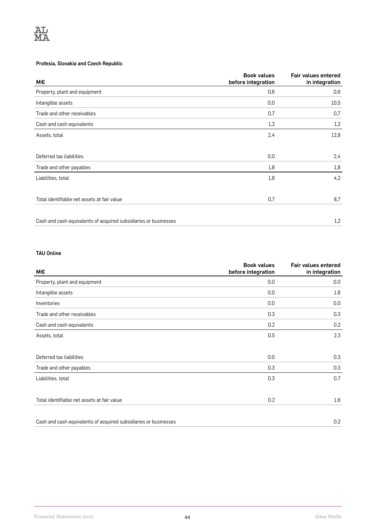#### Profesia, Slovakia and Czech Republic

| М€                                                               | <b>Book values</b><br>before integration | <b>Fair values entered</b><br>in integration |
|------------------------------------------------------------------|------------------------------------------|----------------------------------------------|
| Property, plant and equipment                                    | 0,6                                      | 0,6                                          |
| Intangible assets                                                | 0,0                                      | 10,5                                         |
| Trade and other receivables                                      | 0,7                                      | 0,7                                          |
| Cash and cash equivalents                                        | 1,2                                      | 1,2                                          |
| Assets, total                                                    | 2,4                                      | 12,9                                         |
| Deferred tax liabilities                                         | 0,0                                      | 2,4                                          |
| Trade and other payables                                         | 1,8                                      | 1,8                                          |
| Liabilities, total                                               | 1,8                                      | 4,2                                          |
| Total identifiable net assets at fair value                      | 0,7                                      | 8,7                                          |
| Cash and cash equivalents of acquired subsidiaries or businesses |                                          | 1,2                                          |

### TAU Online

| М€                                                               | <b>Book values</b><br>before integration | <b>Fair values entered</b><br>in integration |
|------------------------------------------------------------------|------------------------------------------|----------------------------------------------|
| Property, plant and equipment                                    | 0.0                                      | 0.0                                          |
| Intangible assets                                                | 0.0                                      | 1.8                                          |
| Inventories                                                      | 0.0                                      | 0.0                                          |
| Trade and other receivables                                      | 0.3                                      | 0.3                                          |
| Cash and cash equivalents                                        | 0.2                                      | 0.2                                          |
| Assets, total                                                    | 0.5                                      | 2.3                                          |
| Deferred tax liabilities                                         | 0.0                                      | 0.3                                          |
| Trade and other payables                                         | 0.3                                      | 0.3                                          |
| Liabilities, total                                               | 0.3                                      | 0.7                                          |
| Total identifiable net assets at fair value                      | 0.2                                      | $1.6\phantom{0}$                             |
| Cash and cash equivalents of acquired subsidiaries or businesses |                                          | 0.2                                          |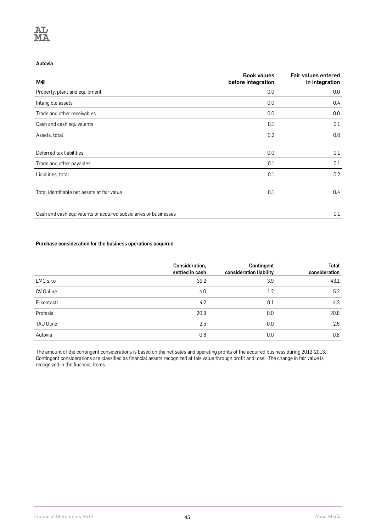#### Autovia

| М€                                                               | <b>Book values</b><br>before integration | Fair values entered<br>in integration |
|------------------------------------------------------------------|------------------------------------------|---------------------------------------|
| Property, plant and equipment                                    | 0.0                                      | 0.0                                   |
| Intangible assets                                                | 0.0                                      | 0.4                                   |
| Trade and other receivables                                      | 0.0                                      | 0.0                                   |
| Cash and cash equivalents                                        | 0.1                                      | 0.1                                   |
| Assets, total                                                    | 0.2                                      | 0.6                                   |
|                                                                  |                                          |                                       |
| Deferred tax liabilities                                         | 0.0                                      | 0.1                                   |
| Trade and other payables                                         | 0.1                                      | 0.1                                   |
| Liabilities, total                                               | 0.1                                      | 0.2                                   |
|                                                                  |                                          |                                       |
| Total identifiable net assets at fair value                      | 0.1                                      | 0.4                                   |
|                                                                  |                                          |                                       |
| Cash and cash equivalents of acquired subsidiaries or businesses |                                          | 0.1                                   |

#### Purchase consideration for the business operations acquired

|            | Consideration,<br>settled in cash | Contingent<br>consideration liability | <b>Total</b><br>consideration |
|------------|-----------------------------------|---------------------------------------|-------------------------------|
| LMC s.r.o  | 39.2                              | 3.9                                   | 43.1                          |
| CV Online  | 4.0                               | 1.2                                   | 5.2                           |
| E-kontakti | 4.2                               | 0.1                                   | 4.3                           |
| Profesia   | 20.8                              | 0.0                                   | 20.8                          |
| TAU Oline  | 2.5                               | 0.0                                   | 2.5                           |
| Autovia    | 0.8                               | 0.0                                   | 0.8                           |

The amount of the contingent considerations is based on the net sales and operating profits of the acquired business during 2012-2013. Contingent considerations are classified as financial assets recognized at fais value through profit and loss. The change in fair value is recognized in the financial items.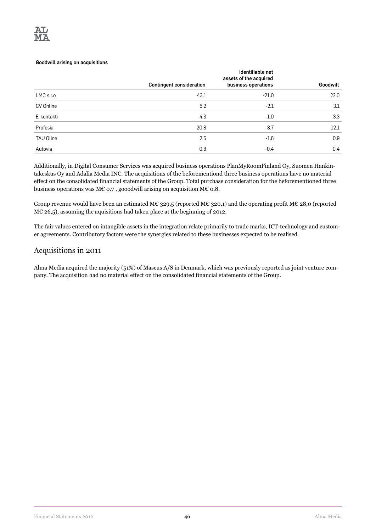#### Goodwill arising on acquisitions

|            | <b>Contingent consideration</b> | Identifiable net<br>assets of the acquired<br>business operations | Goodwill |
|------------|---------------------------------|-------------------------------------------------------------------|----------|
| LMC s.r.o  | 43.1                            | $-21.0$                                                           | 22.0     |
| CV Online  | 5.2                             | $-2.1$                                                            | 3.1      |
| E-kontakti | 4.3                             | $-1.0$                                                            | 3.3      |
| Profesia   | 20.8                            | $-8.7$                                                            | 12.1     |
| TAU Oline  | 2.5                             | $-1.6$                                                            | 0.9      |
| Autovia    | 0.8                             | $-0.4$                                                            | 0.4      |

Additionally, in Digital Consumer Services was acquired business operations PlanMyRoomFinland Oy, Suomen Hankintakeskus Oy and Adalia Media INC. The acquisitions of the beforementiond three business operations have no material effect on the consolidated financial statements of the Group. Total purchase consideration for the beforementioned three business operations was M€ 0.7 , gooodwill arising on acquisition M€ 0.8.

Group revenue would have been an estimated M€ 329,5 (reported M€ 320,1) and the operating profit M€ 28,0 (reported M€ 26,5), assuming the aquisitions had taken place at the beginning of 2012.

The fair values entered on intangible assets in the integration relate primarily to trade marks, ICT-technology and customer agreements. Contributory factors were the synergies related to these businesses expected to be realised.

### Acquisitions in 2011

Alma Media acquired the majority (51%) of Mascus A/S in Denmark, which was previously reported as joint venture company. The acquisition had no material effect on the consolidated financial statements of the Group.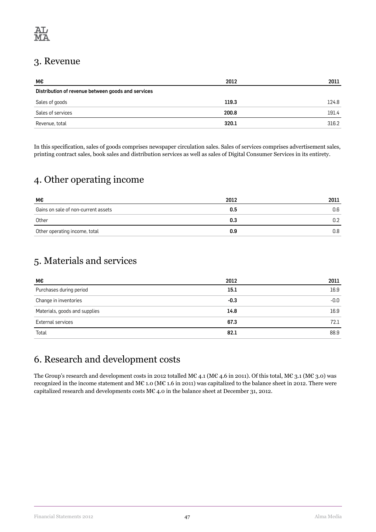### 3. Revenue

| М€                                                 | 2012  | 2011  |
|----------------------------------------------------|-------|-------|
| Distribution of revenue between goods and services |       |       |
| Sales of goods                                     | 119.3 | 124.8 |
| Sales of services                                  | 200.8 | 191.4 |
| Revenue, total                                     | 320.1 | 316.2 |

In this specification, sales of goods comprises newspaper circulation sales. Sales of services comprises advertisement sales, printing contract sales, book sales and distribution services as well as sales of Digital Consumer Services in its entirety.

### 4. Other operating income

| М€                                  | 2012 | 2011 |
|-------------------------------------|------|------|
| Gains on sale of non-current assets | 0.5  | 0.6  |
| Other                               | 0.3  | 0.2  |
| Other operating income, total       | 0.9  | 0.8  |

### 5. Materials and services

| М€                            | 2012   | 2011   |
|-------------------------------|--------|--------|
| Purchases during period       | 15.1   | 16.9   |
| Change in inventories         | $-0.3$ | $-0.0$ |
| Materials, goods and supplies | 14.8   | 16.9   |
| <b>External services</b>      | 67.3   | 72.1   |
| Total                         | 82.1   | 88.9   |

### 6. Research and development costs

The Group's research and development costs in 2012 totalled M€ 4.1 (M€ 4.6 in 2011). Of this total, M€ 3.1 (M€ 3.0) was recognized in the income statement and M€ 1.0 (M€ 1.6 in 2011) was capitalized to the balance sheet in 2012. There were capitalized research and developments costs M $\epsilon$  4.0 in the balance sheet at December 31, 2012.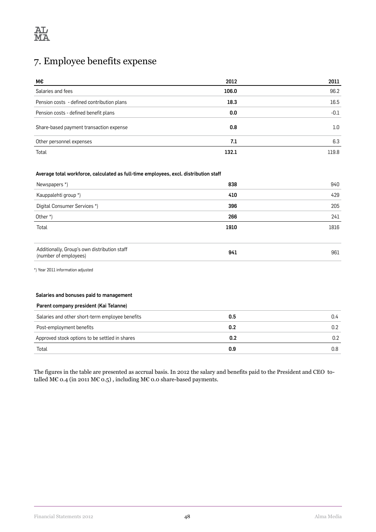### 7. Employee benefits expense

| М€                                         | 2012  | 2011   |
|--------------------------------------------|-------|--------|
| Salaries and fees                          | 106.0 | 96.2   |
| Pension costs - defined contribution plans | 18.3  | 16.5   |
| Pension costs - defined benefit plans      | 0.0   | $-0.1$ |
| Share-based payment transaction expense    | 0.8   | 1.0    |
| Other personnel expenses                   | 7.1   | 6.3    |
| Total                                      | 132.1 | 119.8  |

#### Average total workforce, calculated as full-time employees, excl. distribution staff

| Newspapers *)                                                         | 838  | 940  |
|-----------------------------------------------------------------------|------|------|
| Kauppalehti group *)                                                  | 410  | 429  |
| Digital Consumer Services *)                                          | 396  | 205  |
| Other *)                                                              | 266  | 241  |
| Total                                                                 | 1910 | 1816 |
|                                                                       |      |      |
| Additionally, Group's own distribution staff<br>(number of employees) | 941  | 961  |

\*) Year 2011 information adjusted

#### Salaries and bonuses paid to management

| Salaries and other short-term employee benefits | 0.5 | 0.4 |
|-------------------------------------------------|-----|-----|
| Post-employment benefits                        | 0.2 |     |
| Approved stock options to be settled in shares  | 0.2 |     |
| Total                                           | 0.9 |     |

The figures in the table are presented as accrual basis. In 2012 the salary and benefits paid to the President and CEO totalled M€ 0.4 (in 2011 M€ 0.5), including M€ 0.0 share-based payments.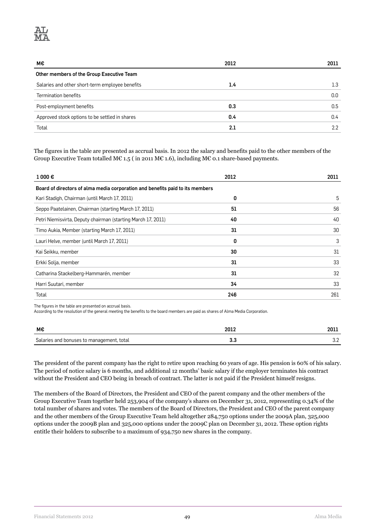| М€                                              | 2012 | 2011 |
|-------------------------------------------------|------|------|
| Other members of the Group Executive Team       |      |      |
| Salaries and other short-term employee benefits | 1.4  | 1.3  |
| Termination benefits                            |      | 0.0  |
| Post-employment benefits                        | 0.3  | 0.5  |
| Approved stock options to be settled in shares  | 0.4  | 0.4  |
| Total                                           | 2.1  | 2.2  |

The figures in the table are presented as accrual basis. In 2012 the salary and benefits paid to the other members of the Group Executive Team totalled M€ 1.5 (in 2011 M€ 1.6), including M€ 0.1 share-based payments.

| 1000€                                                                         | 2012 | 2011 |
|-------------------------------------------------------------------------------|------|------|
| Board of directors of alma media corporation and benefits paid to its members |      |      |
| Kari Stadigh, Chairman (until March 17, 2011)                                 | 0    | 5    |
| Seppo Paatelainen, Chairman (starting March 17, 2011)                         | 51   | 56   |
| Petri Niemisvirta, Deputy chairman (starting March 17, 2011)                  | 40   | 40   |
| Timo Aukia, Member (starting March 17, 2011)                                  | 31   | 30   |
| Lauri Helve, member (until March 17, 2011)                                    | 0    | 3    |
| Kai Seikku, member                                                            | 30   | 31   |
| Erkki Solja, member                                                           | 31   | 33   |
| Catharina Stackelberg-Hammarén, member                                        | 31   | 32   |
| Harri Suutari, member                                                         | 34   | 33   |
| Total                                                                         | 246  | 261  |

The figures in the table are presented on accrual basis.

According to the resolution of the general meeting the benefits to the board members are paid as shares of Alma Media Corporation.

| м€                                        | 2012 | 2011 |
|-------------------------------------------|------|------|
| Salaries and bonuses to management, total | o.c  |      |

The president of the parent company has the right to retire upon reaching 60 years of age. His pension is 60% of his salary. The period of notice salary is 6 months, and additional 12 months' basic salary if the employer terminates his contract without the President and CEO being in breach of contract. The latter is not paid if the President himself resigns.

The members of the Board of Directors, the President and CEO of the parent company and the other members of the Group Executive Team together held 253,904 of the company's shares on December 31, 2012, representing 0.34% of the total number of shares and votes. The members of the Board of Directors, the President and CEO of the parent company and the other members of the Group Executive Team held altogether 284,750 options under the 2009A plan, 325,000 options under the 2009B plan and 325,000 options under the 2009C plan on December 31, 2012. These option rights entitle their holders to subscribe to a maximum of 934,750 new shares in the company.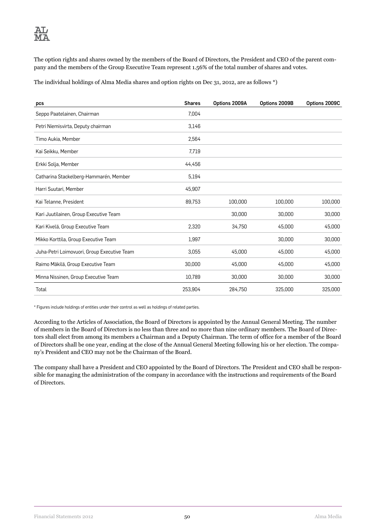The option rights and shares owned by the members of the Board of Directors, the President and CEO of the parent company and the members of the Group Executive Team represent 1.56% of the total number of shares and votes.

The individual holdings of Alma Media shares and option rights on Dec 31, 2012, are as follows \*)

| pcs                                         | <b>Shares</b> | Options 2009A | Options 2009B | Options 2009C |
|---------------------------------------------|---------------|---------------|---------------|---------------|
| Seppo Paatelainen, Chairman                 | 7,004         |               |               |               |
| Petri Niemisvirta, Deputy chairman          | 3,146         |               |               |               |
| Timo Aukia, Member                          | 2,564         |               |               |               |
| Kai Seikku, Member                          | 7,719         |               |               |               |
| Erkki Solja, Member                         | 44,456        |               |               |               |
| Catharina Stackelberg-Hammarén, Member      | 5,194         |               |               |               |
| Harri Suutari, Member                       | 45,907        |               |               |               |
| Kai Telanne, President                      | 89,753        | 100,000       | 100,000       | 100,000       |
| Kari Juutilainen, Group Executive Team      |               | 30,000        | 30,000        | 30,000        |
| Kari Kivelä, Group Executive Team           | 2,320         | 34,750        | 45,000        | 45,000        |
| Mikko Korttila, Group Executive Team        | 1,997         |               | 30,000        | 30,000        |
| Juha-Petri Loimovuori, Group Executive Team | 3,055         | 45,000        | 45,000        | 45,000        |
| Raimo Mäkilä, Group Executive Team          | 30,000        | 45,000        | 45,000        | 45,000        |
| Minna Nissinen, Group Executive Team        | 10,789        | 30,000        | 30,000        | 30,000        |
| Total                                       | 253,904       | 284,750       | 325,000       | 325,000       |

\* Figures include holdings of entities under their control as well as holdings of related parties.

According to the Articles of Association, the Board of Directors is appointed by the Annual General Meeting. The number of members in the Board of Directors is no less than three and no more than nine ordinary members. The Board of Directors shall elect from among its members a Chairman and a Deputy Chairman. The term of office for a member of the Board of Directors shall be one year, ending at the close of the Annual General Meeting following his or her election. The company's President and CEO may not be the Chairman of the Board.

The company shall have a President and CEO appointed by the Board of Directors. The President and CEO shall be responsible for managing the administration of the company in accordance with the instructions and requirements of the Board of Directors.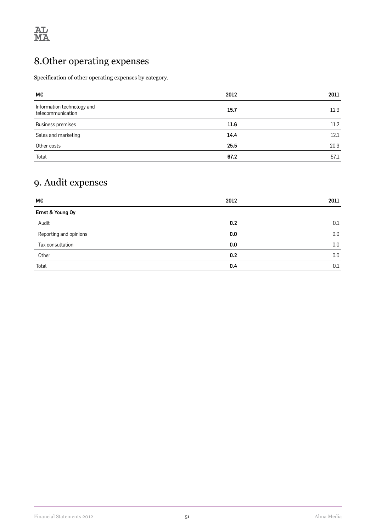## 8.Other operating expenses

Specification of other operating expenses by category.

| М€                                              | 2012 | 2011 |
|-------------------------------------------------|------|------|
| Information technology and<br>telecommunication | 15.7 | 12.9 |
| <b>Business premises</b>                        | 11.6 | 11.2 |
| Sales and marketing                             | 14.4 | 12.1 |
| Other costs                                     | 25.5 | 20.9 |
| Total                                           | 67.2 | 57.1 |

### 9. Audit expenses

| М€                     | 2012 | 2011 |
|------------------------|------|------|
| Ernst & Young Oy       |      |      |
| Audit                  | 0.2  | 0.1  |
| Reporting and opinions | 0.0  | 0.0  |
| Tax consultation       | 0.0  | 0.0  |
| Other                  | 0.2  | 0.0  |
| Total                  | 0.4  | 0.1  |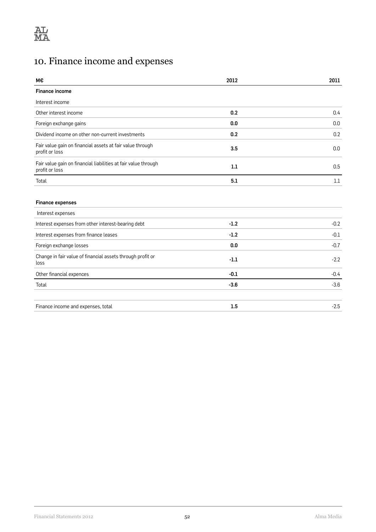## 10. Finance income and expenses

| М€                                                                               | 2012   | 2011   |
|----------------------------------------------------------------------------------|--------|--------|
| <b>Finance income</b>                                                            |        |        |
| Interest income                                                                  |        |        |
| Other interest income                                                            | 0.2    | 0.4    |
| Foreign exchange gains                                                           | 0.0    | 0.0    |
| Dividend income on other non-current investments                                 | 0.2    | 0.2    |
| Fair value gain on financial assets at fair value through<br>profit or loss      | 3.5    | 0.0    |
| Fair value gain on financial liabilities at fair value through<br>profit or loss | 1.1    | 0.5    |
| Total                                                                            | 5.1    | 1.1    |
| <b>Finance expenses</b>                                                          |        |        |
| Interest expenses                                                                |        |        |
| Interest expenses from other interest-bearing debt                               | $-1.2$ | $-0.2$ |
| Interest expenses from finance leases                                            | $-1.2$ | $-0.1$ |
| Foreign exchange losses                                                          | 0.0    | $-0.7$ |
| Change in fair value of financial assets through profit or<br>loss               | $-1.1$ | $-2.2$ |
| Other financial expences                                                         | $-0.1$ | $-0.4$ |
| Total                                                                            | $-3.6$ | $-3.6$ |
| Finance income and expenses, total                                               | 1.5    | $-2.5$ |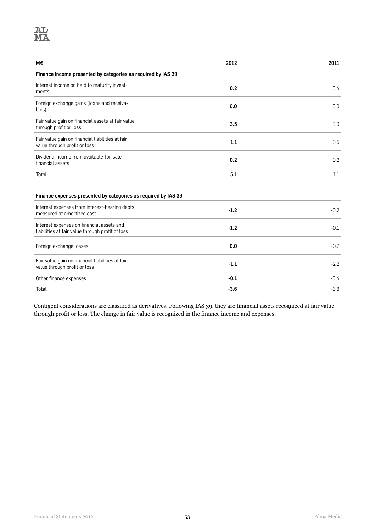| М€                                                                                                                                            | 2012   | 2011   |
|-----------------------------------------------------------------------------------------------------------------------------------------------|--------|--------|
| Finance income presented by categories as required by IAS 39                                                                                  |        |        |
| Interest income on held to maturity invest-<br>ments                                                                                          | 0.2    | 0.4    |
| Foreign exchange gains (loans and receiva-<br>bles)                                                                                           | 0.0    | 0.0    |
| Fair value gain on financial assets at fair value<br>through profit or loss                                                                   | 3.5    | 0.0    |
| Fair value gain on financial liabilities at fair<br>value through profit or loss                                                              | 1.1    | 0.5    |
| Dividend income from available-for-sale<br>financial assets                                                                                   | 0.2    | 0.2    |
| Total                                                                                                                                         | 5.1    | 1.1    |
| Finance expenses presented by categories as required by IAS 39<br>Interest expenses from interest-bearing debts<br>measured at amortized cost | $-1.2$ | $-0.2$ |
| Interest expenses on financial assets and<br>liabilities at fair value through profit of loss                                                 | $-1.2$ | $-0.1$ |
| Foreign exchange losses                                                                                                                       | 0.0    | $-0.7$ |
| Fair value gain on financial liabilities at fair<br>value through profit or loss                                                              | $-1.1$ | $-2.2$ |
| Other finance expenses                                                                                                                        | $-0.1$ | $-0.4$ |
| Total                                                                                                                                         | $-3.6$ | $-3.6$ |

Contigent considerations are classified as derivatives. Following IAS 39, they are financial assets recognized at fair value through profit or loss. The change in fair value is recognized in the finance income and expenses.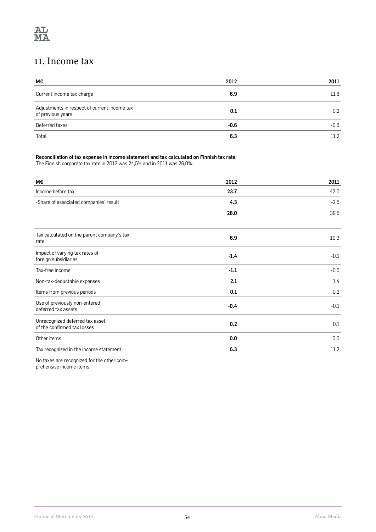### 11. Income tax

| М€                                                                | 2012   | 2011   |
|-------------------------------------------------------------------|--------|--------|
| Current income tax charge                                         | 6.9    | 11.6   |
| Adjustments in respect of current income tax<br>of previous years | 0.1    | 0.2    |
| Deferred taxes                                                    | $-0.6$ | $-0.6$ |
| Total                                                             | 6.3    | 11.2   |

#### Reconciliation of tax expense in income statement and tax calculated on Finnish tax rate: The Finnish corporate tax rate in 2012 was 24,5% and in 2011 was 26,0%.

| М€                                                             | 2012   | 2011    |
|----------------------------------------------------------------|--------|---------|
| Income before tax                                              | 23.7   | 42.0    |
| -Share of associated companies' result                         | 4.3    | $-2.5$  |
|                                                                | 28.0   | 39.5    |
| Tax calculated on the parent company's tax<br>rate             | 6.9    | 10.3    |
| Impact of varying tax rates of<br>foreign subsidiaries         | $-1.4$ | $-0.1$  |
| Tax-free income                                                | $-1.1$ | $-0.5$  |
| Non-tax-deductable expenses                                    | 2.1    | 1.4     |
| Items from previous periods                                    | 0.1    | 0.2     |
| Use of previously non-entered<br>deferred tax assets           | $-0.4$ | $-0.1$  |
| Unrecognized deferred tax asset<br>of the confirmed tax losses | 0.2    | 0.1     |
| Other items                                                    | 0.0    | $0.0\,$ |
| Tax recognized in the income statement                         | 6.3    | 11.2    |

No taxes are recognized for the other comprehensive income items.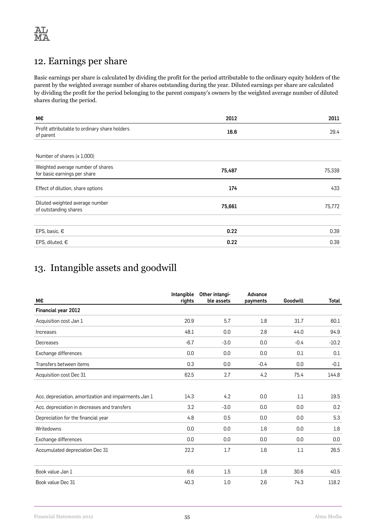### 12. Earnings per share

Basic earnings per share is calculated by dividing the profit for the period attributable to the ordinary equity holders of the parent by the weighted average number of shares outstanding during the year. Diluted earnings per share are calculated by dividing the profit for the period belonging to the parent company's owners by the weighted average number of diluted shares during the period.

| М€                                                                | 2012   | 2011   |
|-------------------------------------------------------------------|--------|--------|
| Profit attributable to ordinary share holders<br>of parent        | 16.6   | 29.4   |
| Number of shares (x 1,000)                                        |        |        |
| Weighted average number of shares<br>for basic earnings per share | 75,487 | 75,339 |
| Effect of dilution, share options                                 | 174    | 433    |
| Diluted weighted average number<br>of outstanding shares          | 75,661 | 75,772 |
| EPS, basic, €                                                     | 0.22   | 0.39   |
| EPS, diluted, $\epsilon$                                          | 0.22   | 0.39   |

### 13. Intangible assets and goodwill

| М€                                                    | Intangible<br>rights | Other intangi-<br>ble assets | Advance<br>payments | Goodwill | <b>Total</b> |
|-------------------------------------------------------|----------------------|------------------------------|---------------------|----------|--------------|
| Financial year 2012                                   |                      |                              |                     |          |              |
| Acquisition cost Jan 1                                | 20.9                 | 5.7                          | 1.8                 | 31.7     | 60.1         |
| <b>Increases</b>                                      | 48.1                 | 0.0                          | 2.8                 | 44.0     | 94.9         |
| Decreases                                             | $-6.7$               | $-3.0$                       | 0.0                 | $-0.4$   | $-10.2$      |
| Exchange differences                                  | 0.0                  | 0.0                          | 0.0                 | 0.1      | 0.1          |
| Transfers between items                               | 0.3                  | 0.0                          | $-0.4$              | 0.0      | $-0.1$       |
| Acquisition cost Dec 31                               | 62.5                 | 2.7                          | 4.2                 | 75.4     | 144.8        |
| Acc. depreciation, amortization and impairments Jan 1 | 14.3                 | 4.2                          | 0.0                 | 1.1      | 19.5         |
| Acc. depreciation in decreases and transfers          | 3.2                  | $-3.0$                       | 0.0                 | 0.0      | 0.2          |
| Depreciation for the financial year                   | 4.8                  | 0.5                          | 0.0                 | 0.0      | 5.3          |
| Writedowns                                            | 0.0                  | 0.0                          | 1.6                 | 0.0      | 1.6          |
| Exchange differences                                  | 0.0                  | 0.0                          | 0.0                 | 0.0      | 0.0          |
| Accumulated depreciation Dec 31                       | 22.2                 | 1.7                          | 1.6                 | 1.1      | 26.5         |
| Book value Jan 1                                      | 6.6                  | 1.5                          | 1.8                 | 30.6     | 40.5         |
| Book value Dec 31                                     | 40.3                 | 1.0                          | 2.6                 | 74.3     | 118.2        |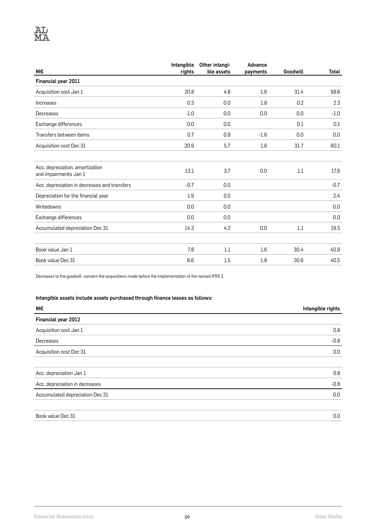## AL<br>MA

| М€                                                       | Intangible<br>rights | Other intangi-<br>ble assets | Advance<br>payments | Goodwill | Total  |
|----------------------------------------------------------|----------------------|------------------------------|---------------------|----------|--------|
| Financial year 2011                                      |                      |                              |                     |          |        |
| Acquisition cost Jan 1                                   | 20.8                 | 4.8                          | 1.6                 | 31.4     | 58.6   |
| Increases                                                | 0.3                  | 0.0                          | 1.8                 | 0.2      | 2.3    |
| Decreases                                                | $-1.0$               | 0.0                          | 0.0                 | 0.0      | $-1.0$ |
| Exchange differences                                     | 0.0                  | 0.0                          |                     | 0.1      | 0.1    |
| Transfers between items                                  | 0.7                  | 0.9                          | $-1.6$              | 0.0      | 0.0    |
| Acquisition cost Dec 31                                  | 20.9                 | 5.7                          | 1.8                 | 31.7     | 60.1   |
| Acc. depreciation, amortization<br>and impairments Jan 1 | 13.1                 | 3.7                          | 0.0                 | 1.1      | 17.8   |
| Acc. depreciation in decreases and transfers             | $-0.7$               | 0.0                          |                     |          | $-0.7$ |
| Depreciation for the financial year                      | 1.9                  | 0.5                          |                     |          | 2.4    |
| Writedowns                                               | 0.0                  | 0.0                          |                     |          | 0.0    |
| Exchange differences                                     | 0.0                  | 0.0                          |                     |          | 0.0    |
| Accumulated depreciation Dec 31                          | 14.3                 | 4.2                          | 0.0                 | 1.1      | 19.5   |
| Book value Jan 1                                         | 7.8                  | 1.1                          | 1.6                 | 30.4     | 40.9   |
| Book value Dec 31                                        | 6.6                  | 1.5                          | 1.8                 | 30.6     | 40.5   |

Decreases to the goodwill concern the acquisitions made before the implementation of the revised IFRS 3.

#### Intangible assets include assets purchased through finance leases as follows:

| М€                              | Intangible rights |
|---------------------------------|-------------------|
| Financial year 2012             |                   |
| Acquisition cost Jan 1          | 0.8               |
| Decreases                       | $-0.8$            |
| Acquisition cost Dec 31         | 0.0               |
|                                 |                   |
| Acc. depreciation Jan 1         | 0.8               |
| Acc. depreciation in decreases  | $-0.8$            |
| Accumulated depreciation Dec 31 | 0.0               |
|                                 |                   |
|                                 |                   |

| Book value D<br>$\sim$<br>$\lambda$<br>בט טפע<br>. | U.U |
|----------------------------------------------------|-----|
|----------------------------------------------------|-----|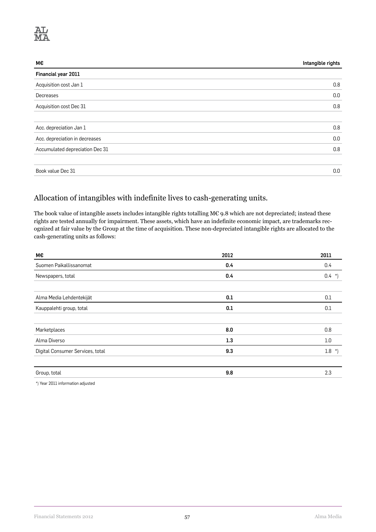#### M€ Intangible rights

| Financial year 2011             |     |
|---------------------------------|-----|
| Acquisition cost Jan 1          | 0.8 |
| Decreases                       | 0.0 |
| Acquisition cost Dec 31         | 0.8 |
| Acc. depreciation Jan 1         | 0.8 |
| Acc. depreciation in decreases  | 0.0 |
| Accumulated depreciation Dec 31 | 0.8 |
| Book value Dec 31               | 0.0 |

### Allocation of intangibles with indefinite lives to cash-generating units.

The book value of intangible assets includes intangible rights totalling M€ 9.8 which are not depreciated; instead these rights are tested annually for impairment. These assets, which have an indefinite economic impact, are trademarks recognized at fair value by the Group at the time of acquisition. These non-depreciated intangible rights are allocated to the cash-generating units as follows:

| М€                               | 2012 | 2011    |
|----------------------------------|------|---------|
| Suomen Paikallissanomat          | 0.4  | 0.4     |
| Newspapers, total                | 0.4  | $0.4 *$ |
|                                  |      |         |
| Alma Media Lehdentekijät         | 0.1  | 0.1     |
| Kauppalehti group, total         | 0.1  | 0.1     |
|                                  |      |         |
| Marketplaces                     | 8.0  | 0.8     |
| Alma Diverso                     | 1.3  | 1.0     |
| Digital Consumer Services, total | 9.3  | 1.8     |
|                                  |      |         |
| Group, total                     | 9.8  | 2.3     |
|                                  |      |         |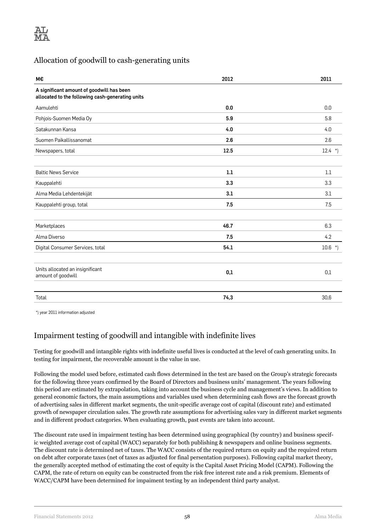### Allocation of goodwill to cash-generating units

| M€                                                                                            | 2012 | 2011     |
|-----------------------------------------------------------------------------------------------|------|----------|
| A significant amount of goodwill has been<br>allocated to the following cash-generating units |      |          |
| Aamulehti                                                                                     | 0.0  | 0.0      |
| Pohjois-Suomen Media Oy                                                                       | 5.9  | 5.8      |
| Satakunnan Kansa                                                                              | 4.0  | 4.0      |
| Suomen Paikallissanomat                                                                       | 2.6  | 2.6      |
| Newspapers, total                                                                             | 12.5 | $12.4 *$ |
|                                                                                               |      |          |
| <b>Baltic News Service</b>                                                                    | 1.1  | 1.1      |
| Kauppalehti                                                                                   | 3.3  | 3.3      |
| Alma Media Lehdentekijät                                                                      | 3.1  | 3.1      |
| Kauppalehti group, total                                                                      | 7.5  | 7.5      |
|                                                                                               |      |          |
| Marketplaces                                                                                  | 46.7 | 6.3      |
| Alma Diverso                                                                                  | 7.5  | 4.2      |
| Digital Consumer Services, total                                                              | 54.1 | $10.6 *$ |
|                                                                                               |      |          |
| Units allocated an insignificant<br>amount of goodwill                                        | 0,1  | 0,1      |
| Total                                                                                         | 74,3 | 30,6     |
|                                                                                               |      |          |

\*) year 2011 information adjusted

### Impairment testing of goodwill and intangible with indefinite lives

Testing for goodwill and intangible rights with indefinite useful lives is conducted at the level of cash generating units. In testing for impairment, the recoverable amount is the value in use.

Following the model used before, estimated cash flows determined in the test are based on the Group's strategic forecasts for the following three years confirmed by the Board of Directors and business units' management. The years following this period are estimated by extrapolation, taking into account the business cycle and management's views. In addition to general economic factors, the main assumptions and variables used when determining cash flows are the forecast growth of advertising sales in different market segments, the unit-specific average cost of capital (discount rate) and estimated growth of newspaper circulation sales. The growth rate assumptions for advertising sales vary in different market segments and in different product categories. When evaluating growth, past events are taken into account.

The discount rate used in impairment testing has been determined using geographical (by country) and business specific weighted average cost of capital (WACC) separately for both publishing & newspapers and online business segments. The discount rate is determined net of taxes. The WACC consists of the required return on equity and the required return on debt after corporate taxes (net of taxes as adjusted for final persentation purposes). Following capital market theory, the generally accepted method of estimating the cost of equity is the Capital Asset Pricing Model (CAPM). Following the CAPM, the rate of return on equity can be constructed from the risk free interest rate and a risk premium. Elements of WACC/CAPM have been determined for impaiment testing by an independent third party analyst.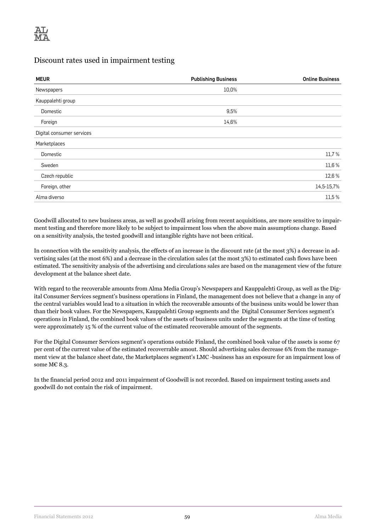### Discount rates used in impairment testing

| <b>MEUR</b>               | <b>Publishing Business</b> | <b>Online Business</b> |
|---------------------------|----------------------------|------------------------|
| Newspapers                | 10,0%                      |                        |
| Kauppalehti group         |                            |                        |
| Domestic                  | 9,5%                       |                        |
| Foreign                   | 14,6%                      |                        |
| Digital consumer services |                            |                        |
| Marketplaces              |                            |                        |
| Domestic                  |                            | 11,7 %                 |
| Sweden                    |                            | 11,6 %                 |
| Czech republic            |                            | 12,6%                  |
| Foreign, other            |                            | 14,5-15,7%             |
| Alma diverso              |                            | 11,5 %                 |

Goodwill allocated to new business areas, as well as goodwill arising from recent acquisitions, are more sensitive to impairment testing and therefore more likely to be subject to impairment loss when the above main assumptions change. Based on a sensitivity analysis, the tested goodwill and intangible rights have not been critical.

In connection with the sensitivity analysis, the effects of an increase in the discount rate (at the most 3%) a decrease in advertising sales (at the most 6%) and a decrease in the circulation sales (at the most 3%) to estimated cash flows have been estimated. The sensitivity analysis of the advertising and circulations sales are based on the management view of the future development at the balance sheet date.

With regard to the recoverable amounts from Alma Media Group's Newspapers and Kauppalehti Group, as well as the Digital Consumer Services segment's business operations in Finland, the management does not believe that a change in any of the central variables would lead to a situation in which the recoverable amounts of the business units would be lower than than their book values. For the Newspapers, Kauppalehti Group segments and the Digital Consumer Services segment's operations in Finland, the combined book values of the assets of business units under the segments at the time of testing were approximately 15 % of the current value of the estimated recoverable amount of the segments.

For the Digital Consumer Services segment's operations outside Finland, the combined book value of the assets is some 67 per cent of the current value of the estimated recoverrable amout. Should advertising sales decrease 6% from the management view at the balance sheet date, the Marketplaces segment's LMC -business has an exposure for an impairment loss of some M€ 8.3.

In the financial period 2012 and 2011 impairment of Goodwill is not recorded. Based on impairment testing assets and goodwill do not contain the risk of impairment.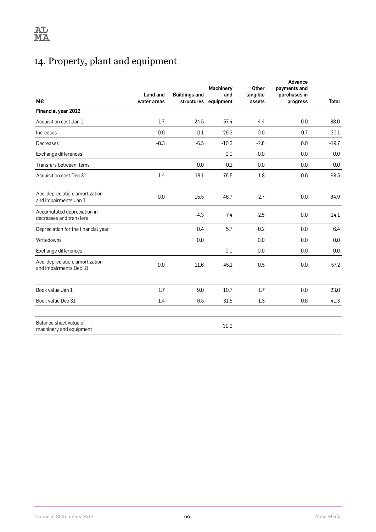## 14. Property, plant and equipment

|                                                           | Land and    | <b>Buildings and</b> | Machinery<br>and | Other<br>tangible | Advance<br>payments and<br>purchases in |              |
|-----------------------------------------------------------|-------------|----------------------|------------------|-------------------|-----------------------------------------|--------------|
| M€                                                        | water areas | structures           | equipment        | assets            | progress                                | <b>Total</b> |
| Financial year 2012                                       |             |                      |                  |                   |                                         |              |
| Acquisition cost Jan 1                                    | 1.7         | 24.5                 | 57.4             | 4.4               | 0.0                                     | 88.0         |
| Increases                                                 | 0.0         | 0.1                  | 29.3             | 0.0               | 0.7                                     | 30.1         |
| Decreases                                                 | $-0.3$      | $-6.5$               | $-10.3$          | $-2.6$            | 0.0                                     | $-19.7$      |
| Exchange differences                                      |             |                      | 0.0              | 0.0               | 0.0                                     | 0.0          |
| Transfers between items                                   |             | 0.0                  | 0.1              | 0.0               | 0.0                                     | 0.0          |
| Acquisition cost Dec 31                                   | 1.4         | 18.1                 | 76.5             | 1.8               | 0.6                                     | 98.5         |
| Acc. depreciation, amortization<br>and impairments Jan 1  | 0.0         | 15.5                 | 46.7             | 2.7               | 0.0                                     | 64.9         |
| Accumulated depreciation in<br>decreases and transfers    |             | $-4.3$               | $-7.4$           | $-2.5$            | 0.0                                     | $-14.1$      |
| Depreciation for the financial year                       |             | 0.4                  | 5.7              | 0.2               | 0.0                                     | 6.4          |
| Writedowns                                                |             | 0.0                  |                  | 0.0               | 0.0                                     | 0.0          |
| Exchange differences                                      |             |                      | 0.0              | 0.0               | 0.0                                     | 0.0          |
| Acc. depreciation, amortization<br>and impairments Dec 31 | 0.0         | 11.6                 | 45.1             | 0.5               | 0.0                                     | 57.2         |
| Book value Jan 1                                          | 1.7         | 9.0                  | 10.7             | 1.7               | 0.0                                     | 23.0         |
| Book value Dec 31                                         | 1.4         | 6.5                  | 31.5             | 1.3               | 0.6                                     | 41.3         |
| Balance sheet value of<br>machinery and equipment         |             |                      | 30.9             |                   |                                         |              |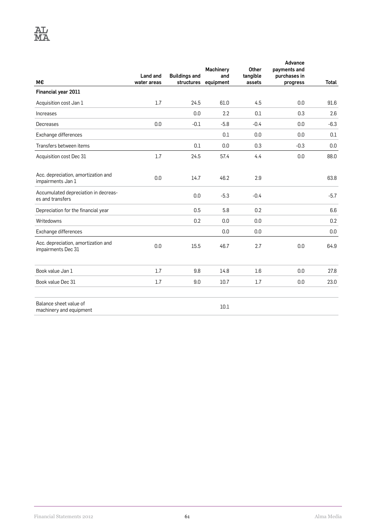|                                                           |                         |                                    | Machinery        | Other              | Advance<br>payments and  |              |
|-----------------------------------------------------------|-------------------------|------------------------------------|------------------|--------------------|--------------------------|--------------|
| М€                                                        | Land and<br>water areas | <b>Buildings and</b><br>structures | and<br>equipment | tangible<br>assets | purchases in<br>progress | <b>Total</b> |
| Financial year 2011                                       |                         |                                    |                  |                    |                          |              |
| Acquisition cost Jan 1                                    | 1.7                     | 24.5                               | 61.0             | 4.5                | 0.0                      | 91.6         |
| <b>Increases</b>                                          |                         | 0.0                                | 2.2              | 0.1                | 0.3                      | 2.6          |
| Decreases                                                 | 0.0                     | $-0.1$                             | $-5.8$           | $-0.4$             | 0.0                      | $-6.3$       |
| Exchange differences                                      |                         |                                    | 0.1              | 0.0                | 0.0                      | 0.1          |
| Transfers between items                                   |                         | 0.1                                | 0.0              | 0.3                | $-0.3$                   | 0.0          |
| Acquisition cost Dec 31                                   | 1.7                     | 24.5                               | 57.4             | 4.4                | 0.0                      | 88.0         |
| Acc. depreciation, amortization and<br>impairments Jan 1  | 0.0                     | 14.7                               | 46.2             | 2.9                |                          | 63.8         |
| Accumulated depreciation in decreas-<br>es and transfers  |                         | 0.0                                | $-5.3$           | $-0.4$             |                          | $-5.7$       |
| Depreciation for the financial year                       |                         | 0.5                                | 5.8              | 0.2                |                          | 6.6          |
| Writedowns                                                |                         | 0.2                                | 0.0              | 0.0                |                          | 0.2          |
| Exchange differences                                      |                         |                                    | 0.0              | 0.0                |                          | 0.0          |
| Acc. depreciation, amortization and<br>impairments Dec 31 | 0.0                     | 15.5                               | 46.7             | 2.7                | 0.0                      | 64.9         |
| Book value Jan 1                                          | 1.7                     | 9.8                                | 14.8             | 1.6                | 0.0                      | 27.8         |
| Book value Dec 31                                         | 1.7                     | 9.0                                | 10.7             | 1.7                | 0.0                      | 23.0         |
| Balance sheet value of<br>machinery and equipment         |                         |                                    | 10.1             |                    |                          |              |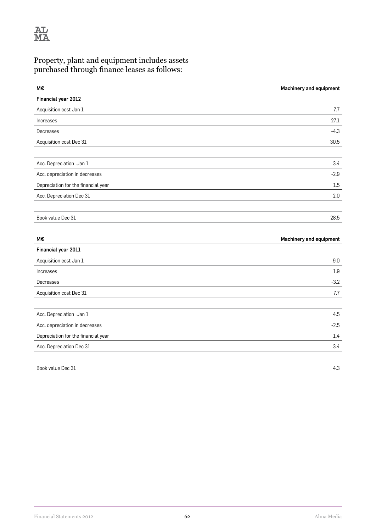### Property, plant and equipment includes assets purchased through finance leases as follows:

| М€                                  | Machinery and equipment |
|-------------------------------------|-------------------------|
| Financial year 2012                 |                         |
| Acquisition cost Jan 1              | 7.7                     |
| Increases                           | 27.1                    |
| Decreases                           | $-4.3$                  |
| Acquisition cost Dec 31             | 30.5                    |
|                                     |                         |
| Acc. Depreciation Jan 1             | 3.4                     |
| Acc. depreciation in decreases      | $-2.9$                  |
| Depreciation for the financial year | 1.5                     |
| Acc. Depreciation Dec 31            | 2.0                     |
|                                     |                         |
| Book value Dec 31                   | 28.5                    |
|                                     |                         |
| M€                                  | Machinery and equipment |
| Financial year 2011                 |                         |
| Acquisition cost Jan 1              | 9.0                     |
| Increases                           | 1.9                     |
| Decreases                           | $-3.2$                  |
| Acquisition cost Dec 31             | 7.7                     |
|                                     |                         |
| Acc. Depreciation Jan 1             | 4.5                     |
| Acc. depreciation in decreases      | $-2.5$                  |
| Depreciation for the financial year | 1.4                     |
| Acc. Depreciation Dec 31            | 3.4                     |
|                                     |                         |
| Book value Dec 31                   | 4.3                     |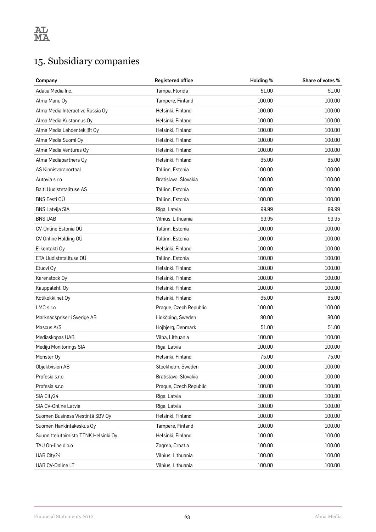## 15. Subsidiary companies

| Company                              | <b>Registered office</b> | <b>Holding %</b> | Share of votes % |
|--------------------------------------|--------------------------|------------------|------------------|
| Adalia Media Inc.                    | Tampa, Florida           | 51.00            | 51.00            |
| Alma Manu Oy                         | Tampere, Finland         | 100.00           | 100.00           |
| Alma Media Interactive Russia Oy     | Helsinki, Finland        | 100.00           | 100.00           |
| Alma Media Kustannus Oy              | Helsinki, Finland        | 100.00           | 100.00           |
| Alma Media Lehdentekijät Oy          | Helsinki, Finland        | 100.00           | 100.00           |
| Alma Media Suomi Oy                  | Helsinki, Finland        | 100.00           | 100.00           |
| Alma Media Ventures Oy               | Helsinki, Finland        | 100.00           | 100.00           |
| Alma Mediapartners Oy                | Helsinki, Finland        | 65.00            | 65.00            |
| AS Kinnisvaraportaal                 | Tallinn, Estonia         | 100.00           | 100.00           |
| Autovia s.r.o                        | Bratislava, Slovakia     | 100.00           | 100.00           |
| Balti Uudistetalituse AS             | Tallinn, Estonia         | 100.00           | 100.00           |
| BNS Eesti OÜ                         | Tallinn, Estonia         | 100.00           | 100.00           |
| <b>BNS Latvija SIA</b>               | Riga, Latvia             | 99.99            | 99.99            |
| <b>BNS UAB</b>                       | Vilnius, Lithuania       | 99.95            | 99.95            |
| CV-Online Estonia OÜ                 | Tallinn, Estonia         | 100.00           | 100.00           |
| CV Online Holding OÜ                 | Tallinn, Estonia         | 100.00           | 100.00           |
| E-kontakti Oy                        | Helsinki, Finland        | 100.00           | 100.00           |
| ETA Uudistetalituse OÜ               | Tallinn, Estonia         | 100.00           | 100.00           |
| Etuovi Oy                            | Helsinki, Finland        | 100.00           | 100.00           |
| Karenstock Oy                        | Helsinki, Finland        | 100.00           | 100.00           |
| Kauppalehti Oy                       | Helsinki, Finland        | 100.00           | 100.00           |
| Kotikokki.net Oy                     | Helsinki, Finland        | 65.00            | 65.00            |
| LMC s.r.o                            | Prague, Czech Republic   | 100.00           | 100.00           |
| Marknadspriser i Sverige AB          | Lidköping, Sweden        | 80.00            | 80.00            |
| Mascus A/S                           | Hojbjerg, Denmark        | 51.00            | 51.00            |
| Mediaskopas UAB                      | Vilna, Lithuania         | 100.00           | 100.00           |
| Mediju Monitorings SIA               | Riga, Latvia             | 100.00           | 100.00           |
| Monster Oy                           | Helsinki, Finland        | 75.00            | 75.00            |
| Objektvision AB                      | Stockholm, Sweden        | 100.00           | 100.00           |
| Profesia s.r.o                       | Bratislava, Slovakia     | 100.00           | 100.00           |
| Profesia s.r.o                       | Prague, Czech Republic   | 100.00           | 100.00           |
| SIA City24                           | Riga, Latvia             | 100.00           | 100.00           |
| SIA CV-Online Latvia                 | Riga, Latvia             | 100.00           | 100.00           |
| Suomen Business Viestintä SBV Oy     | Helsinki, Finland        | 100.00           | 100.00           |
| Suomen Hankintakeskus Oy             | Tampere, Finland         | 100.00           | 100.00           |
| Suunnittelutoimisto TTNK Helsinki Oy | Helsinki, Finland        | 100.00           | 100.00           |
| TAU On-line d.o.o                    | Zagreb, Croatia          | 100.00           | 100.00           |
| UAB City24                           | Vilnius, Lithuania       | 100.00           | 100.00           |
| UAB CV-Online LT                     | Vilnius, Lithuania       | 100.00           | 100.00           |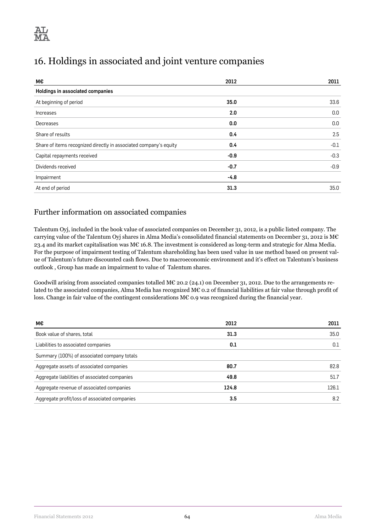### 16. Holdings in associated and joint venture companies

| М€                                                                | 2012   | 2011   |
|-------------------------------------------------------------------|--------|--------|
| Holdings in associated companies                                  |        |        |
| At beginning of period                                            | 35.0   | 33.6   |
| <b>Increases</b>                                                  | 2.0    | 0.0    |
| Decreases                                                         | 0.0    | 0.0    |
| Share of results                                                  | 0.4    | 2.5    |
| Share of items recognized directly in associated company's equity | 0.4    | $-0.1$ |
| Capital repayments received                                       | $-0.9$ | $-0.3$ |
| Dividends received                                                | $-0.7$ | $-0.9$ |
| Impairment                                                        | $-4.8$ |        |
| At end of period                                                  | 31.3   | 35.0   |

### Further information on associated companies

Talentum Oyj, included in the book value of associated companies on December 31, 2012, is a public listed company. The carrying value of the Talentum Oyj shares in Alma Media's consolidated financial statements on December 31, 2012 is M€ 23.4 and its market capitalisation was M€ 16.8. The investment is considered as long-term and strategic for Alma Media. For the purpose of impairment testing of Talentum shareholding has been used value in use method based on present value of Talentum's future discounted cash flows. Due to macroeconomic environment and it's effect on Talentum's business outlook , Group has made an impairment to value of Talentum shares.

Goodwill arising from associated companies totalled M€ 20.2 (24.1) on December 31, 2012. Due to the arrangements related to the associated companies, Alma Media has recognized M€ 0.2 of financial liabilities at fair value through profit of loss. Change in fair value of the contingent considerations M€ 0.9 was recognized during the financial year.

| 2012  | 2011  |
|-------|-------|
| 31.3  | 35.0  |
| 0.1   | 0.1   |
|       |       |
| 80.7  | 82.8  |
| 49.8  | 51.7  |
| 124.8 | 126.1 |
| 3.5   | 8.2   |
|       |       |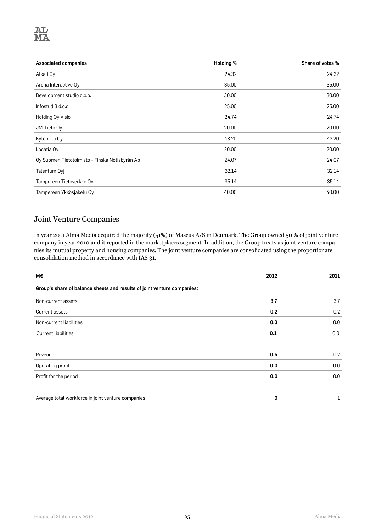| <b>Associated companies</b>                    | <b>Holding %</b> | Share of votes % |
|------------------------------------------------|------------------|------------------|
| Alkali Oy                                      | 24.32            | 24.32            |
| Arena Interactive Oy                           | 35.00            | 35.00            |
| Development studio d.o.o.                      | 30.00            | 30.00            |
| Infostud 3 d.o.o.                              | 25.00            | 25.00            |
| Holding Oy Visio                               | 24.74            | 24.74            |
| JM-Tieto Oy                                    | 20.00            | 20.00            |
| Kytöpirtti Oy                                  | 43.20            | 43.20            |
| Locatia Oy                                     | 20.00            | 20.00            |
| Oy Suomen Tietotoimisto - Finska Notisbyrån Ab | 24.07            | 24.07            |
| Talentum Oyj                                   | 32.14            | 32.14            |
| Tampereen Tietoverkko Oy                       | 35.14            | 35.14            |
| Tampereen Ykkösjakelu Oy                       | 40.00            | 40.00            |

### Joint Venture Companies

In year 2011 Alma Media acquired the majority (51%) of Mascus A/S in Denmark. The Group owned 50 % of joint venture company in year 2010 and it reported in the marketplaces segment. In addition, the Group treats as joint venture companies its mutual property and housing companies. The joint venture companies are consolidated using the proportionate consolidation method in accordance with IAS 31.

| М€                                                                      | 2012 | 2011 |  |  |
|-------------------------------------------------------------------------|------|------|--|--|
| Group's share of balance sheets and results of joint venture companies: |      |      |  |  |
| Non-current assets                                                      | 3.7  | 3.7  |  |  |
| Current assets                                                          | 0.2  | 0.2  |  |  |
| Non-current liabilities                                                 | 0.0  | 0.0  |  |  |
| <b>Current liabilities</b>                                              | 0.1  | 0.0  |  |  |
| Revenue                                                                 | 0.4  | 0.2  |  |  |
| Operating profit                                                        | 0.0  | 0.0  |  |  |
| Profit for the period                                                   | 0.0  | 0.0  |  |  |
| Average total workforce in joint venture companies                      | 0    | 1    |  |  |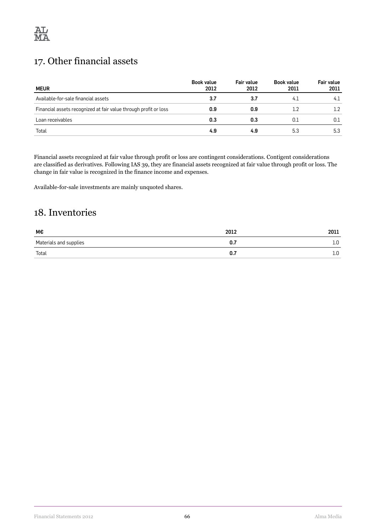### 17. Other financial assets

| <b>MEUR</b>                                                      | <b>Book value</b><br>2012 | <b>Fair value</b><br>2012 | Book value<br>2011 | <b>Fair value</b><br>2011 |
|------------------------------------------------------------------|---------------------------|---------------------------|--------------------|---------------------------|
| Available-for-sale financial assets                              | 3.7                       | 3.7                       | 4.1                | 4.1                       |
| Financial assets recognized at fair value through profit or loss | 0.9                       | 0.9                       | 1.2                | 1.2                       |
| Loan receivables                                                 | 0.3                       | 0.3                       | 0.1                | 0.1                       |
| Total                                                            | 4.9                       | 4.9                       | 5.3                | 5.3                       |

Financial assets recognized at fair value through profit or loss are contingent considerations. Contigent considerations are classified as derivatives. Following IAS 39, they are financial assets recognized at fair value through profit or loss. The change in fair value is recognized in the finance income and expenses.

Available-for-sale investments are mainly unquoted shares.

### 18. Inventories

| М€                     | 2012 | 2011          |
|------------------------|------|---------------|
| Materials and supplies | 0.7  | $\cap$<br>ے،⊥ |
| Total                  | 0.7  | ∸             |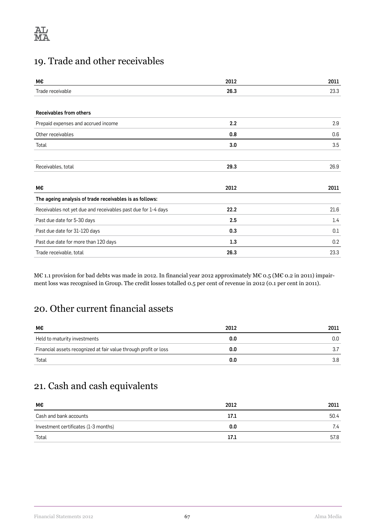### 19. Trade and other receivables

| М€                                                            | 2012 | 2011 |
|---------------------------------------------------------------|------|------|
| Trade receivable                                              | 26.3 | 23.3 |
| <b>Receivables from others</b>                                |      |      |
| Prepaid expenses and accrued income                           | 2.2  | 2.9  |
| Other receivables                                             | 0.8  | 0.6  |
| Total                                                         | 3.0  | 3.5  |
| Receivables, total                                            | 29.3 | 26.9 |
| М€                                                            | 2012 | 2011 |
| The ageing analysis of trade receivables is as follows:       |      |      |
| Receivables not yet due and receivables past due for 1-4 days | 22.2 | 21.6 |
| Past due date for 5-30 days                                   | 2.5  | 1.4  |
| Past due date for 31-120 days                                 | 0.3  | 0.1  |
| Past due date for more than 120 days                          | 1.3  | 0.2  |
| Trade receivable, total                                       | 26.3 | 23.3 |

M€ 1.1 provision for bad debts was made in 2012. In financial year 2012 approximately M€ 0.5 (M€ 0.2 in 2011) impairment loss was recognised in Group. The credit losses totalled 0.5 per cent of revenue in 2012 (0.1 per cent in 2011).

### 20. Other current financial assets

| М€                                                               | 2012 | 2011 |
|------------------------------------------------------------------|------|------|
| Held to maturity investments                                     | 0.0  | 0.0  |
| Financial assets recognized at fair value through profit or loss | 0.0  |      |
| Total                                                            | 0.0  | 3.8  |

### 21. Cash and cash equivalents

| М€                                   | 2012 | 2011 |
|--------------------------------------|------|------|
| Cash and bank accounts               | 17.1 | 50.4 |
| Investment certificates (1-3 months) | 0.0  | 7.4  |
| Total                                | 17.1 | 57.8 |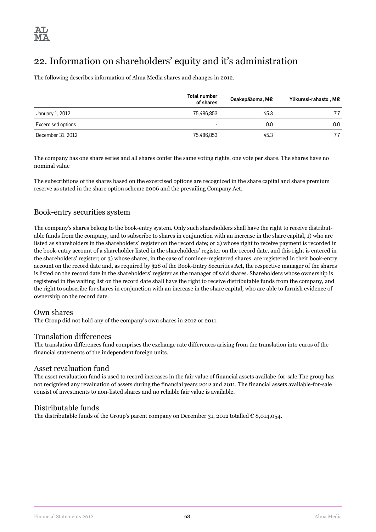### 22. Information on shareholders' equity and it's administration

The following describes information of Alma Media shares and changes in 2012.

|                    | <b>Total number</b><br>of shares | Osakepääoma, M€ | Ylikurssi-rahasto, M€ |
|--------------------|----------------------------------|-----------------|-----------------------|
| January 1, 2012    | 75.486.853                       | 45.3            | 7.7                   |
| Excercised options | $\overline{\phantom{0}}$         | 0.0             | 0.0                   |
| December 31, 2012  | 75,486,853                       | 45.3            | 7.7                   |

The company has one share series and all shares confer the same voting rights, one vote per share. The shares have no nominal value

The subscribtions of the shares based on the excercised options are recognized in the share capital and share premium reserve as stated in the share option scheme 2006 and the prevailing Company Act.

### Book-entry securities system

The company's shares belong to the book-entry system. Only such shareholders shall have the right to receive distributable funds from the company, and to subscribe to shares in conjunction with an increase in the share capital, 1) who are listed as shareholders in the shareholders' register on the record date; or 2) whose right to receive payment is recorded in the book-entry account of a shareholder listed in the shareholders' register on the record date, and this right is entered in the shareholders' register; or 3) whose shares, in the case of nominee-registered shares, are registered in their book-entry account on the record date and, as required by §28 of the Book-Entry Securities Act, the respective manager of the shares is listed on the record date in the shareholders' register as the manager of said shares. Shareholders whose ownership is registered in the waiting list on the record date shall have the right to receive distributable funds from the company, and the right to subscribe for shares in conjunction with an increase in the share capital, who are able to furnish evidence of ownership on the record date.

#### Own shares

The Group did not hold any of the company's own shares in 2012 or 2011.

#### Translation differences

The translation differences fund comprises the exchange rate differences arising from the translation into euros of the financial statements of the independent foreign units.

#### Asset revaluation fund

The asset revaluation fund is used to record increases in the fair value of financial assets availabe-for-sale.The group has not recignised any revaluation of assets during the financial years 2012 and 2011. The financial assets available-for-sale consist of investments to non-listed shares and no reliable fair value is available.

#### Distributable funds

The distributable funds of the Group's parent company on December 31, 2012 totalled  $\epsilon$  8,014,054.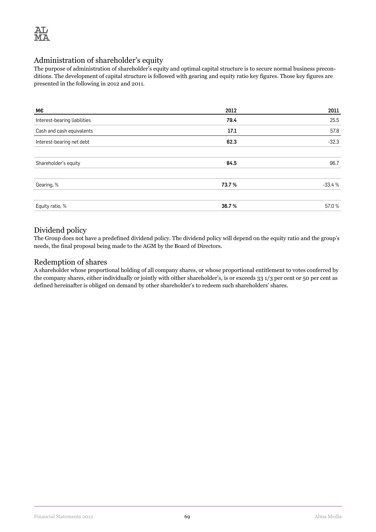### Administration of shareholder's equity

The purpose of administration of shareholder's equity and optimal capital structure is to secure normal business preconditions. The development of capital structure is followed with gearing and equity ratio key figures. Those key figures are presented in the following in 2012 and 2011.

| М€                           | 2012  | 2011     |
|------------------------------|-------|----------|
| Interest-bearing liabilities | 79.4  | 25.5     |
| Cash and cash equivalents    | 17.1  | 57.8     |
| Interest-bearing net debt    | 62.3  | $-32.3$  |
| Shareholder's equity         | 84.5  | 96.7     |
| Gearing, %                   | 73.7% | $-33.4%$ |
| Equity ratio, %              | 36.7% | 57.0 %   |

### Dividend policy

The Group does not have a predefined dividend policy. The dividend policy will depend on the equity ratio and the group's needs, the final proposal being made to the AGM by the Board of Directors.

### Redemption of shares

A shareholder whose proportional holding of all company shares, or whose proportional entitlement to votes conferred by the company shares, either individually or jointly with oither shareholder's, is or exceeds 33 1/3 per cent or 50 per cent as defined hereinafter is obliged on demand by other shareholder's to redeem such shareholders' shares.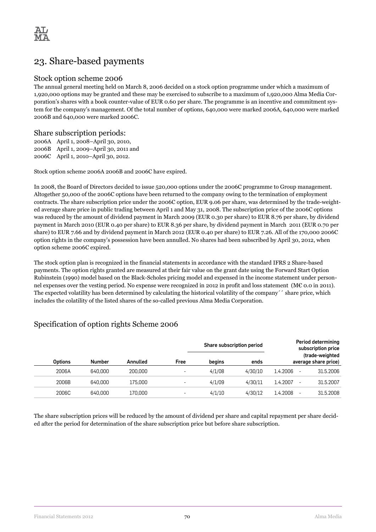### 23. Share-based payments

Stock option scheme 2006<br>The annual general meeting held on March 8, 2006 decided on a stock option programme under which a maximum of 1,920,000 options may be granted and these may be exercised to subscribe to a maximum of 1,920,000 Alma Media Corporation's shares with a book counter-value of EUR 0.60 per share. The programme is an incentive and commitment system for the company's management. Of the total number of options, 640,000 were marked 2006A, 640,000 were marked 2006B and 640,000 were marked 2006C.

### Share subscription periods:

2006A April 1, 2008–April 30, 2010,

- 2006B April 1, 2009–April 30, 2011 and
- 2006C April 1, 2010–April 30, 2012.

Stock option scheme 2006A 2006B and 2006C have expired.

In 2008, the Board of Directors decided to issue 520,000 options under the 2006C programme to Group management. Altogether 50,000 of the 2006C options have been returned to the company owing to the termination of employment contracts. The share subscription price under the 2006C option, EUR 9.06 per share, was determined by the trade-weighted average share price in public trading between April 1 and May 31, 2008. The subscription price of the 2006C options was reduced by the amount of dividend payment in March 2009 (EUR 0.30 per share) to EUR 8.76 per share, by dividend payment in March 2010 (EUR 0.40 per share) to EUR 8.36 per share, by dividend payment in March 2011 (EUR 0.70 per share) to EUR 7.66 and by dividend payment in March 2012 (EUR 0.40 per share) to EUR 7.26. All of the 170,000 2006C option rights in the company's possession have been annulled. No shares had been subscribed by April 30, 2012, when option scheme 2006C expired.

The stock option plan is recognized in the financial statements in accordance with the standard IFRS 2 Share-based payments. The option rights granted are measured at their fair value on the grant date using the Forward Start Option Rubinstein (1990) model based on the Black-Scholes pricing model and expensed in the income statement under personnel expenses over the vesting period. No expense were recognized in 2012 in profit and loss statement (M€ 0.0 in 2011). The expected volatility has been determined by calculating the historical volatility of the company´´ share price, which includes the colatility of the listed shares of the so-called previous Alma Media Corporation.

### Specification of option rights Scheme 2006

| Period determining<br>subscription price<br>(trade-weighted | Share subscription period |        |      |          |               |                |
|-------------------------------------------------------------|---------------------------|--------|------|----------|---------------|----------------|
| average share price)                                        | ends                      | begins | Free | Annulled | <b>Number</b> | <b>Options</b> |
| 31.5.2006<br>1.4.2006                                       | 4/30/10                   | 4/1/08 |      | 200,000  | 640,000       | 2006A          |
| 31.5.2007<br>1.4.2007                                       | 4/30/11                   | 4/1/09 |      | 175,000  | 640,000       | 2006B          |
| 31.5.2008<br>1.4.2008                                       | 4/30/12                   | 4/1/10 |      | 170,000  | 640,000       | 2006C          |

The share subscription prices will be reduced by the amount of dividend per share and capital repayment per share decided after the period for determination of the share subscription price but before share subscription.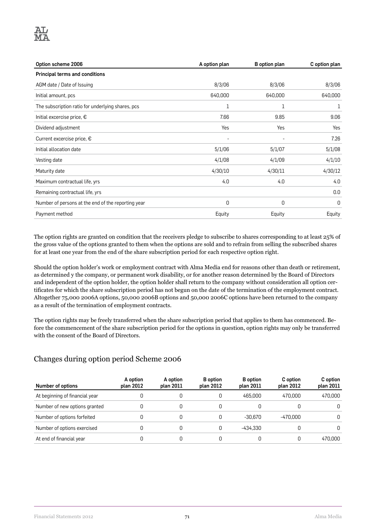| Option scheme 2006                                 | A option plan            | <b>B</b> option plan     | C option plan |
|----------------------------------------------------|--------------------------|--------------------------|---------------|
| Principal terms and conditions                     |                          |                          |               |
| AGM date / Date of Issuing                         | 8/3/06                   | 8/3/06                   | 8/3/06        |
| Initial amount, pcs                                | 640,000                  | 640,000                  | 640,000       |
| The subscription ratio for underlying shares, pcs  | 1                        | 1                        | 1             |
| Initial excercise price, €                         | 7.66                     | 9.85                     | 9.06          |
| Dividend adjustment                                | Yes                      | Yes                      | Yes           |
| Current excercise price, €                         | $\overline{\phantom{0}}$ | $\overline{\phantom{0}}$ | 7.26          |
| Initial allocation date                            | 5/1/06                   | 5/1/07                   | 5/1/08        |
| Vesting date                                       | 4/1/08                   | 4/1/09                   | 4/1/10        |
| Maturity date                                      | 4/30/10                  | 4/30/11                  | 4/30/12       |
| Maximum contractual life, yrs                      | 4.0                      | 4.0                      | 4.0           |
| Remaining contractual life, yrs                    |                          |                          | 0.0           |
| Number of persons at the end of the reporting year | 0                        | 0                        | 0             |
| Payment method                                     | Equity                   | Equity                   | Equity        |

The option rights are granted on condition that the receivers pledge to subscribe to shares corresponding to at least 25% of the gross value of the options granted to them when the options are sold and to refrain from selling the subscribed shares for at least one year from the end of the share subscription period for each respective option right.

Should the option holder's work or employment contract with Alma Media end for reasons other than death or retirement, as determined y the company, or permanent work disability, or for another reason determined by the Board of Directors and independent of the option holder, the option holder shall return to the company without consideration all option certificates for which the share subscription period has not begun on the date of the termination of the employment contract. Altogether 75,000 2006A options, 50,000 2006B options and 50,000 2006C options have been returned to the company as a result of the termination of employment contracts.

The option rights may be freely transferred when the share subscription period that applies to them has commenced. Before the commencement of the share subscription period for the options in question, option rights may only be transferred with the consent of the Board of Directors.

### Changes during option period Scheme 2006

| Number of options              | A option<br>plan 2012 | A option<br>plan 2011 | <b>B</b> option<br>plan 2012 | <b>B</b> option<br>plan 2011 | C option<br>plan 2012 | C option<br>plan 2011 |
|--------------------------------|-----------------------|-----------------------|------------------------------|------------------------------|-----------------------|-----------------------|
| At beginning of financial year |                       |                       | 0                            | 465,000                      | 470,000               | 470,000               |
| Number of new options granted  |                       |                       |                              |                              |                       | <sup>0</sup>          |
| Number of options forfeited    |                       |                       |                              | -30.670                      | $-470.000$            | $\Box$                |
| Number of options exercised    |                       |                       |                              | $-434.330$                   |                       | 0                     |
| At end of financial year       |                       |                       |                              |                              |                       | 470,000               |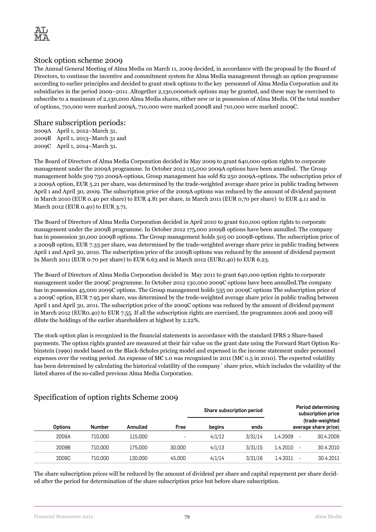#### Stock option scheme 2009

The Annual General Meeting of Alma Media on March 11, 2009 decided, in accordance with the proposal by the Board of Directors, to continue the incentive and commitment system for Alma Media management through an option programme according to earlier principles and decided to grant stock options to the key personnel of Alma Media Corporation and its subsidiaries in the period 2009–2011. Altogether 2,130,000stock options may be granted, and these may be exercised to subscribe to a maximum of 2,130,000 Alma Media shares, either new or in possession of Alma Media. Of the total number of options, 710,000 were marked 2009A, 710,000 were marked 2009B and 710,000 were marked 2009C.

### Share subscription periods:

2009A April 1, 2012–March 31, 2009B April 1, 2013–March 31 and

2009C April 1, 2014–March 31.

The Board of Directors of Alma Media Corporation decided in May 2009 to grant 640,000 option rights to corporate management under the 2009A programme. In October 2012 115,000 2009A options have been annulled. The Group management holds 509 750 2009A-options, Group management has sold 82 250 2009A-options. The subscription price of a 2009A option, EUR 5.21 per share, was determined by the trade-weighted average share price in public trading between April 1 and April 30, 2009. The subscription price of the 2009A options was reduced by the amount of dividend payment in March 2010 (EUR 0.40 per share) to EUR 4.81 per share, in March 2011 (EUR 0,70 per share) to EUR 4.11 and in March 2012 (EUR 0.40) to EUR 3.71.

The Board of Directors of Alma Media Corporation decided in April 2010 to grant 610,000 option rights to corporate management under the 2009B programme. In October 2012 175,000 2009B options have been annulled. The company has in possession 30,000 2009B options. The Group management holds 505 00 2009B-options. The subscription price of a 2009B option, EUR 7.33 per share, was determined by the trade-weighted average share price in public trading between April 1 and April 30, 2010. The subscription price of the 2009B options was reduced by the amount of dividend payment In March 2011 (EUR 0.70 per share) to EUR 6.63 and in March 2012 (EUR0.40) to EUR 6.23.

The Board of Directors of Alma Media Corporation decided in May 2011 to grant 640,000 option rights to corporate management under the 2009C programme. In October 2012 130,000 2009C options have been annulled.The company has in possession 45,000 2009C options. The Group management holds 535 00 2009C options The subscription price of a 2009C option, EUR 7.95 per share, was determined by the trede-weighted average share price in public trading between April 1 and April 30, 2011. The subscription price of the 2009C options was reduced by the amount of dividend payment in March 2012 (EUR0.40) to EUR 7.55. If all the subscription rights are exercised, the programmes 2006 and 2009 will dilute the holdings of the earlier shareholders at highest by 2.22%.

The stock option plan is recognized in the financial statements in accordance with the standard IFRS 2 Share-based payments. The option rights granted are measured at their fair value on the grant date using the Forward Start Option Rubinstein (1990) model based on the Black-Scholes pricing model and expensed in the income statement under personnel expenses over the vesting period. An expense of M€ 1.0 was recognized in 2011 (M€ 0.5 in 2010). The expected volatility has been determined by calculating the historical volatility of the company´ share price, which includes the volatility of the listed shares of the so-called previous Alma Media Corporation.

| Period determining<br>subscription price<br>(trade-weighted | Share subscription period |         |        |        |          |               |                |
|-------------------------------------------------------------|---------------------------|---------|--------|--------|----------|---------------|----------------|
| average share price)                                        |                           | ends    | begins | Free   | Annulled | <b>Number</b> | <b>Options</b> |
| 30.4.2009                                                   | 1.4.2009                  | 3/31/14 | 4/1/12 |        | 115,000  | 710.000       | 2009A          |
| 30.4.2010                                                   | 1.4.2010                  | 3/31/15 | 4/1/13 | 30,000 | 175.000  | 710.000       | 2009B          |
| 30.4.2011                                                   | $1.4.2011 -$              | 3/31/16 | 4/1/14 | 45,000 | 130,000  | 710.000       | 2009C          |

### Specification of option rights Scheme 2009

The share subscription prices will be reduced by the amount of dividend per share and capital repayment per share decided after the period for determination of the share subscription price but before share subscription.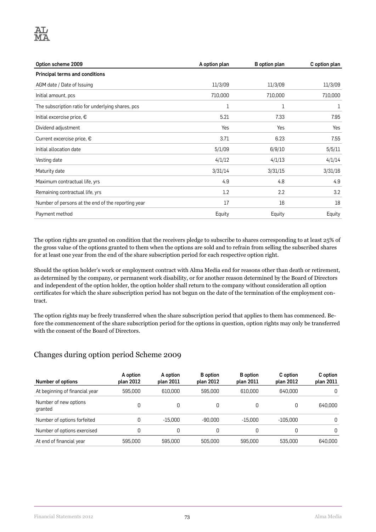| Option scheme 2009                                 | A option plan | <b>B</b> option plan | C option plan |
|----------------------------------------------------|---------------|----------------------|---------------|
| Principal terms and conditions                     |               |                      |               |
| AGM date / Date of Issuing                         | 11/3/09       | 11/3/09              | 11/3/09       |
| Initial amount, pcs                                | 710,000       | 710,000              | 710,000       |
| The subscription ratio for underlying shares, pcs  | 1             | 1                    | 1             |
| Initial excercise price, $\epsilon$                | 5.21          | 7.33                 | 7.95          |
| Dividend adjustment                                | Yes           | Yes                  | Yes           |
| Current excercise price, €                         | 3.71          | 6.23                 | 7.55          |
| Initial allocation date                            | 5/1/09        | 6/9/10               | 5/5/11        |
| Vesting date                                       | 4/1/12        | 4/1/13               | 4/1/14        |
| Maturity date                                      | 3/31/14       | 3/31/15              | 3/31/16       |
| Maximum contractual life, yrs                      | 4.9           | 4.8                  | 4.9           |
| Remaining contractual life, yrs                    | 1.2           | 2.2                  | 3.2           |
| Number of persons at the end of the reporting year | 17            | 16                   | 18            |
| Payment method                                     | Equity        | Equity               | Equity        |

The option rights are granted on condition that the receivers pledge to subscribe to shares corresponding to at least 25% of the gross value of the options granted to them when the options are sold and to refrain from selling the subscribed shares for at least one year from the end of the share subscription period for each respective option right.

Should the option holder's work or employment contract with Alma Media end for reasons other than death or retirement, as determined by the company, or permanent work disability, or for another reason determined by the Board of Directors and independent of the option holder, the option holder shall return to the company without consideration all option certificates for which the share subscription period has not begun on the date of the termination of the employment contract.

The option rights may be freely transferred when the share subscription period that applies to them has commenced. Before the commencement of the share subscription period for the options in question, option rights may only be transferred with the consent of the Board of Directors.

#### Changes during option period Scheme 2009

| Number of options                | A option<br>plan 2012 | A option<br>plan 2011 | <b>B</b> option<br>plan 2012 | <b>B</b> option<br>plan 2011 | C option<br>plan 2012 | C option<br>plan 2011 |
|----------------------------------|-----------------------|-----------------------|------------------------------|------------------------------|-----------------------|-----------------------|
| At beginning of financial year   | 595,000               | 610,000               | 595,000                      | 610,000                      | 640,000               | 0                     |
| Number of new options<br>granted |                       | 0                     |                              | 0                            | 0                     | 640,000               |
| Number of options forfeited      | 0                     | $-15.000$             | $-90.000$                    | $-15,000$                    | $-105.000$            | 0                     |
| Number of options exercised      | 0                     | 0                     | 0                            | 0                            | 0                     | 0                     |
| At end of financial year         | 595,000               | 595,000               | 505,000                      | 595,000                      | 535,000               | 640,000               |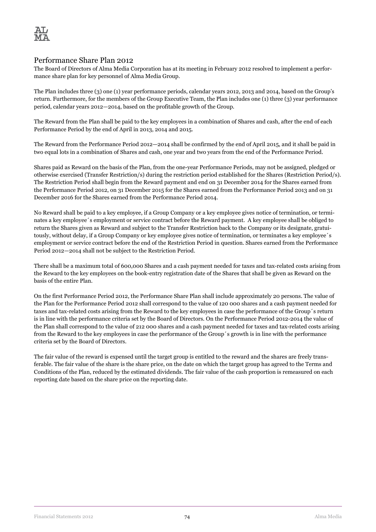

#### Performance Share Plan 2012

The Board of Directors of Alma Media Corporation has at its meeting in February 2012 resolved to implement a performance share plan for key personnel of Alma Media Group.

The Plan includes three (3) one (1) year performance periods, calendar years 2012, 2013 and 2014, based on the Group's return. Furthermore, for the members of the Group Executive Team, the Plan includes one (1) three (3) year performance period, calendar years 2012—2014, based on the profitable growth of the Group.

The Reward from the Plan shall be paid to the key employees in a combination of Shares and cash, after the end of each Performance Period by the end of April in 2013, 2014 and 2015.

The Reward from the Performance Period 2012—2014 shall be confirmed by the end of April 2015, and it shall be paid in two equal lots in a combination of Shares and cash, one year and two years from the end of the Performance Period.

Shares paid as Reward on the basis of the Plan, from the one-year Performance Periods, may not be assigned, pledged or otherwise exercised (Transfer Restriction/s) during the restriction period established for the Shares (Restriction Period/s). The Restriction Period shall begin from the Reward payment and end on 31 December 2014 for the Shares earned from the Performance Period 2012, on 31 December 2015 for the Shares earned from the Performance Period 2013 and on 31 December 2016 for the Shares earned from the Performance Period 2014.

No Reward shall be paid to a key employee, if a Group Company or a key employee gives notice of termination, or terminates a key employee´s employment or service contract before the Reward payment. A key employee shall be obliged to return the Shares given as Reward and subject to the Transfer Restriction back to the Company or its designate, gratuitously, without delay, if a Group Company or key employee gives notice of termination, or terminates a key employee´s employment or service contract before the end of the Restriction Period in question. Shares earned from the Performance Period 2012—2014 shall not be subject to the Restriction Period.

There shall be a maximum total of 600,000 Shares and a cash payment needed for taxes and tax-related costs arising from the Reward to the key employees on the book-entry registration date of the Shares that shall be given as Reward on the basis of the entire Plan.

On the first Performance Period 2012, the Performance Share Plan shall include approximately 20 persons. The value of the Plan for the Performance Period 2012 shall correspond to the value of 120 000 shares and a cash payment needed for taxes and tax-related costs arising from the Reward to the key employees in case the performance of the Group´s return is in line with the performance criteria set by the Board of Directors. On the Performance Period 2012-2014 the value of the Plan shall correspond to the value of 212 000 shares and a cash payment needed for taxes and tax-related costs arising from the Reward to the key employees in case the performance of the Group´s growth is in line with the performance criteria set by the Board of Directors.

The fair value of the reward is expensed until the target group is entitled to the reward and the shares are freely transferable. The fair value of the share is the share price, on the date on which the target group has agreed to the Terms and Conditions of the Plan, reduced by the estimated dividends. The fair value of the cash proportion is remeasured on each reporting date based on the share price on the reporting date.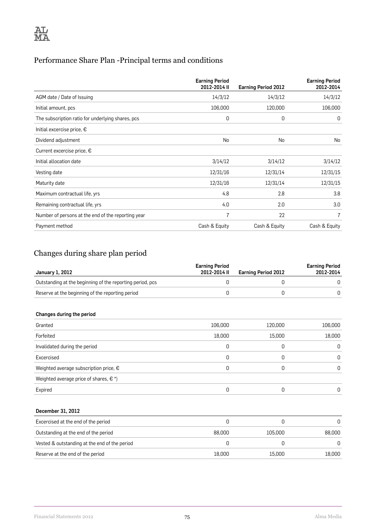## Performance Share Plan -Principal terms and conditions

|                                                    | <b>Earning Period</b><br>2012-2014 II | <b>Earning Period 2012</b> | <b>Earning Period</b><br>2012-2014 |
|----------------------------------------------------|---------------------------------------|----------------------------|------------------------------------|
| AGM date / Date of Issuing                         | 14/3/12                               | 14/3/12                    | 14/3/12                            |
| Initial amount, pcs                                | 106,000                               | 120,000                    | 106,000                            |
| The subscription ratio for underlying shares, pcs  | 0                                     | 0                          | 0                                  |
| Initial excercise price, $\epsilon$                |                                       |                            |                                    |
| Dividend adjustment                                | No                                    | No                         | No                                 |
| Current excercise price, €                         |                                       |                            |                                    |
| Initial allocation date                            | 3/14/12                               | 3/14/12                    | 3/14/12                            |
| Vesting date                                       | 12/31/16                              | 12/31/14                   | 12/31/15                           |
| Maturity date                                      | 12/31/16                              | 12/31/14                   | 12/31/15                           |
| Maximum contractual life, yrs                      | 4.8                                   | 2.8                        | 3.8                                |
| Remaining contractual life, yrs                    | 4.0                                   | 2.0                        | 3.0                                |
| Number of persons at the end of the reporting year | 7                                     | 22                         |                                    |
| Payment method                                     | Cash & Equity                         | Cash & Equity              | Cash & Equity                      |

#### Changes during share plan period

| January 1, 2012                                           | <b>Earning Period</b><br>2012-2014 II | <b>Earning Period 2012</b> | <b>Earning Period</b><br>2012-2014 |
|-----------------------------------------------------------|---------------------------------------|----------------------------|------------------------------------|
| Outstanding at the beginning of the reporting period, pcs |                                       |                            |                                    |
| Reserve at the beginning of the reporting period          |                                       |                            |                                    |

#### Changes during the period

| Granted                                          | 106,000 | 120,000 | 106,000 |
|--------------------------------------------------|---------|---------|---------|
| Forfeited                                        | 18,000  | 15,000  | 18,000  |
| Invalidated during the period                    |         |         |         |
| Excercised                                       |         |         |         |
| Weighted average subscription price, $\epsilon$  |         |         |         |
| Weighted average price of shares, $\epsilon^*$ ) |         |         |         |
| Expired                                          |         |         |         |

#### December 31, 2012

| Excercised at the end of the period           |        |         |        |
|-----------------------------------------------|--------|---------|--------|
| Outstanding at the end of the period          | 88.000 | 105.000 | 88,000 |
| Vested & outstanding at the end of the period |        |         |        |
| Reserve at the end of the period              | 18,000 | 15.000  | 18,000 |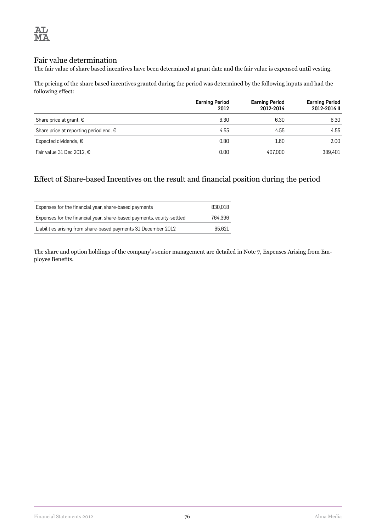#### Fair value determination

The fair value of share based incentives have been determined at grant date and the fair value is expensed until vesting.

The pricing of the share based incentives granted during the period was determined by the following inputs and had the following effect:

|                                                 | <b>Earning Period</b><br>2012 | <b>Earning Period</b><br>2012-2014 | <b>Earning Period</b><br>2012-2014 II |
|-------------------------------------------------|-------------------------------|------------------------------------|---------------------------------------|
| Share price at grant, $\epsilon$                | 6.30                          | 6.30                               | 6.30                                  |
| Share price at reporting period end, $\epsilon$ | 4.55                          | 4.55                               | 4.55                                  |
| Expected dividends, $\epsilon$                  | 0.80                          | 1.60                               | 2.00                                  |
| Fair value 31 Dec 2012, €                       | 0.00                          | 407.000                            | 389.401                               |

#### Effect of Share-based Incentives on the result and financial position during the period

| Expenses for the financial year, share-based payments                 | 830.018 |
|-----------------------------------------------------------------------|---------|
| Expenses for the financial year, share-based payments, equity-settled | 764.396 |
| Liabilities arising from share-based payments 31 December 2012        | 65.621  |

The share and option holdings of the company's senior management are detailed in Note 7, Expenses Arising from Employee Benefits.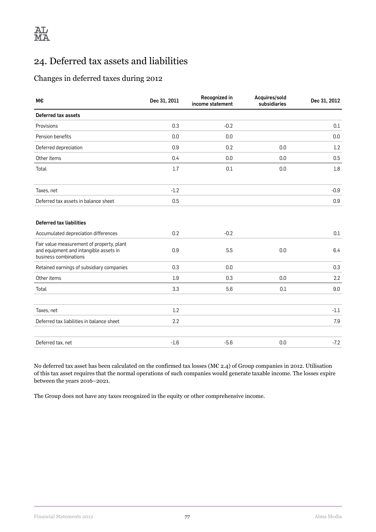## 24. Deferred tax assets and liabilities

#### Changes in deferred taxes during 2012

| М€                                                                                                           | Dec 31, 2011 | Recognized in<br>income statement | Acquires/sold<br>subsidiaries | Dec 31, 2012 |
|--------------------------------------------------------------------------------------------------------------|--------------|-----------------------------------|-------------------------------|--------------|
| Deferred tax assets                                                                                          |              |                                   |                               |              |
| Provisions                                                                                                   | 0.3          | $-0.2$                            |                               | 0.1          |
| Pension benefits                                                                                             | 0.0          | 0.0                               |                               | 0.0          |
| Deferred depreciation                                                                                        | 0.9          | 0.2                               | 0.0                           | 1.2          |
| Other items                                                                                                  | 0.4          | 0.0                               | 0.0                           | 0.5          |
| Total                                                                                                        | 1.7          | 0.1                               | 0.0                           | $1.8\,$      |
| Taxes, net                                                                                                   | $-1.2$       |                                   |                               | $-0.9$       |
| Deferred tax assets in balance sheet                                                                         | 0.5          |                                   |                               | 0.9          |
| <b>Deferred tax liabilities</b>                                                                              |              |                                   |                               |              |
| Accumulated depreciation differences                                                                         | 0.2          | $-0.2$                            |                               | 0.1          |
| Fair value measurement of property, plant<br>and equipment and intangible assets in<br>business combinations | 0.9          | 5.5                               | 0.0                           | 6.4          |
| Retained earnings of subsidiary companies                                                                    | 0.3          | 0.0                               |                               | 0.3          |
| Other items                                                                                                  | 1.9          | 0.3                               | 0.0                           | 2.2          |
| Total                                                                                                        | 3.3          | 5.6                               | 0.1                           | 9.0          |
| Taxes, net                                                                                                   | 1.2          |                                   |                               | $-1.1$       |
| Deferred tax liabilities in balance sheet                                                                    | 2.2          |                                   |                               | 7.9          |
| Deferred tax, net                                                                                            | $-1.6$       | $-5.6$                            | 0.0                           | $-7.2$       |

No deferred tax asset has been calculated on the confirmed tax losses (M€ 2.4) of Group companies in 2012. Utilisation of this tax asset requires that the normal operations of such companies would generate taxable income. The losses expire between the years 2016–2021.

The Group does not have any taxes recognized in the equity or other comprehensive income.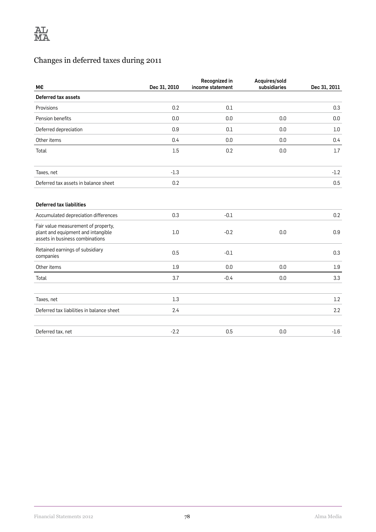## Changes in deferred taxes during 2011

| М€                                                                                                           | Dec 31, 2010 | Recognized in<br>income statement | Acquires/sold<br>subsidiaries | Dec 31, 2011 |
|--------------------------------------------------------------------------------------------------------------|--------------|-----------------------------------|-------------------------------|--------------|
| Deferred tax assets                                                                                          |              |                                   |                               |              |
| Provisions                                                                                                   | 0.2          | 0.1                               |                               | 0.3          |
| Pension benefits                                                                                             | 0.0          | 0.0                               | 0.0                           | 0.0          |
| Deferred depreciation                                                                                        | 0.9          | 0.1                               | 0.0                           | 1.0          |
| Other items                                                                                                  | 0.4          | 0.0                               | 0.0                           | 0.4          |
| Total                                                                                                        | 1.5          | 0.2                               | 0.0                           | 1.7          |
| Taxes, net                                                                                                   | $-1.3$       |                                   |                               | $-1.2$       |
| Deferred tax assets in balance sheet                                                                         | 0.2          |                                   |                               | 0.5          |
| Deferred tax liabilities                                                                                     |              |                                   |                               |              |
| Accumulated depreciation differences                                                                         | 0.3          | $-0.1$                            |                               | 0.2          |
| Fair value measurement of property,<br>plant and equipment and intangible<br>assets in business combinations | 1.0          | $-0.2$                            | 0.0                           | 0.9          |
| Retained earnings of subsidiary<br>companies                                                                 | 0.5          | $-0.1$                            |                               | 0.3          |
| Other items                                                                                                  | 1.9          | 0.0                               | 0.0                           | 1.9          |
| Total                                                                                                        | 3.7          | $-0.4$                            | 0.0                           | 3.3          |
| Taxes, net                                                                                                   | 1.3          |                                   |                               | $1.2\,$      |
| Deferred tax liabilities in balance sheet                                                                    | 2.4          |                                   |                               | 2.2          |
| Deferred tax, net                                                                                            | $-2.2$       | 0.5                               | 0.0                           | $-1.6$       |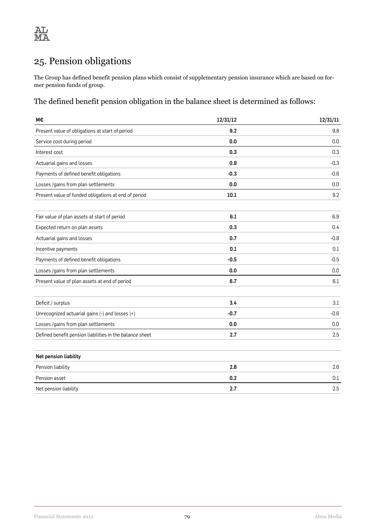## 25. Pension obligations

The Group has defined benefit pension plans which consist of supplementary pension insurance which are based on former pension funds of group.

#### The defined benefit pension obligation in the balance sheet is determined as follows:

| М€                                                       | 12/31/12 | 12/31/11 |
|----------------------------------------------------------|----------|----------|
| Present value of obligations at start of period          | 9.2      | 9.8      |
| Service cost during period                               | 0.0      | 0.0      |
| Interest cost                                            | 0.3      | 0.3      |
| Actuarial gains and losses                               | 0.9      | $-0.3$   |
| Payments of defined benefit obligations                  | $-0.3$   | $-0.6$   |
| Losses /gains from plan settlements                      | 0.0      | 0.0      |
| Present value of funded obligations at end of period     | 10.1     | 9.2      |
| Fair value of plan assets at start of period             | 6.1      | 6.9      |
| Expected return on plan assets                           | 0.3      | 0.4      |
| Actuarial gains and losses                               | 0.7      | $-0.8$   |
| Incentive payments                                       | 0.1      | 0.1      |
| Payments of defined benefit obligations                  | $-0.5$   | $-0.5$   |
| Losses /gains from plan settlements                      | 0.0      | 0.0      |
| Present value of plan assets at end of period            | 6.7      | 6.1      |
| Deficit / surplus                                        | 3.4      | 3.1      |
| Unrecognized actuarial gains (-) and losses (+)          | $-0.7$   | $-0.6$   |
| Losses /gains from plan settlements                      | 0.0      | 0.0      |
| Defined benefit pension liabilities in the balance sheet | 2.7      | 2.5      |
| Net pension liability                                    |          |          |
| Pension liability                                        | 2.8      | 2.6      |
| Pension asset                                            | 0.2      | 0.1      |
| Net pension liability                                    | 2.7      | 2.5      |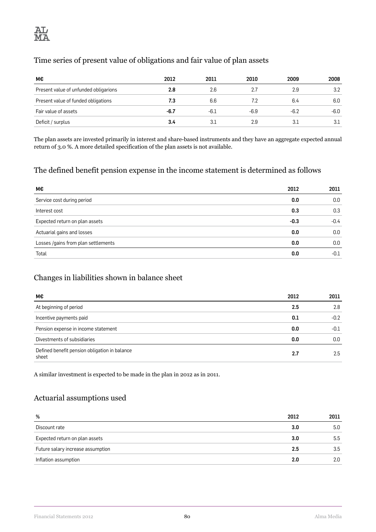#### Time series of present value of obligations and fair value of plan assets

| М€                                    | 2012 | 2011 | 2010 | 2009   | 2008 |
|---------------------------------------|------|------|------|--------|------|
| Present value of unfunded obligarions | 2.8  | 2.6  | 2.7  | 2.9    | 3.2  |
| Present value of funded obligations   | 7.3  | 6.6  | 7.2  | 6.4    | 6.0  |
| Fair value of assets                  | -6.7 | -6.1 | -6.9 | $-6.2$ | -6.0 |
| Deficit / surplus                     | 3.4  |      | 2.9  |        | 3.1  |

The plan assets are invested primarily in interest and share-based instruments and they have an aggregate expected annual return of 3.0 %. A more detailed specification of the plan assets is not available.

#### The defined benefit pension expense in the income statement is determined as follows

| М€                                  | 2012   | 2011   |
|-------------------------------------|--------|--------|
| Service cost during period          | 0.0    | 0.0    |
| Interest cost                       | 0.3    | 0.3    |
| Expected return on plan assets      | $-0.3$ | $-0.4$ |
| Actuarial gains and losses          | 0.0    | 0.0    |
| Losses /gains from plan settlements | 0.0    | 0.0    |
| Total                               | 0.0    | $-0.1$ |

#### Changes in liabilities shown in balance sheet

| М€                                                     | 2012 | 2011   |
|--------------------------------------------------------|------|--------|
| At beginning of period                                 | 2.5  | 2.8    |
| Incentive payments paid                                | 0.1  | $-0.2$ |
| Pension expense in income statement                    | 0.0  | $-0.1$ |
| Divestments of subsidiaries                            | 0.0  | 0.0    |
| Defined benefit pension obligation in balance<br>sheet | 2.7  | 2.5    |

A similar investment is expected to be made in the plan in 2012 as in 2011.

#### Actuarial assumptions used

| %                                 | 2012 | 2011 |
|-----------------------------------|------|------|
| Discount rate                     | 3.0  | 5.0  |
| Expected return on plan assets    | 3.0  | 5.5  |
| Future salary increase assumption | 2.5  | 3.5  |
| Inflation assumption              | 2.0  | 2.0  |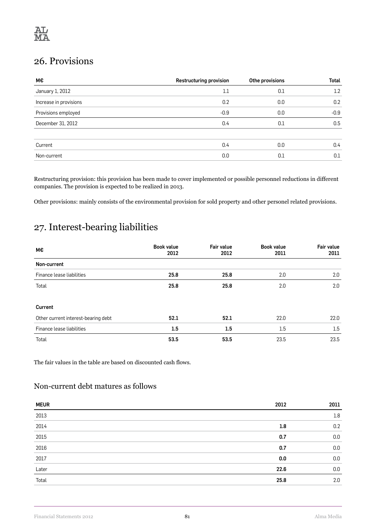## 26. Provisions

| М€                     | <b>Restructuring provision</b> | Othe provisions | Total  |
|------------------------|--------------------------------|-----------------|--------|
| January 1, 2012        | 1.1                            | 0.1             | 1.2    |
| Increase in provisions | 0.2                            | 0.0             | 0.2    |
| Provisions employed    | $-0.9$                         | 0.0             | $-0.9$ |
| December 31, 2012      | 0.4                            | 0.1             | 0.5    |
| Current                | 0.4                            | 0.0             | 0.4    |
| Non-current            | 0.0                            | 0.1             | 0.1    |

Restructuring provision: this provision has been made to cover implemented or possible personnel reductions in different companies. The provision is expected to be realized in 2013.

Other provisions: mainly consists of the environmental provision for sold property and other personel related provisions.

## 27. Interest-bearing liabilities

| М€                                  | <b>Book value</b><br>2012 | <b>Fair value</b><br>2012 | <b>Book value</b><br>2011 | Fair value<br>2011 |
|-------------------------------------|---------------------------|---------------------------|---------------------------|--------------------|
| Non-current                         |                           |                           |                           |                    |
| Finance lease liabilities           | 25.8                      | 25.8                      | 2.0                       | 2.0                |
| Total                               | 25.8                      | 25.8                      | 2.0                       | 2.0                |
| Current                             |                           |                           |                           |                    |
| Other current interest-bearing debt | 52.1                      | 52.1                      | 22.0                      | 22.0               |
| Finance lease liabilities           | 1.5                       | 1.5                       | $1.5\,$                   | 1.5                |
| Total                               | 53.5                      | 53.5                      | 23.5                      | 23.5               |

The fair values in the table are based on discounted cash flows.

#### Non-current debt matures as follows

| <b>MEUR</b> | 2012 | 2011    |
|-------------|------|---------|
| 2013        |      | 1.8     |
| 2014        | 1.8  | 0.2     |
| 2015        | 0.7  | $0.0\,$ |
| 2016        | 0.7  | $0.0\,$ |
| 2017        | 0.0  | $0.0\,$ |
| Later       | 22.6 | $0.0\,$ |
| Total       | 25.8 | 2.0     |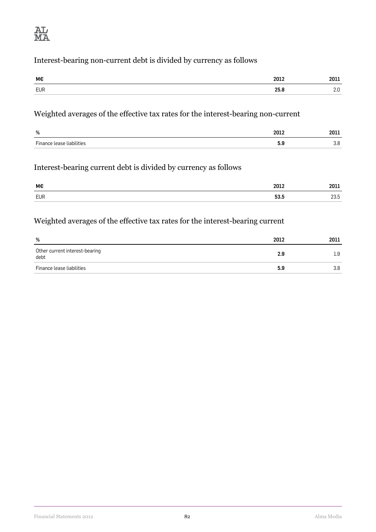#### Interest-bearing non-current debt is divided by currency as follows

| М€                |              | ---   |
|-------------------|--------------|-------|
| <b>CUD</b><br>LUR | 20.V<br>---- | $-15$ |

#### Weighted averages of the effective tax rates for the interest-bearing non-current

| %                                                              | LUIL | ד רחנ<br>.vii<br>the contract of the contract of the |
|----------------------------------------------------------------|------|------------------------------------------------------|
| <br>$\overline{\phantom{a}}$<br>e lease liabilities<br>Finance |      | $\cdot$ $\cdot$<br>J.U                               |

#### Interest-bearing current debt is divided by currency as follows

| М€         | 2012 | 2011<br>the contract of the contract of the |
|------------|------|---------------------------------------------|
| <b>EUR</b> | 53.5 | ں,ں ے                                       |

#### Weighted averages of the effective tax rates for the interest-bearing current

| %                                      | 2012 | 2011 |
|----------------------------------------|------|------|
| Other current interest-bearing<br>debt | 2.9  | 1.9  |
| Finance lease liabilities              | 5.9  | 3.8  |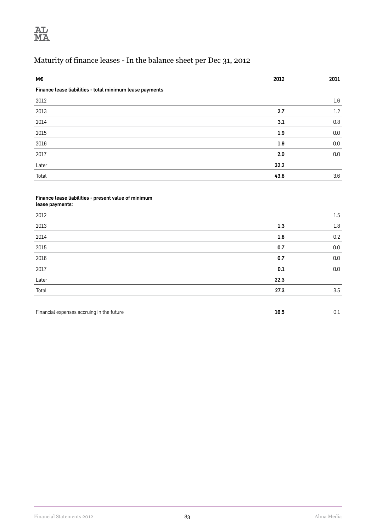## Maturity of finance leases - In the balance sheet per Dec 31, 2012

| М€                                                       | 2012 | 2011    |
|----------------------------------------------------------|------|---------|
| Finance lease liabilities - total minimum lease payments |      |         |
| 2012                                                     |      | 1.6     |
| 2013                                                     | 2.7  | 1.2     |
| 2014                                                     | 3.1  | $0.8\,$ |
| 2015                                                     | 1.9  | 0.0     |
| 2016                                                     | 1.9  | 0.0     |
| 2017                                                     | 2.0  | 0.0     |
| Later                                                    | 32.2 |         |
| Total                                                    | 43.8 | 3.6     |

#### Finance lease liabilities - present value of minimum lease payments:

| 2012                                      |      | $1.5\,$ |
|-------------------------------------------|------|---------|
| 2013                                      | 1.3  | $1.8\,$ |
| 2014                                      | 1.8  | 0.2     |
| 2015                                      | 0.7  | $0.0\,$ |
| 2016                                      | 0.7  | 0.0     |
| 2017                                      | 0.1  | 0.0     |
| Later                                     | 22.3 |         |
| Total                                     | 27.3 | 3.5     |
| Financial expenses accruing in the future | 16.5 | 0.1     |
|                                           |      |         |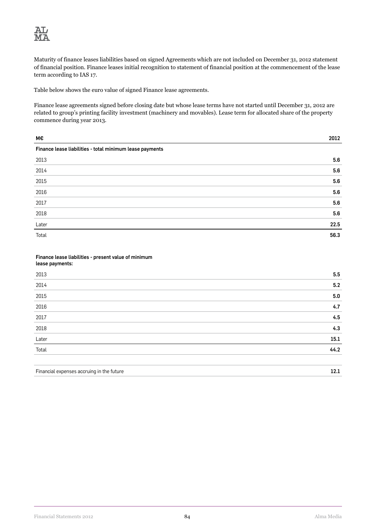

Maturity of finance leases liabilities based on signed Agreements which are not included on December 31, 2012 statement of financial position. Finance leases initial recognition to statement of financial position at the commencement of the lease term according to IAS 17.

Table below shows the euro value of signed Finance lease agreements.

Finance lease agreements signed before closing date but whose lease terms have not started until December 31, 2012 are related to group's printing facility investment (machinery and movables). Lease term for allocated share of the property commence during year 2013.

| М€                                                       | 2012 |
|----------------------------------------------------------|------|
| Finance lease liabilities - total minimum lease payments |      |
| 2013                                                     | 5.6  |
| 2014                                                     | 5.6  |
| 2015                                                     | 5.6  |
| 2016                                                     | 5.6  |
| 2017                                                     | 5.6  |
| 2018                                                     | 5.6  |
| Later                                                    | 22.5 |
| Total                                                    | 56.3 |

#### Finance lease liabilities - present value of minimum

lease payments:

| 2013                                      | 5.5  |
|-------------------------------------------|------|
| 2014                                      | 5.2  |
| 2015                                      | 5.0  |
| 2016                                      | 4.7  |
| 2017                                      | 4.5  |
| 2018                                      | 4.3  |
| Later                                     | 15.1 |
| Total                                     | 44.2 |
| Financial expenses accruing in the future | 12.1 |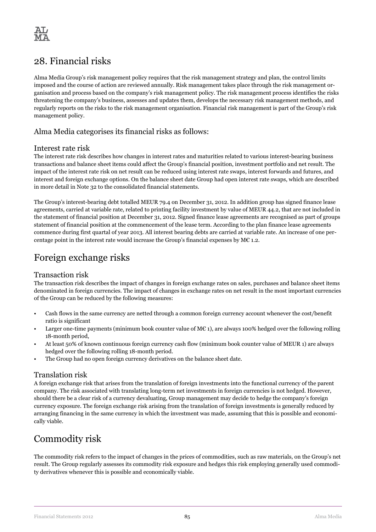## 28. Financial risks

Alma Media Group's risk management policy requires that the risk management strategy and plan, the control limits imposed and the course of action are reviewed annually. Risk management takes place through the risk management organisation and process based on the company's risk management policy. The risk management process identifies the risks threatening the company's business, assesses and updates them, develops the necessary risk management methods, and regularly reports on the risks to the risk management organisation. Financial risk management is part of the Group's risk management policy.

#### Alma Media categorises its financial risks as follows:

#### Interest rate risk

The interest rate risk describes how changes in interest rates and maturities related to various interest-bearing business transactions and balance sheet items could affect the Group's financial position, investment portfolio and net result. The impact of the interest rate risk on net result can be reduced using interest rate swaps, interest forwards and futures, and interest and foreign exchange options. On the balance sheet date Group had open interest rate swaps, which are described in more detail in Note 32 to the consolidated financial statements.

The Group's interest-bearing debt totalled MEUR 79.4 on December 31, 2012. In addition group has signed finance lease agreements, carried at variable rate, related to printing facility investment by value of MEUR 44.2, that are not included in the statement of financial position at December 31, 2012. Signed finance lease agreements are recognised as part of groups statement of financial position at the commencement of the lease term. According to the plan finance lease agreements commence during first quartal of year 2013. All interest bearing debts are carried at variable rate. An increase of one percentage point in the interest rate would increase the Group's financial expenses by  $M\mathcal{E}$  1.2.

### Foreign exchange risks

#### Transaction risk

The transaction risk describes the impact of changes in foreign exchange rates on sales, purchases and balance sheet items denominated in foreign currencies. The impact of changes in exchange rates on net result in the most important currencies of the Group can be reduced by the following measures:

- Cash flows in the same currency are netted through a common foreign currency account whenever the cost/benefit ratio is significant
- Larger one-time payments (minimum book counter value of  $M\mathcal{E}$  1), are always 100% hedged over the following rolling 18-month period,
- At least 50% of known continuous foreign currency cash flow (minimum book counter value of MEUR 1) are always hedged over the following rolling 18-month period.
- The Group had no open foreign currency derivatives on the balance sheet date.

#### Translation risk

A foreign exchange risk that arises from the translation of foreign investments into the functional currency of the parent company. The risk associated with translating long-term net investments in foreign currencies is not hedged. However, should there be a clear risk of a currency devaluating, Group management may decide to hedge the company's foreign currency exposure. The foreign exchange risk arising from the translation of foreign investments is generally reduced by arranging financing in the same currency in which the investment was made, assuming that this is possible and economically viable.

#### Commodity risk

The commodity risk refers to the impact of changes in the prices of commodities, such as raw materials, on the Group's net result. The Group regularly assesses its commodity risk exposure and hedges this risk employing generally used commodity derivatives whenever this is possible and economically viable.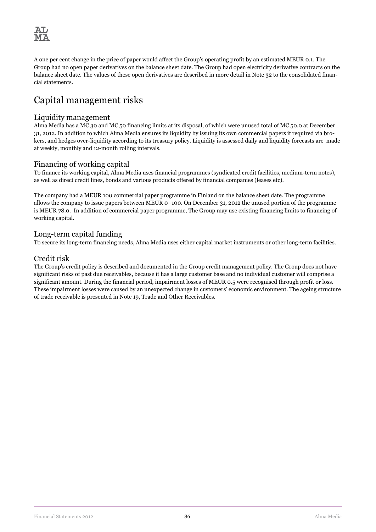A one per cent change in the price of paper would affect the Group's operating profit by an estimated MEUR 0.1. The Group had no open paper derivatives on the balance sheet date. The Group had open electricity derivative contracts on the balance sheet date. The values of these open derivatives are described in more detail in Note 32 to the consolidated financial statements.

## Capital management risks

#### Liquidity management

Alma Media has a M€ 30 and M€ 50 financing limits at its disposal, of which were unused total of M€ 50.0 at December 31, 2012. In addition to which Alma Media ensures its liquidity by issuing its own commercial papers if required via brokers, and hedges over-liquidity according to its treasury policy. Liquidity is assessed daily and liquidity forecasts are made at weekly, monthly and 12-month rolling intervals.

#### Financing of working capital

To finance its working capital, Alma Media uses financial programmes (syndicated credit facilities, medium-term notes), as well as direct credit lines, bonds and various products offered by financial companies (leases etc).

The company had a MEUR 100 commercial paper programme in Finland on the balance sheet date. The programme allows the company to issue papers between MEUR 0–100. On December 31, 2012 the unused portion of the programme is MEUR 78.0. In addition of commercial paper programme, The Group may use existing financing limits to financing of working capital.

#### Long-term capital funding

To secure its long-term financing needs, Alma Media uses either capital market instruments or other long-term facilities.

#### Credit risk

The Group's credit policy is described and documented in the Group credit management policy. The Group does not have significant risks of past due receivables, because it has a large customer base and no individual customer will comprise a significant amount. During the financial period, impairment losses of MEUR 0.5 were recognised through profit or loss. These impairment losses were caused by an unexpected change in customers' economic environment. The ageing structure of trade receivable is presented in Note 19, Trade and Other Receivables.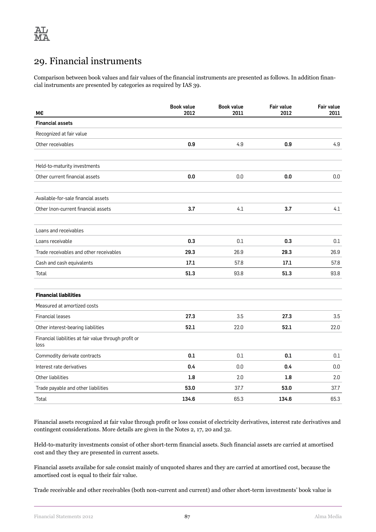## 29. Financial instruments

Comparison between book values and fair values of the financial instruments are presented as follows. In addition financial instruments are presented by categories as required by IAS 39.

| М€                                                            | <b>Book value</b><br>2012 | <b>Book value</b><br>2011 | Fair value<br>2012 | <b>Fair value</b><br>2011 |
|---------------------------------------------------------------|---------------------------|---------------------------|--------------------|---------------------------|
| <b>Financial assets</b>                                       |                           |                           |                    |                           |
| Recognized at fair value                                      |                           |                           |                    |                           |
| Other receivables                                             | 0.9                       | 4.9                       | 0.9                | 4.9                       |
| Held-to-maturity investments                                  |                           |                           |                    |                           |
| Other current financial assets                                | 0.0                       | 0.0                       | 0.0                | 0.0                       |
| Available-for-sale financial assets                           |                           |                           |                    |                           |
| Other Inon-current financial assets                           | 3.7                       | 4.1                       | 3.7                | 4.1                       |
| Loans and receivables                                         |                           |                           |                    |                           |
| Loans receivable                                              | 0.3                       | 0.1                       | 0.3                | 0.1                       |
| Trade receivables and other receivables                       | 29.3                      | 26.9                      | 29.3               | 26.9                      |
| Cash and cash equivalents                                     | 17.1                      | 57.8                      | 17.1               | 57.8                      |
| Total                                                         | 51.3                      | 93.8                      | 51.3               | 93.8                      |
| <b>Financial liabilities</b>                                  |                           |                           |                    |                           |
| Measured at amortized costs                                   |                           |                           |                    |                           |
| <b>Financial leases</b>                                       | 27.3                      | 3.5                       | 27.3               | 3.5                       |
| Other interest-bearing liabilities                            | 52.1                      | 22.0                      | 52.1               | 22.0                      |
| Financial liabilities at fair value through profit or<br>loss |                           |                           |                    |                           |
| Commodity derivate contracts                                  | 0.1                       | 0.1                       | 0.1                | 0.1                       |
| Interest rate derivatives                                     | 0.4                       | 0.0                       | 0.4                | 0.0                       |
| Other liabilities                                             | 1.8                       | 2.0                       | 1.8                | 2.0                       |
| Trade payable and other liabilities                           | 53.0                      | 37.7                      | 53.0               | 37.7                      |
| Total                                                         | 134.6                     | 65.3                      | 134.6              | 65.3                      |

Financial assets recognized at fair value through profit or loss consist of electricity derivatives, interest rate derivatives and contingent considerations. More details are given in the Notes 2, 17, 20 and 32.

Held-to-maturity investments consist of other short-term financial assets. Such financial assets are carried at amortised cost and they they are presented in current assets.

Financial assets availabe for sale consist mainly of unquoted shares and they are carried at amortised cost, because the amortised cost is equal to their fair value.

Trade receivable and other receivables (both non-current and current) and other short-term investments' book value is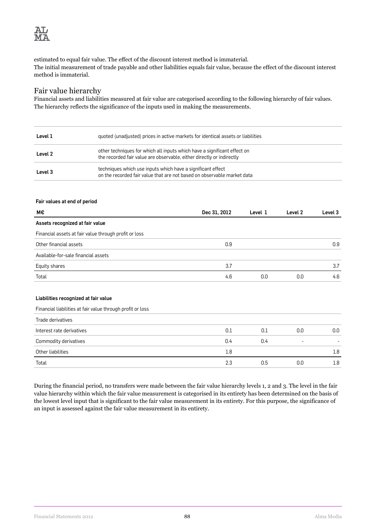

estimated to equal fair value. The effect of the discount interest method is immaterial. The initial measurement of trade payable and other liabilities equals fair value, because the effect of the discount interest method is immaterial.

#### Fair value hierarchy

Financial assets and liabilities measured at fair value are categorised according to the following hierarchy of fair values. The hierarchy reflects the significance of the inputs used in making the measurements.

| Level 1 | quoted (unadjusted) prices in active markets for identical assets or liabilities                                                                  |
|---------|---------------------------------------------------------------------------------------------------------------------------------------------------|
| Level 2 | other techniques for which all inputs which have a significant effect on<br>the recorded fair value are observable, either directly or indirectly |
| Level 3 | techniques which use inputs which have a significant effect<br>on the recorded fair value that are not based on observable market data            |

#### Fair values at end of period

| М€                                                    | Dec 31, 2012 | Level 1 | Level 2 | Level 3 |
|-------------------------------------------------------|--------------|---------|---------|---------|
| Assets recognized at fair value                       |              |         |         |         |
| Financial assets at fair value through profit or loss |              |         |         |         |
| Other financial assets                                | 0.9          |         |         | 0.9     |
| Available-for-sale financial assets                   |              |         |         |         |
| Equity shares                                         | 3.7          |         |         | 3.7     |
| Total                                                 | 4.6          | 0.0     | 0.0     | 4.6     |
|                                                       |              |         |         |         |
| Liabilities recognized at fair value                  |              |         |         |         |

#### Financial liabilities at fair value through profit or loss

| Trade derivatives         |                  |     |                          |     |
|---------------------------|------------------|-----|--------------------------|-----|
| Interest rate derivatives | 0.1              | 0.1 | 0.0                      | 0.0 |
| Commodity derivatives     | 0.4              | 0.4 | $\overline{\phantom{0}}$ |     |
| Other liabilities         | $1.8\phantom{0}$ |     |                          | 1.8 |
| Total                     | 2.3              | 0.5 | 0.0                      | 1.8 |
|                           |                  |     |                          |     |

During the financial period, no transfers were made between the fair value hierarchy levels 1, 2 and 3. The level in the fair value hierarchy within which the fair value measurement is categorised in its entirety has been determined on the basis of the lowest level input that is significant to the fair value measurement in its entirety. For this purpose, the significance of an input is assessed against the fair value measurement in its entirety.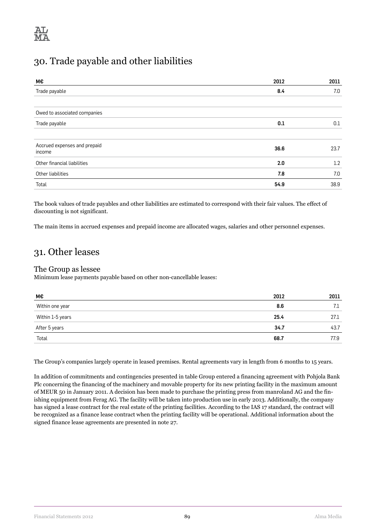## 30. Trade payable and other liabilities

| М€                                     | 2012 | 2011 |
|----------------------------------------|------|------|
| Trade payable                          | 8.4  | 7.0  |
| Owed to associated companies           |      |      |
| Trade payable                          | 0.1  | 0.1  |
| Accrued expenses and prepaid<br>income | 36.6 | 23.7 |
| Other financial liabilities            | 2.0  | 1.2  |
| Other liabilities                      | 7.8  | 7.0  |
| Total                                  | 54.9 | 38.9 |

The book values of trade payables and other liabilities are estimated to correspond with their fair values. The effect of discounting is not significant.

The main items in accrued expenses and prepaid income are allocated wages, salaries and other personnel expenses.

### 31. Other leases

#### The Group as lessee

Minimum lease payments payable based on other non-cancellable leases:

| М€               | 2012 | 2011 |
|------------------|------|------|
| Within one year  | 8.6  | 7.1  |
| Within 1-5 years | 25.4 | 27.1 |
| After 5 years    | 34.7 | 43.7 |
| Total            | 68.7 | 77.9 |

The Group's companies largely operate in leased premises. Rental agreements vary in length from 6 months to 15 years.

In addition of commitments and contingencies presented in table Group entered a financing agreement with Pohjola Bank Plc concerning the financing of the machinery and movable property for its new printing facility in the maximum amount of MEUR 50 in January 2011. A decision has been made to purchase the printing press from manroland AG and the finishing equipment from Ferag AG. The facility will be taken into production use in early 2013. Additionally, the company has signed a lease contract for the real estate of the printing facilities. According to the IAS 17 standard, the contract will be recognized as a finance lease contract when the printing facility will be operational. Additional information about the signed finance lease agreements are presented in note 27.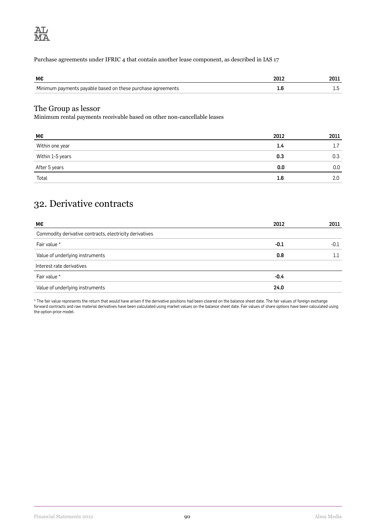Purchase agreements under IFRIC 4 that contain another lease component, as described in IAS 17

| М€                                                          | 2011 |
|-------------------------------------------------------------|------|
| Minimum payments payable based on these purchase agreements |      |

#### The Group as lessor

Minimum rental payments receivable based on other non-cancellable leases

| М€               | 2012 | 2011 |
|------------------|------|------|
| Within one year  | 1.4  | 1.7  |
| Within 1-5 years | 0.3  | 0.3  |
| After 5 years    | 0.0  | 0.0  |
| Total            | 1.6  | 2.0  |

## 32. Derivative contracts

| М€                                                      | 2012   | 2011 |
|---------------------------------------------------------|--------|------|
| Commodity derivative contracts, electricity derivatives |        |      |
| Fair value *                                            | $-0.1$ | -0.1 |
| Value of underlying instruments                         | 0.8    |      |
| Interest rate derivatives                               |        |      |
| Fair value *                                            | $-0.4$ |      |
| Value of underlying instruments                         | 24.0   |      |

\* The fair value represents the return that would have arisen if the derivative positions had been cleared on the balance sheet date. The fair values of foreign exchange forward contracts and raw material derivatives have been calculated using market values on the balance sheet date. Fair values of share options have been calculated using the option price model.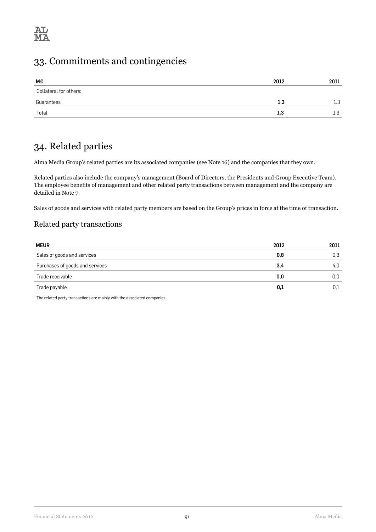## 33. Commitments and contingencies

| М€                     | 2012 | 2011 |
|------------------------|------|------|
| Collateral for others: |      |      |
| Guarantees             | 1.3  | 1.3  |
| Total                  | 1.3  | 1.3  |

## 34. Related parties

Alma Media Group's related parties are its associated companies (see Note 16) and the companies that they own.

Related parties also include the company's management (Board of Directors, the Presidents and Group Executive Team). The employee benefits of management and other related party transactions between management and the company are detailed in Note 7.

Sales of goods and services with related party members are based on the Group's prices in force at the time of transaction.

#### Related party transactions

| <b>MEUR</b>                     | 2012 | 2011 |
|---------------------------------|------|------|
| Sales of goods and services     | 0,8  | 0,3  |
| Purchases of goods and services | 3,4  | 4,0  |
| Trade receivable                | 0,0  | 0,0  |
| Trade payable                   | 0,1  | 0,1  |

The related party transactions are mainly with the associated companies.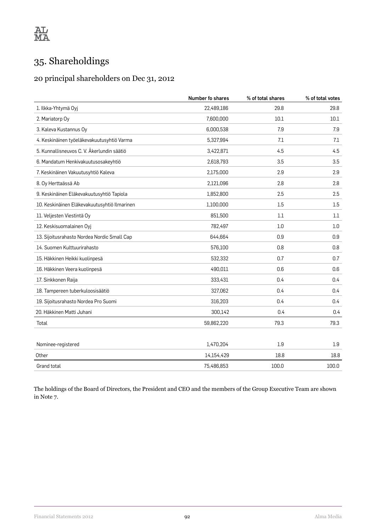# 35. Shareholdings

## 20 principal shareholders on Dec 31, 2012

|                                              | Number fo shares | % of total shares | % of total votes |
|----------------------------------------------|------------------|-------------------|------------------|
| 1. Ilkka-Yhtymä Oyj                          | 22,489,186       | 29.8              | 29.8             |
| 2. Mariatorp Oy                              | 7,600,000        | 10.1              | 10.1             |
| 3. Kaleva Kustannus Oy                       | 6,000,538        | 7.9               | 7.9              |
| 4. Keskinäinen työeläkevakuutusyhtiö Varma   | 5,327,994        | 7.1               | 7.1              |
| 5. Kunnallisneuvos C. V. Åkerlundin säätiö   | 3,422,871        | 4.5               | 4.5              |
| 6. Mandatum Henkivakuutusosakeyhtiö          | 2,618,793        | 3.5               | 3.5              |
| 7. Keskinäinen Vakuutusyhtiö Kaleva          | 2,175,000        | 2.9               | 2.9              |
| 8. Oy Herttaässä Ab                          | 2,121,096        | 2.8               | 2.8              |
| 9. Keskinäinen Eläkevakuutusyhtiö Tapiola    | 1,852,800        | 2.5               | 2.5              |
| 10. Keskinäinen Eläkevakuutusyhtiö Ilmarinen | 1,100,000        | 1.5               | 1.5              |
| 11. Veljesten Viestintä Oy                   | 851,500          | 1.1               | 1.1              |
| 12. Keskisuomalainen Oyj                     | 782,497          | 1.0               | 1.0              |
| 13. Sijoitusrahasto Nordea Nordic Small Cap  | 644,664          | 0.9               | 0.9              |
| 14. Suomen Kulttuurirahasto                  | 576,100          | 0.8               | 0.8              |
| 15. Häkkinen Heikki kuolinpesä               | 532,332          | 0.7               | 0.7              |
| 16. Häkkinen Veera kuolinpesä                | 490,011          | 0.6               | 0.6              |
| 17. Sinkkonen Raija                          | 333,431          | 0.4               | 0.4              |
| 18. Tampereen tuberkuloosisäätiö             | 327,062          | 0.4               | 0.4              |
| 19. Sijoitusrahasto Nordea Pro Suomi         | 316,203          | 0.4               | 0.4              |
| 20. Häkkinen Matti Juhani                    | 300,142          | 0.4               | 0.4              |
| Total                                        | 59,862,220       | 79.3              | 79.3             |
|                                              |                  |                   |                  |
| Nominee-registered                           | 1,470,204        | 1.9               | 1.9              |
| Other                                        | 14,154,429       | 18.8              | 18.8             |
| Grand total                                  | 75,486,853       | 100.0             | 100.0            |

The holdings of the Board of Directors, the President and CEO and the members of the Group Executive Team are shown in Note 7.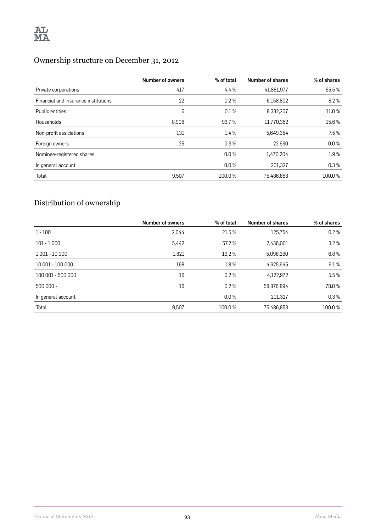## Ownership structure on December 31, 2012

|                                      | Number of owners | % of total | Number of shares | % of shares |
|--------------------------------------|------------------|------------|------------------|-------------|
| Private corporations                 | 417              | 4.4%       | 41,881,977       | 55.5%       |
| Financial and insurance institutions | 22               | 0.2%       | 6,158,802        | 8.2%        |
| Public entities                      | 6                | $0.1\%$    | 8,332,207        | 11.0%       |
| Households                           | 8.906            | 93.7%      | 11,770,352       | 15.6%       |
| Non-profit assiciations              | 131              | 1.4%       | 5,649,354        | 7.5%        |
| Foreign owners                       | 25               | 0.3%       | 22,630           | $0.0\%$     |
| Nominee-registered shares            |                  | $0.0\%$    | 1,470,204        | 1.9%        |
| In general account                   |                  | $0.0\%$    | 201,327          | 0.3%        |
| Total                                | 9.507            | 100.0%     | 75.486.853       | 100.0%      |

## Distribution of ownership

|                    | Number of owners | % of total | Number of shares | % of shares |
|--------------------|------------------|------------|------------------|-------------|
| $1 - 100$          | 2,044            | 21.5 %     | 125.754          | 0.2%        |
| $101 - 1000$       | 5,442            | 57.2 %     | 2,436,001        | 3.2%        |
| $1001 - 10000$     | 1,821            | 19.2 %     | 5,098,260        | 6.8%        |
| 10 001 - 100 000   | 168              | 1.8%       | 4,625,645        | 6.1%        |
| 100 001 - 500 000  | 16               | 0.2%       | 4,122,972        | 5.5%        |
| $500000 -$         | 16               | 0.2%       | 58,876,894       | 78.0%       |
| In general account |                  | $0.0\%$    | 201.327          | 0.3%        |
| Total              | 9,507            | 100.0%     | 75,486,853       | 100.0%      |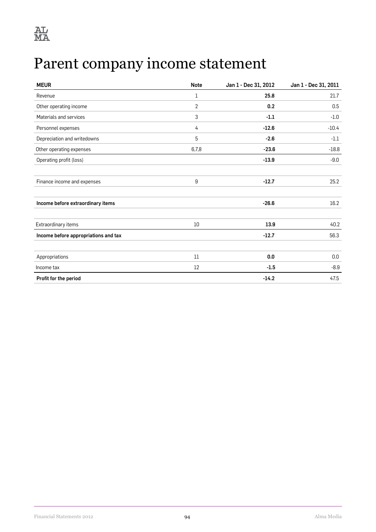# Parent company income statement

| <b>MEUR</b>                          | <b>Note</b>    | Jan 1 - Dec 31, 2012 | Jan 1 - Dec 31, 2011 |
|--------------------------------------|----------------|----------------------|----------------------|
| Revenue                              | $\mathbf 1$    | 25.8                 | 21.7                 |
| Other operating income               | $\overline{2}$ | 0.2                  | 0.5                  |
| Materials and services               | 3              | $-1.1$               | $-1.0$               |
| Personnel expenses                   | 4              | $-12.6$              | $-10.4$              |
| Depreciation and writedowns          | 5              | $-2.6$               | $-1.1$               |
| Other operating expenses             | 6,7,8          | $-23.6$              | $-18.8$              |
| Operating profit (loss)              |                | $-13.9$              | $-9.0$               |
|                                      |                |                      |                      |
| Finance income and expenses          | 9              | $-12.7$              | 25.2                 |
|                                      |                |                      |                      |
| Income before extraordinary items    |                | $-26.6$              | 16.2                 |
|                                      |                |                      |                      |
| Extraordinary items                  | 10             | 13.9                 | 40.2                 |
| Income before appropriations and tax |                | $-12.7$              | 56.3                 |
|                                      |                |                      |                      |
| Appropriations                       | 11             | 0.0                  | 0.0                  |
| Income tax                           | 12             | $-1.5$               | $-8.9$               |
| Profit for the period                |                | $-14.2$              | 47.5                 |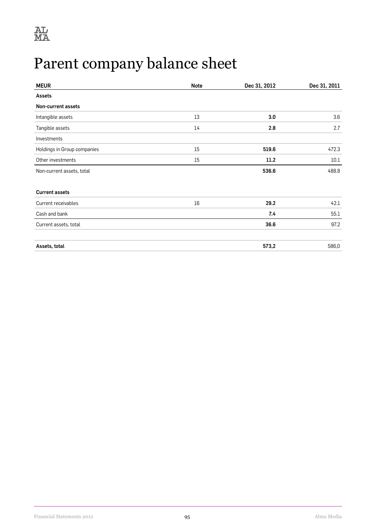# Parent company balance sheet

| <b>MEUR</b>                 | <b>Note</b> | Dec 31, 2012 | Dec 31, 2011 |
|-----------------------------|-------------|--------------|--------------|
| Assets                      |             |              |              |
| Non-current assets          |             |              |              |
| Intangible assets           | 13          | 3.0          | 3.6          |
| Tangible assets             | 14          | 2.8          | 2.7          |
| Investments                 |             |              |              |
| Holdings in Group companies | 15          | 519.6        | 472.3        |
| Other investments           | 15          | 11.2         | $10.1\,$     |
| Non-current assets, total   |             | 536.6        | 488.8        |
| <b>Current assets</b>       |             |              |              |
| Current receivables         | 16          | 29.2         | 42.1         |
| Cash and bank               |             | 7.4          | 55.1         |
| Current assets, total       |             | 36.6         | 97.2         |
| Assets, total               |             | 573,2        | 586,0        |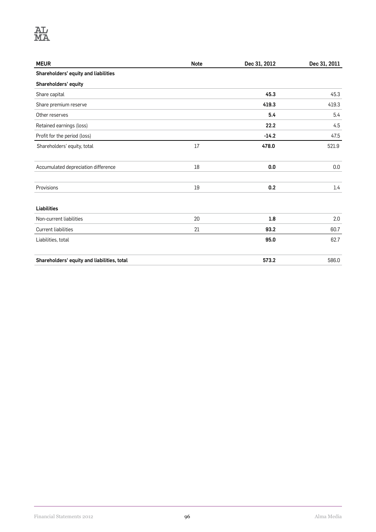# **AL<br>MA**

| <b>MEUR</b>                                 | <b>Note</b> | Dec 31, 2012 | Dec 31, 2011 |
|---------------------------------------------|-------------|--------------|--------------|
| Shareholders' equity and liabilities        |             |              |              |
| Shareholders' equity                        |             |              |              |
| Share capital                               |             | 45.3         | 45.3         |
| Share premium reserve                       |             | 419.3        | 419.3        |
| Other reserves                              |             | 5.4          | 5.4          |
| Retained earnings (loss)                    |             | 22.2         | 4.5          |
| Profit for the period (loss)                |             | $-14.2$      | 47.5         |
| Shareholders' equity, total                 | 17          | 478.0        | 521.9        |
| Accumulated depreciation difference         | 18          | 0.0          | 0.0          |
| Provisions                                  | 19          | 0.2          | 1.4          |
| Liabilities                                 |             |              |              |
| Non-current liabilities                     | 20          | 1.8          | 2.0          |
| <b>Current liabilities</b>                  | 21          | 93.2         | 60.7         |
| Liabilities, total                          |             | 95.0         | 62.7         |
| Shareholders' equity and liabilities, total |             | 573.2        | 586.0        |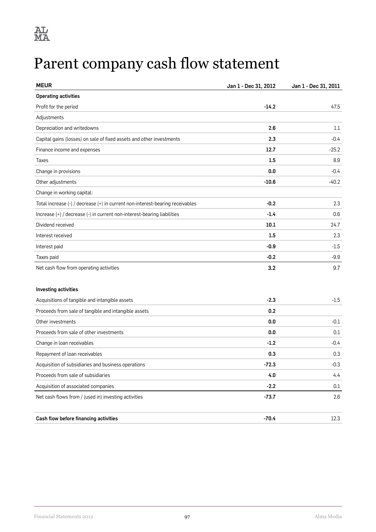# Parent company cash flow statement

| <b>MEUR</b>                                                                   | Jan 1 - Dec 31, 2012 | Jan 1 - Dec 31, 2011 |
|-------------------------------------------------------------------------------|----------------------|----------------------|
| <b>Operating activities</b>                                                   |                      |                      |
| Profit for the period                                                         | $-14.2$              | 47.5                 |
| Adjustments                                                                   |                      |                      |
| Depreciation and writedowns                                                   | 2.6                  | $1.1\,$              |
| Capital gains (losses) on sale of fixed assets and other investments          | 2.3                  | $-0.4$               |
| Finance income and expenses                                                   | 12.7                 | $-25.2$              |
| Taxes                                                                         | 1.5                  | 8.9                  |
| Change in provisions                                                          | 0.0                  | $-0.4$               |
| Other adjustments                                                             | $-10.6$              | $-40.2$              |
| Change in working capital:                                                    |                      |                      |
| Total increase (-) / decrease (+) in current non-interest-bearing receivables | $-0.2$               | 2.3                  |
| Increase (+) / decrease (-) in current non-interest-bearing liabilities       | $-1.4$               | 0.6                  |
| Dividend received                                                             | 10.1                 | 24.7                 |
| Interest received                                                             | 1.5                  | 2.3                  |
| Interest paid                                                                 | $-0.9$               | $-1.5$               |
| Taxes paid                                                                    | $-0.2$               | $-9.9$               |
| Net cash flow from operating activities                                       | 3.2                  | 9.7                  |
| Investing activities                                                          |                      |                      |
| Acquisitions of tangible and intangible assets                                | $-2.3$               | $-1.5$               |
| Proceeds from sale of tangible and intangible assets                          | 0.2                  |                      |
| Other investments                                                             | 0.0                  | $-0.1$               |
| Proceeds from sale of other investments                                       | 0.0                  | 0.1                  |
| Change in loan receivables                                                    | $-1.2$               | $-0.4$               |
| Repayment of loan receivables                                                 | 0.3                  | 0.3                  |
| Acquisition of subsidiaries and business operations                           | $-72.3$              | $-0.3$               |
| Proceeds from sale of subsidiaries                                            | 4.0                  | 4.4                  |
| Acquisition of associated companies                                           | $-2.2$               | 0.1                  |
| Net cash flows from / (used in) investing activities                          | $-73.7$              | 2.6                  |
| Cash flow before financing activities                                         | $-70.4$              | 12.3                 |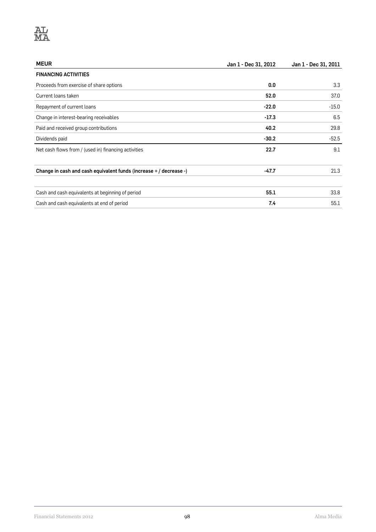| <b>MEUR</b>                                                        | Jan 1 - Dec 31, 2012 | Jan 1 - Dec 31, 2011 |
|--------------------------------------------------------------------|----------------------|----------------------|
| <b>FINANCING ACTIVITIES</b>                                        |                      |                      |
| Proceeds from exercise of share options                            | 0.0                  | 3.3                  |
| Current loans taken                                                | 52.0                 | 37.0                 |
| Repayment of current loans                                         | $-22.0$              | $-15.0$              |
| Change in interest-bearing receivables                             | $-17.3$              | 6.5                  |
| Paid and received group contributions                              | 40.2                 | 29.8                 |
| Dividends paid                                                     | $-30.2$              | $-52.5$              |
| Net cash flows from / (used in) financing activities               | 22.7                 | 9.1                  |
| Change in cash and cash equivalent funds (increase + / decrease -) | $-47.7$              | 21.3                 |
| Cash and cash equivalents at beginning of period                   | 55.1                 | 33.8                 |
| Cash and cash equivalents at end of period                         | 7.4                  | 55.1                 |
|                                                                    |                      |                      |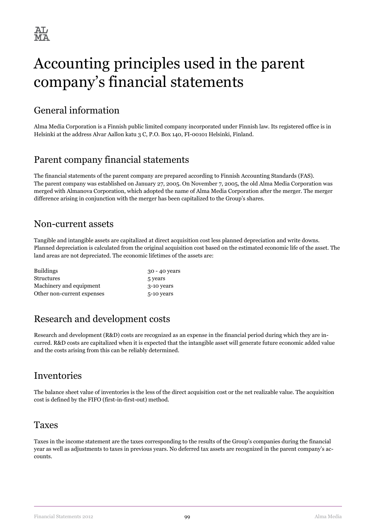# Accounting principles used in the parent company's financial statements

## General information

Alma Media Corporation is a Finnish public limited company incorporated under Finnish law. Its registered office is in Helsinki at the address Alvar Aallon katu 3 C, P.O. Box 140, FI-00101 Helsinki, Finland.

## Parent company financial statements

The financial statements of the parent company are prepared according to Finnish Accounting Standards (FAS). The parent company was established on January 27, 2005. On November 7, 2005, the old Alma Media Corporation was merged with Almanova Corporation, which adopted the name of Alma Media Corporation after the merger. The merger difference arising in conjunction with the merger has been capitalized to the Group's shares.

#### Non-current assets

Tangible and intangible assets are capitalized at direct acquisition cost less planned depreciation and write downs. Planned depreciation is calculated from the original acquisition cost based on the estimated economic life of the asset. The land areas are not depreciated. The economic lifetimes of the assets are:

| <b>Buildings</b>           | 30 - 40 years |
|----------------------------|---------------|
| <b>Structures</b>          | 5 years       |
| Machinery and equipment    | 3-10 years    |
| Other non-current expenses | 5-10 years    |

## Research and development costs

Research and development (R&D) costs are recognized as an expense in the financial period during which they are incurred. R&D costs are capitalized when it is expected that the intangible asset will generate future economic added value and the costs arising from this can be reliably determined.

## Inventories

The balance sheet value of inventories is the less of the direct acquisition cost or the net realizable value. The acquisition cost is defined by the FIFO (first-in-first-out) method.

#### Taxes

Taxes in the income statement are the taxes corresponding to the results of the Group's companies during the financial year as well as adjustments to taxes in previous years. No deferred tax assets are recognized in the parent company's accounts.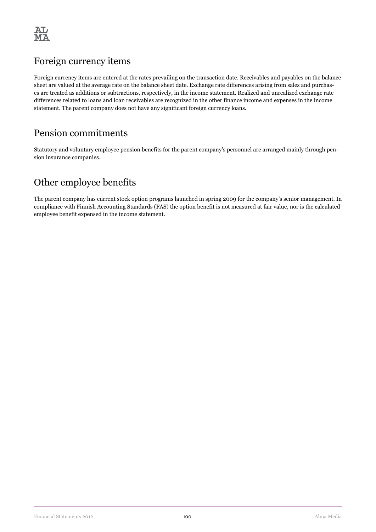#### Foreign currency items

Foreign currency items are entered at the rates prevailing on the transaction date. Receivables and payables on the balance sheet are valued at the average rate on the balance sheet date. Exchange rate differences arising from sales and purchases are treated as additions or subtractions, respectively, in the income statement. Realized and unrealized exchange rate differences related to loans and loan receivables are recognized in the other finance income and expenses in the income statement. The parent company does not have any significant foreign currency loans.

### Pension commitments

Statutory and voluntary employee pension benefits for the parent company's personnel are arranged mainly through pension insurance companies.

## Other employee benefits

The parent company has current stock option programs launched in spring 2009 for the company's senior management. In compliance with Finnish Accounting Standards (FAS) the option benefit is not measured at fair value, nor is the calculated employee benefit expensed in the income statement.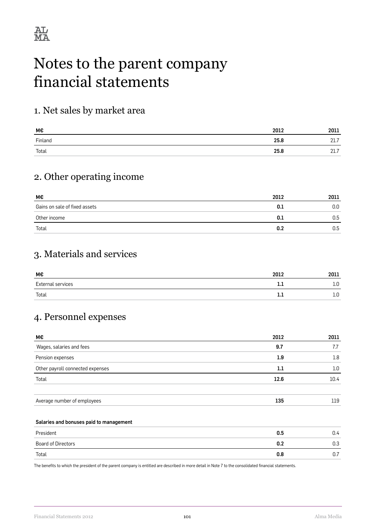# Notes to the parent company financial statements

## 1. Net sales by market area

| M€      | 2012 | 2011                 |
|---------|------|----------------------|
| Finland | 25.8 | ີ                    |
| Total   | 25.8 | -<br>ົາ<br><u>__</u> |

### 2. Other operating income

| М€                            | 2012 | 2011    |
|-------------------------------|------|---------|
| Gains on sale of fixed assets | 0.1  | 0.0     |
| Other income                  | 0.1  | 0.5     |
| Total                         | 0.2  | $0.5\,$ |

## 3. Materials and services

| М€                | 2012 | 2011 |
|-------------------|------|------|
| External services | . .  | L.L  |
| Total             | . .  |      |

## 4. Personnel expenses

| М€                               | 2012 | 2011 |
|----------------------------------|------|------|
| Wages, salaries and fees         | 9.7  | 7.7  |
| Pension expenses                 | 1.9  | 1.8  |
| Other payroll connected expenses | 1.1  | 1.0  |
| Total                            | 12.6 | 10.4 |
| Average number of employees      | 135  | 119  |

#### Salaries and bonuses paid to management

| President          | U.5 | J.4 |
|--------------------|-----|-----|
| Board of Directors | U.Z | 0.3 |
| Total              | 0.8 | ა.7 |

The benefits to which the president of the parent company is entitled are described in more detail in Note 7 to the consolidated financial statements.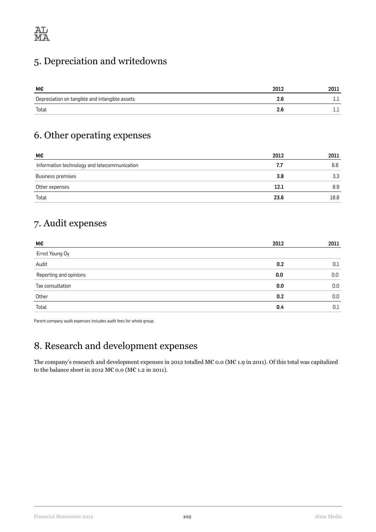## 5. Depreciation and writedowns

| М€                                             | 2012 | 2011 |
|------------------------------------------------|------|------|
| Depreciation on tangible and intangible assets |      |      |
| Total                                          |      |      |

## 6. Other operating expenses

| М€                                           | 2012 | 2011 |
|----------------------------------------------|------|------|
| Information technology and telecommunication | 7.7  | 6.6  |
| <b>Business premises</b>                     | 3.8  | 3.3  |
| Other expenses                               | 12.1 | 8.9  |
| Total                                        | 23.6 | 18.8 |

## 7. Audit expenses

| М€                     | 2012 | 2011 |
|------------------------|------|------|
| Ernst Young Oy         |      |      |
| Audit                  | 0.2  | 0.1  |
| Reporting and opinions | 0.0  | 0.0  |
| Tax consultation       | 0.0  | 0.0  |
| Other                  | 0.2  | 0.0  |
| Total                  | 0.4  | 0.1  |

Parent company audit expenses includes audit fees for whole group.

## 8. Research and development expenses

The company's research and development expenses in 2012 totalled M€ 0.0 (M€ 1.9 in 2011). Of this total was capitalized to the balance sheet in 2012 M€ 0.0 (M€ 1.2 in 2011).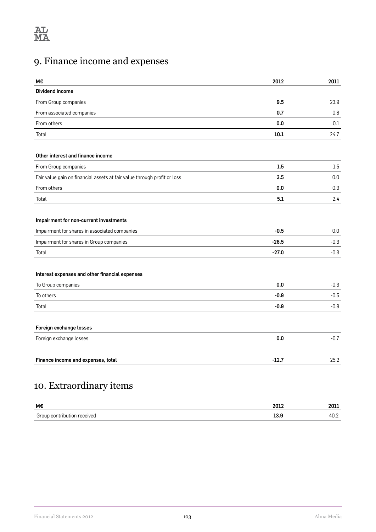# 9. Finance income and expenses

| M€                                                                       | 2012    | 2011    |
|--------------------------------------------------------------------------|---------|---------|
| Dividend income                                                          |         |         |
| From Group companies                                                     | 9.5     | 23.9    |
| From associated companies                                                | 0.7     | 0.8     |
| From others                                                              | 0.0     | 0.1     |
| Total                                                                    | 10.1    | 24.7    |
| Other interest and finance income                                        |         |         |
| From Group companies                                                     | 1.5     | 1.5     |
| Fair value gain on financial assets at fair value through profit or loss | 3.5     | 0.0     |
| From others                                                              | $0.0\,$ | $0.9\,$ |
| Total                                                                    | 5.1     | 2.4     |
| Impairment for non-current investments                                   |         |         |
| Impairment for shares in associated companies                            | $-0.5$  | 0.0     |
| Impairment for shares in Group companies                                 | $-26.5$ | $-0.3$  |
| Total                                                                    | $-27.0$ | $-0.3$  |
| Interest expenses and other financial expenses                           |         |         |
| To Group companies                                                       | $0.0\,$ | $-0.3$  |
| To others                                                                | $-0.9$  | $-0.5$  |
| Total                                                                    | $-0.9$  | $-0.8$  |
| Foreign exchange losses                                                  |         |         |
| Foreign exchange losses                                                  | $0.0\,$ | $-0.7$  |
| Finance income and expenses, total                                       | $-12.7$ | 25.2    |
|                                                                          |         |         |

# 10. Extraordinary items

| М€                                    | 0015<br>40 L 4 | 2011 |
|---------------------------------------|----------------|------|
| - Group contrib<br>received<br>oution |                | 4U.∠ |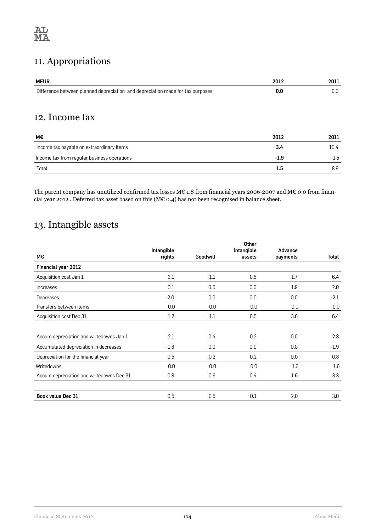## 11. Appropriations

| <b>MEUR</b>                                                                    | 2011 |
|--------------------------------------------------------------------------------|------|
| Difference between planned depreciation and depreciation made for tax purposes |      |

### 12. Income tax

| М€                                          | 2012 | 2011 |
|---------------------------------------------|------|------|
| Income tax payable on extraordinary items   | 3.4  | 10.4 |
| Income tax from regular business operations | -1.9 | -1.5 |
| Total                                       | 1.5  | 8.9  |

The parent company has unutilized confirmed tax losses M€ 1.8 from financial years 2006-2007 and M€ 0.0 from financial year 2012 . Deferred tax asset based on this (M€ 0.4) has not been recognised in balance sheet.

## 13. Intangible assets

|                                          |                      |          | <b>Other</b>         |                     |         |
|------------------------------------------|----------------------|----------|----------------------|---------------------|---------|
| М€                                       | Intangible<br>rights | Goodwill | intangible<br>assets | Advance<br>payments | Total   |
| <b>Financial year 2012</b>               |                      |          |                      |                     |         |
| Acquisition cost Jan 1                   | 3.1                  | 1.1      | 0.5                  | 1.7                 | 6.4     |
| Increases                                | 0.1                  | 0.0      | 0.0                  | 1.9                 | 2.0     |
| Decreases                                | $-2.0$               | 0.0      | 0.0                  | 0.0                 | $-2.1$  |
| Transfers between items                  | 0.0                  | 0.0      | 0.0                  | 0.0                 | 0.0     |
| Acquisition cost Dec 31                  | 1.2                  | 1.1      | 0.5                  | 3.6                 | 6.4     |
|                                          |                      |          |                      |                     |         |
| Accum depreciation and writedowns Jan 1  | 2.1                  | 0.4      | 0.2                  | 0.0                 | 2.8     |
| Accumulated depreciation in decreases    | $-1.8$               | 0.0      | 0.0                  | 0.0                 | $-1.9$  |
| Depreciation for the financial year      | 0.5                  | 0.2      | 0.2                  | 0.0                 | 0.8     |
| Writedowns                               | 0.0                  | 0.0      | 0.0                  | 1.6                 | $1.6\,$ |
| Accum depreciation and writedowns Dec 31 | 0.8                  | 0.6      | 0.4                  | $1.6\,$             | 3.3     |
| Book value Dec 31                        | 0.5                  | 0.5      | 0.1                  | 2.0                 | 3.0     |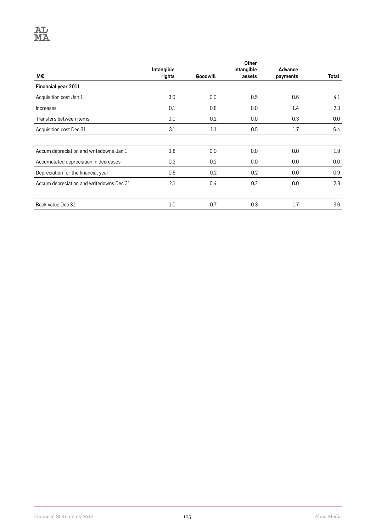|                                          |                      |          | Other                | Advance  |       |
|------------------------------------------|----------------------|----------|----------------------|----------|-------|
| м€                                       | Intangible<br>rights | Goodwill | intangible<br>assets | payments | Total |
| Financial year 2011                      |                      |          |                      |          |       |
| Acquisition cost Jan 1                   | 3.0                  | 0.0      | 0.5                  | 0.6      | 4.1   |
| Increases                                | 0.1                  | 0.8      | 0.0                  | 1.4      | 2.3   |
| Transfers between items                  | 0.0                  | 0.2      | 0.0                  | $-0.3$   | 0.0   |
| Acquisition cost Dec 31                  | 3.1                  | 1.1      | 0.5                  | 1.7      | 6.4   |
| Accum depreciation and writedowns Jan 1  | 1.8                  | 0.0      | 0.0                  | 0.0      | 1.9   |
| Accumulated depreciation in decreases    | $-0.2$               | 0.2      | 0.0                  | 0.0      | 0.0   |
| Depreciation for the financial year      | 0.5                  | 0.2      | 0.2                  | 0.0      | 0.9   |
| Accum depreciation and writedowns Dec 31 | 2.1                  | 0.4      | 0.2                  | 0.0      | 2.8   |
| Book value Dec 31                        | 1.0                  | 0.7      | 0.3                  | 1.7      | 3.6   |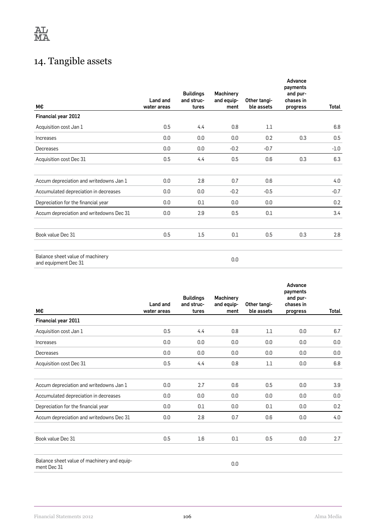# 14. Tangible assets

| М€                                                       | Land and<br>water areas | <b>Buildings</b><br>and struc-<br>tures | Machinery<br>and equip-<br>ment | Other tangi-<br>ble assets | Advance<br>payments<br>and pur-<br>chases in<br>progress | <b>Total</b> |
|----------------------------------------------------------|-------------------------|-----------------------------------------|---------------------------------|----------------------------|----------------------------------------------------------|--------------|
| Financial year 2012                                      |                         |                                         |                                 |                            |                                                          |              |
| Acquisition cost Jan 1                                   | 0.5                     | 4.4                                     | 0.8                             | 1.1                        |                                                          | 6.8          |
| <b>Increases</b>                                         | 0.0                     | 0.0                                     | 0.0                             | 0.2                        | 0.3                                                      | 0.5          |
| Decreases                                                | 0.0                     | 0.0                                     | $-0.2$                          | $-0.7$                     |                                                          | $-1.0$       |
| Acquisition cost Dec 31                                  | 0.5                     | 4.4                                     | 0.5                             | 0.6                        | 0.3                                                      | 6.3          |
| Accum depreciation and writedowns Jan 1                  | 0.0                     | 2.8                                     | 0.7                             | 0.6                        |                                                          | 4.0          |
| Accumulated depreciation in decreases                    | 0.0                     | 0.0                                     | $-0.2$                          | $-0.5$                     |                                                          | $-0.7$       |
| Depreciation for the financial year                      | 0.0                     | 0.1                                     | 0.0                             | 0.0                        |                                                          | 0.2          |
| Accum depreciation and writedowns Dec 31                 | 0.0                     | 2.9                                     | 0.5                             | 0.1                        |                                                          | 3.4          |
| Book value Dec 31                                        | 0.5                     | 1.5                                     | 0.1                             | 0.5                        | 0.3                                                      | 2.8          |
| Balance sheet value of machinery<br>and equipment Dec 31 |                         |                                         | 0.0                             |                            |                                                          |              |

| М€                                                         | Land and<br>water areas | <b>Buildings</b><br>and struc-<br>tures | <b>Machinery</b><br>and equip-<br>ment | Other tangi-<br>ble assets | Advance<br>payments<br>and pur-<br>chases in<br>progress | Total |
|------------------------------------------------------------|-------------------------|-----------------------------------------|----------------------------------------|----------------------------|----------------------------------------------------------|-------|
| Financial year 2011                                        |                         |                                         |                                        |                            |                                                          |       |
| Acquisition cost Jan 1                                     | 0.5                     | 4.4                                     | 0.8                                    | 1.1                        | 0.0                                                      | 6.7   |
| <b>Increases</b>                                           | 0.0                     | 0.0                                     | 0.0                                    | 0.0                        | 0.0                                                      | 0.0   |
| Decreases                                                  | 0.0                     | 0.0                                     | 0.0                                    | 0.0                        | 0.0                                                      | 0.0   |
| Acquisition cost Dec 31                                    | 0.5                     | 4.4                                     | 0.8                                    | 1.1                        | 0.0                                                      | 6.8   |
| Accum depreciation and writedowns Jan 1                    | 0.0                     | 2.7                                     | 0.6                                    | 0.5                        | 0.0                                                      | 3.9   |
| Accumulated depreciation in decreases                      | 0.0                     | 0.0                                     | 0.0                                    | 0.0                        | 0.0                                                      | 0.0   |
| Depreciation for the financial year                        | 0.0                     | 0.1                                     | 0.0                                    | 0.1                        | 0.0                                                      | 0.2   |
| Accum depreciation and writedowns Dec 31                   | 0.0                     | 2.8                                     | 0.7                                    | 0.6                        | 0.0                                                      | 4.0   |
| Book value Dec 31                                          | 0.5                     | 1.6                                     | 0.1                                    | 0.5                        | 0.0                                                      | 2.7   |
| Balance sheet value of machinery and equip-<br>ment Dec 31 |                         |                                         | 0.0                                    |                            |                                                          |       |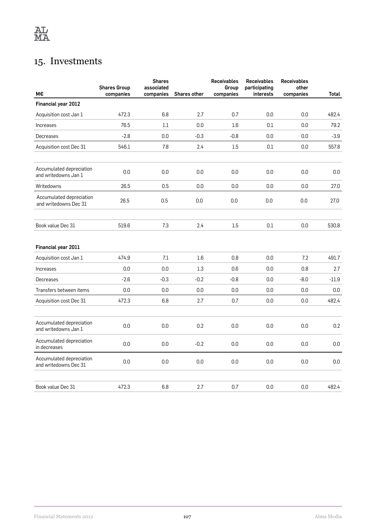## 15. Investments

| <b>Shares Group</b> | <b>Shares</b><br>associated                   |                                       | <b>Receivables</b><br>Group                 | <b>Receivables</b><br>participating      | <b>Receivables</b><br>other           |                                       |
|---------------------|-----------------------------------------------|---------------------------------------|---------------------------------------------|------------------------------------------|---------------------------------------|---------------------------------------|
|                     |                                               |                                       |                                             |                                          |                                       | Total                                 |
|                     |                                               |                                       |                                             |                                          |                                       | 482.4                                 |
|                     |                                               |                                       |                                             |                                          |                                       | 79.2                                  |
|                     |                                               |                                       |                                             |                                          |                                       |                                       |
|                     |                                               |                                       |                                             |                                          |                                       | $-3.9$                                |
|                     |                                               |                                       |                                             |                                          |                                       | 557.8                                 |
| 0.0                 | 0.0                                           | 0.0                                   | 0.0                                         | 0.0                                      | 0.0                                   | 0.0                                   |
| 26.5                | 0.5                                           | 0.0                                   | 0.0                                         | 0.0                                      | 0.0                                   | 27.0                                  |
| 26.5                | 0.5                                           | 0.0                                   | 0.0                                         | 0.0                                      | 0.0                                   | 27.0                                  |
| 519.6               | 7.3                                           | 2.4                                   | 1.5                                         | 0.1                                      | 0.0                                   | 530.8                                 |
|                     |                                               |                                       |                                             |                                          |                                       |                                       |
| 474.9               | 7.1                                           | 1.6                                   | 0.8                                         | 0.0                                      | 7.2                                   | 491.7                                 |
| 0.0                 | 0.0                                           | 1.3                                   | 0.6                                         | 0.0                                      | 0.8                                   | 2.7                                   |
| $-2.6$              | $-0.3$                                        | $-0.2$                                | $-0.8$                                      | 0.0                                      | $-8.0$                                | $-11.9$                               |
| 0.0                 | 0.0                                           | 0.0                                   | 0.0                                         | 0.0                                      | 0.0                                   | $0.0\,$                               |
| 472.3               | 6.8                                           | 2.7                                   | 0.7                                         | 0.0                                      | 0.0                                   | 482.4                                 |
| 0.0                 | 0.0                                           | 0.2                                   | 0.0                                         | 0.0                                      | 0.0                                   | 0.2                                   |
| 0.0                 | 0.0                                           | $-0.2$                                | 0.0                                         | 0.0                                      | 0.0                                   | 0.0                                   |
| 0.0                 | 0.0                                           | 0.0                                   | 0.0                                         | 0.0                                      | 0.0                                   | 0.0                                   |
| 472.3               | 6.8                                           | 2.7                                   | 0.7                                         | 0.0                                      | 0.0                                   | 482.4                                 |
|                     | companies<br>472.3<br>76.5<br>$-2.8$<br>546.1 | companies<br>6.8<br>1.1<br>0.0<br>7.8 | Shares other<br>2.7<br>0.0<br>$-0.3$<br>2.4 | companies<br>0.7<br>1.6<br>$-0.8$<br>1.5 | interests<br>0.0<br>0.1<br>0.0<br>0.1 | companies<br>0.0<br>0.0<br>0.0<br>0.0 |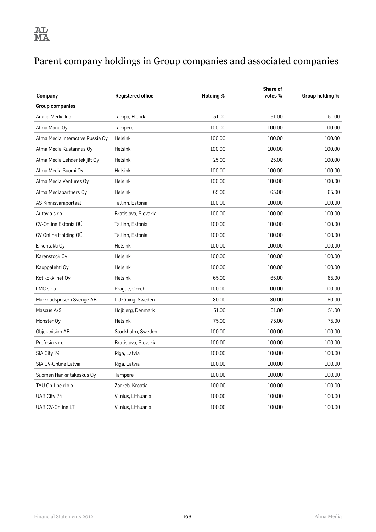# Parent company holdings in Group companies and associated companies

| Company                          | <b>Registered office</b> | <b>Holding %</b> | Share of<br>votes % | Group holding % |
|----------------------------------|--------------------------|------------------|---------------------|-----------------|
| Group companies                  |                          |                  |                     |                 |
| Adalia Media Inc.                | Tampa, Florida           | 51.00            | 51.00               | 51.00           |
| Alma Manu Oy                     | Tampere                  | 100.00           | 100.00              | 100.00          |
| Alma Media Interactive Russia Oy | Helsinki                 | 100.00           | 100.00              | 100.00          |
| Alma Media Kustannus Oy          | Helsinki                 | 100.00           | 100.00              | 100.00          |
| Alma Media Lehdentekijät Oy      | Helsinki                 | 25.00            | 25.00               | 100.00          |
| Alma Media Suomi Oy              | Helsinki                 | 100.00           | 100.00              | 100.00          |
| Alma Media Ventures Oy           | Helsinki                 | 100.00           | 100.00              | 100.00          |
| Alma Mediapartners Oy            | Helsinki                 | 65.00            | 65.00               | 65.00           |
| AS Kinnisvaraportaal             | Tallinn, Estonia         | 100.00           | 100.00              | 100.00          |
| Autovia s.r.o                    | Bratislava, Slovakia     | 100.00           | 100.00              | 100.00          |
| CV-Online Estonia OÜ             | Tallinn, Estonia         | 100.00           | 100.00              | 100.00          |
| CV Online Holding OU             | Tallinn, Estonia         | 100.00           | 100.00              | 100.00          |
| E-kontakti Oy                    | Helsinki                 | 100.00           | 100.00              | 100.00          |
| Karenstock Oy                    | Helsinki                 | 100.00           | 100.00              | 100.00          |
| Kauppalehti Oy                   | Helsinki                 | 100.00           | 100.00              | 100.00          |
| Kotikokki.net Oy                 | Helsinki                 | 65.00            | 65.00               | 65.00           |
| LMC s.r.o                        | Prague, Czech            | 100.00           | 100.00              | 100.00          |
| Marknadspriser i Sverige AB      | Lidköping, Sweden        | 80.00            | 80.00               | 80.00           |
| Mascus A/S                       | Hojbjerg, Denmark        | 51.00            | 51.00               | 51.00           |
| Monster Oy                       | Helsinki                 | 75.00            | 75.00               | 75.00           |
| Objektvision AB                  | Stockholm, Sweden        | 100.00           | 100.00              | 100.00          |
| Profesia s.r.o                   | Bratislava, Slovakia     | 100.00           | 100.00              | 100.00          |
| SIA City 24                      | Riga, Latvia             | 100.00           | 100.00              | 100.00          |
| SIA CV-Online Latvia             | Riga, Latvia             | 100.00           | 100.00              | 100.00          |
| Suomen Hankintakeskus Oy         | Tampere                  | 100.00           | 100.00              | 100.00          |
| TAU On-line d.o.o                | Zagreb, Kroatia          | 100.00           | 100.00              | 100.00          |
| UAB City 24                      | Vilnius, Lithuania       | 100.00           | 100.00              | 100.00          |
| UAB CV-Online LT                 | Vilnius, Lithuania       | 100.00           | 100.00              | 100.00          |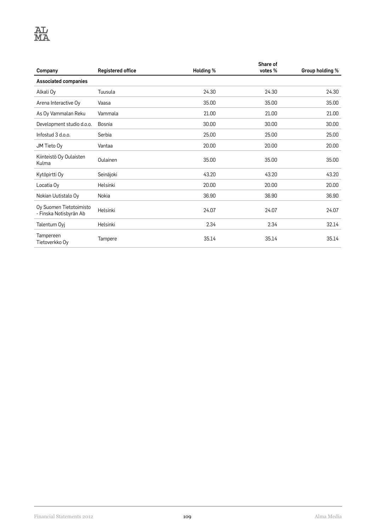| Company                                           | <b>Registered office</b> | <b>Holding %</b> | Share of<br>votes % | Group holding % |
|---------------------------------------------------|--------------------------|------------------|---------------------|-----------------|
| <b>Associated companies</b>                       |                          |                  |                     |                 |
| Alkali Oy                                         | Tuusula                  | 24.30            | 24.30               | 24.30           |
| Arena Interactive Oy                              | Vaasa                    | 35.00            | 35.00               | 35.00           |
| As Oy Vammalan Reku                               | Vammala                  | 21.00            | 21.00               | 21.00           |
| Development studio d.o.o.                         | Bosnia                   | 30.00            | 30.00               | 30.00           |
| Infostud 3 d.o.o.                                 | Serbia                   | 25.00            | 25.00               | 25.00           |
| JM Tieto Oy                                       | Vantaa                   | 20.00            | 20.00               | 20.00           |
| Kiinteistö Oy Oulaisten<br>Kulma                  | Oulainen                 | 35.00            | 35.00               | 35.00           |
| Kytöpirtti Oy                                     | Seinäjoki                | 43.20            | 43.20               | 43.20           |
| Locatia Oy                                        | Helsinki                 | 20.00            | 20.00               | 20.00           |
| Nokian Uutistalo Oy                               | Nokia                    | 36.90            | 36.90               | 36.90           |
| Oy Suomen Tietotoimisto<br>- Finska Notisbyrån Ab | Helsinki                 | 24.07            | 24.07               | 24.07           |
| Talentum Oyj                                      | Helsinki                 | 2.34             | 2.34                | 32.14           |
| Tampereen<br>Tietoverkko Oy                       | Tampere                  | 35.14            | 35.14               | 35.14           |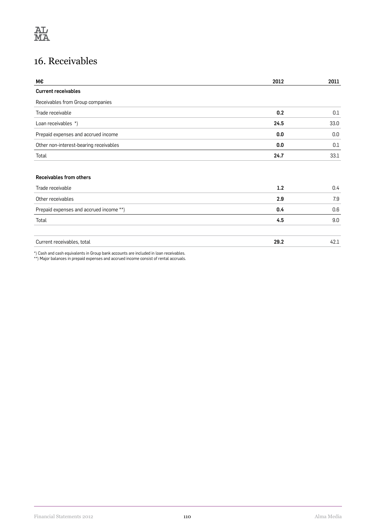## 16. Receivables

| М€                                      | 2012 | 2011 |
|-----------------------------------------|------|------|
| <b>Current receivables</b>              |      |      |
| Receivables from Group companies        |      |      |
| Trade receivable                        | 0.2  | 0.1  |
| Loan receivables *)                     | 24.5 | 33.0 |
| Prepaid expenses and accrued income     | 0.0  | 0.0  |
| Other non-interest-bearing receivables  | 0.0  | 0.1  |
| Total                                   | 24.7 | 33.1 |
|                                         |      |      |
| Receivables from others                 |      |      |
| Trade receivable                        | 1.2  | 0.4  |
| Other receivables                       | 2.9  | 7.9  |
| Prepaid expenses and accrued income **) | 0.4  | 0.6  |
| Total                                   | 4.5  | 9.0  |
|                                         |      |      |
| Current receivables, total              | 29.2 | 42.1 |

\*) Cash and cash equivalents in Group bank accounts are included in loan receivables.

\*\*) Major balances in prepaid expenses and accrued income consist of rental accruals.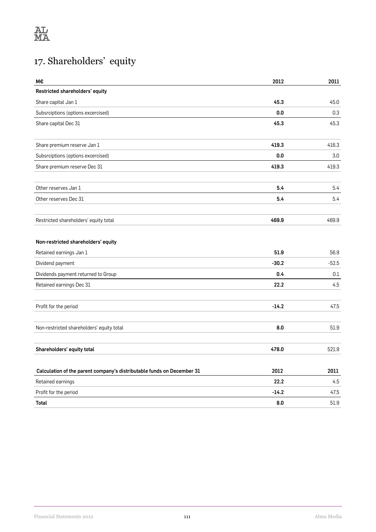## 17. Shareholders' equity

| М€                                                                     | 2012      | 2011    |
|------------------------------------------------------------------------|-----------|---------|
| Restricted shareholders' equity                                        |           |         |
| Share capital Jan 1                                                    | 45.3      | 45.0    |
| Subsrciptions (options excercised)                                     | 0.0       | 0.3     |
| Share capital Dec 31                                                   | 45.3      | 45.3    |
| Share premium reserve Jan 1                                            | 419.3     | 416.3   |
| Subsrciptions (options excercised)                                     | 0.0       | 3.0     |
| Share premium reserve Dec 31                                           | 419.3     | 419.3   |
| Other reserves Jan 1                                                   | 5.4       | 5.4     |
| Other reserves Dec 31                                                  | 5.4       | 5.4     |
| Restricted shareholders' equity total                                  | 469.9     | 469.9   |
| Non-restricted shareholders' equity                                    |           |         |
| Retained earnings Jan 1                                                | 51.9      | 56.9    |
| Dividend payment                                                       | $-30.2$   | $-52.5$ |
| Dividends payment returned to Group                                    | 0.4       | 0.1     |
| Retained earnings Dec 31                                               | 22.2      | 4.5     |
| Profit for the period                                                  | $-14.2$   | 47.5    |
| Non-restricted shareholders' equity total                              | 8.0       | 51.9    |
| Shareholders' equity total                                             | 478.0     | 521.9   |
| Calculation of the parent company's distributable funds on December 31 | 2012      | 2011    |
| Retained earnings                                                      | 22.2      | 4.5     |
| Profit for the period                                                  | $-14.2$   | 47.5    |
| <b>Total</b>                                                           | $\bf 8.0$ | 51.9    |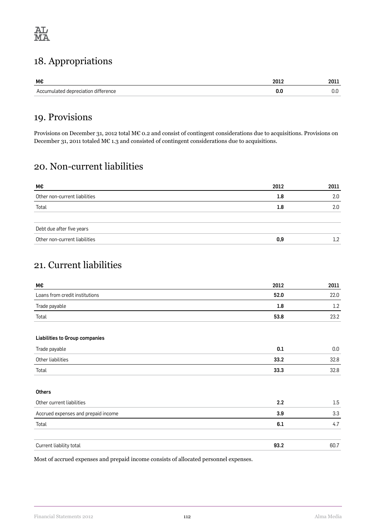## 18. Appropriations

| М€                                  |     |     |
|-------------------------------------|-----|-----|
| Accumulated depreciation difference | v.u | J.O |

## 19. Provisions

Provisions on December 31, 2012 total M€ 0.2 and consist of contingent considerations due to acquisitions. Provisions on December 31, 2011 totaled M€ 1.3 and consisted of contingent considerations due to acquisitions.

## 20. Non-current liabilities

| М€                            | 2012 | 2011 |
|-------------------------------|------|------|
| Other non-current liabilities | 1.8  | 2.0  |
| Total                         | 1.8  | 2.0  |
| Debt due after five years     |      |      |
| Other non-current liabilities | 0,9  | 1.2  |

### 21. Current liabilities

| М€                                  | 2012 | 2011    |
|-------------------------------------|------|---------|
| Loans from credit institutions      | 52.0 | 22.0    |
| Trade payable                       | 1.8  | 1.2     |
| Total                               | 53.8 | 23.2    |
|                                     |      |         |
| Liabilities to Group companies      |      |         |
| Trade payable                       | 0.1  | $0.0\,$ |
| Other liabilities                   | 33.2 | 32.8    |
| Total                               | 33.3 | 32.8    |
|                                     |      |         |
| Others                              |      |         |
| Other current liabilities           | 2.2  | $1.5\,$ |
| Accrued expenses and prepaid income | 3.9  | 3.3     |
| Total                               | 6.1  | 4.7     |
|                                     |      |         |
| Current liability total             | 93.2 | 60.7    |

Most of accrued expenses and prepaid income consists of allocated personnel expenses.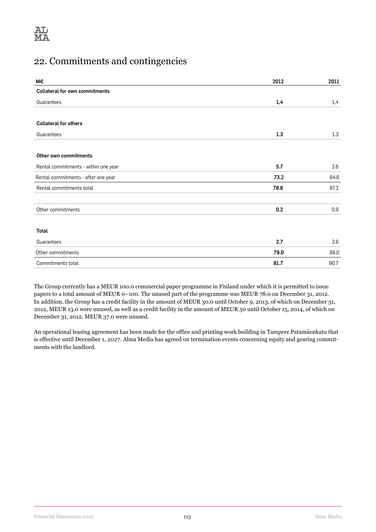## 22. Commitments and contingencies

| 2012 | 2011 |
|------|------|
|      |      |
| 1,4  | 1,4  |
|      |      |
|      |      |
| 1.3  | 1.3  |
|      |      |
|      |      |
| 5.7  | 2.6  |
| 73.2 | 84.6 |
| 78.8 | 87.2 |
|      |      |
| 0.2  | 0.9  |
|      |      |
|      |      |
| 2.7  | 2.6  |
| 79.0 | 88.0 |
| 81.7 | 90.7 |
|      |      |

The Group currently has a MEUR 100.0 commercial paper programme in Finland under which it is permitted to issue papers to a total amount of MEUR 0–100. The unused part of the programme was MEUR 78.0 on December 31, 2012. In addition, the Group has a credit facility in the amount of MEUR 30.0 until October 9, 2013, of which on December 31, 2012, MEUR 13.0 were unused, as well as a credit facility in the amount of MEUR 50 until October 15, 2014, of which on December 31, 2012, MEUR 37.0 were unused.

An operational leasing agreement has been made for the office and printing work building in Tampere Patamäenkatu that is effective until December 1, 2027. Alma Media has agreed on termination events concerning equity and gearing commitments with the landlord.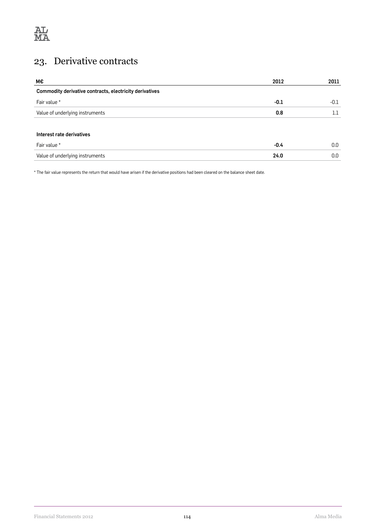## 23. Derivative contracts

| М€                                                      | 2012   | 2011   |
|---------------------------------------------------------|--------|--------|
| Commodity derivative contracts, electricity derivatives |        |        |
| Fair value *                                            | $-0.1$ | $-0.1$ |
| Value of underlying instruments                         | 0.8    | 1.1    |
| Interest rate derivatives                               |        |        |
| Fair value *                                            | $-0.4$ | 0.0    |
| Value of underlying instruments                         | 24.0   | 0.0    |

\* The fair value represents the return that would have arisen if the derivative positions had been cleared on the balance sheet date.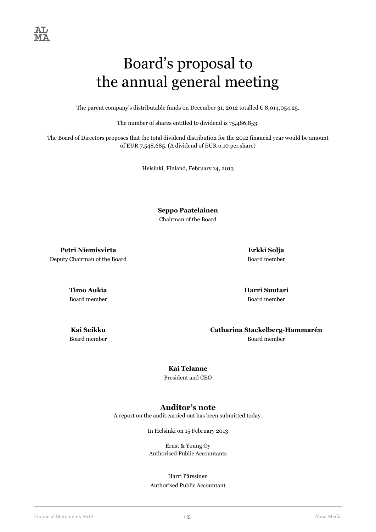# Board's proposal to the annual general meeting

The parent company's distributable funds on December 31, 2012 totalled  $\epsilon$  8,014,054.25.

The number of shares entitled to dividend is 75,486,853.

The Board of Directors proposes that the total dividend distribution for the 2012 financial year would be amount of EUR 7,548,685. (A dividend of EUR o.10 per share)

Helsinki, Finland, February 14, 2013

**Seppo Paatelainen** Chairman of the Board

**Petri Niemisvirta** Deputy Chairman of the Board **Erkki Solja** Board member

**Timo Aukia** Board member **Harri Suutari** Board member

**Kai Seikku** Board member

**Catharina Stackelberg-Hammarén**

Board member

**Kai Telanne**

President and CEO

### **Auditor's note**

A report on the audit carried out has been submitted today.

In Helsinki on 15 February 2013

Ernst & Young Oy Authorised Public Accountants

Harri Pärssinen Authorised Public Accountant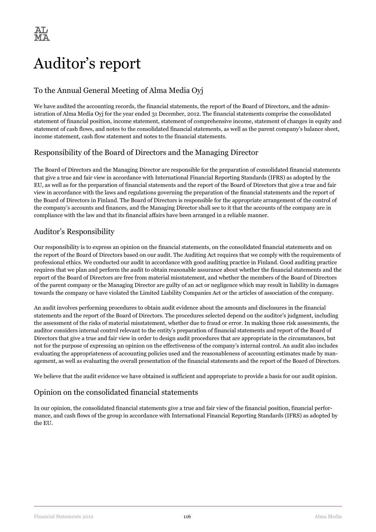## Auditor's report

### To the Annual General Meeting of Alma Media Oyj

We have audited the accounting records, the financial statements, the report of the Board of Directors, and the administration of Alma Media Oyj for the year ended 31 December, 2012. The financial statements comprise the consolidated statement of financial position, income statement, statement of comprehensive income, statement of changes in equity and statement of cash flows, and notes to the consolidated financial statements, as well as the parent company's balance sheet, income statement, cash flow statement and notes to the financial statements.

### Responsibility of the Board of Directors and the Managing Director

The Board of Directors and the Managing Director are responsible for the preparation of consolidated financial statements that give a true and fair view in accordance with International Financial Reporting Standards (IFRS) as adopted by the EU, as well as for the preparation of financial statements and the report of the Board of Directors that give a true and fair view in accordance with the laws and regulations governing the preparation of the financial statements and the report of the Board of Directors in Finland. The Board of Directors is responsible for the appropriate arrangement of the control of the company's accounts and finances, and the Managing Director shall see to it that the accounts of the company are in compliance with the law and that its financial affairs have been arranged in a reliable manner.

### Auditor's Responsibility

Our responsibility is to express an opinion on the financial statements, on the consolidated financial statements and on the report of the Board of Directors based on our audit. The Auditing Act requires that we comply with the requirements of professional ethics. We conducted our audit in accordance with good auditing practice in Finland. Good auditing practice requires that we plan and perform the audit to obtain reasonable assurance about whether the financial statements and the report of the Board of Directors are free from material misstatement, and whether the members of the Board of Directors of the parent company or the Managing Director are guilty of an act or negligence which may result in liability in damages towards the company or have violated the Limited Liability Companies Act or the articles of association of the company.

An audit involves performing procedures to obtain audit evidence about the amounts and disclosures in the financial statements and the report of the Board of Directors. The procedures selected depend on the auditor's judgment, including the assessment of the risks of material misstatement, whether due to fraud or error. In making those risk assessments, the auditor considers internal control relevant to the entity's preparation of financial statements and report of the Board of Directors that give a true and fair view in order to design audit procedures that are appropriate in the circumstances, but not for the purpose of expressing an opinion on the effectiveness of the company's internal control. An audit also includes evaluating the appropriateness of accounting policies used and the reasonableness of accounting estimates made by management, as well as evaluating the overall presentation of the financial statements and the report of the Board of Directors.

We believe that the audit evidence we have obtained is sufficient and appropriate to provide a basis for our audit opinion.

### Opinion on the consolidated financial statements

In our opinion, the consolidated financial statements give a true and fair view of the financial position, financial performance, and cash flows of the group in accordance with International Financial Reporting Standards (IFRS) as adopted by the EU.